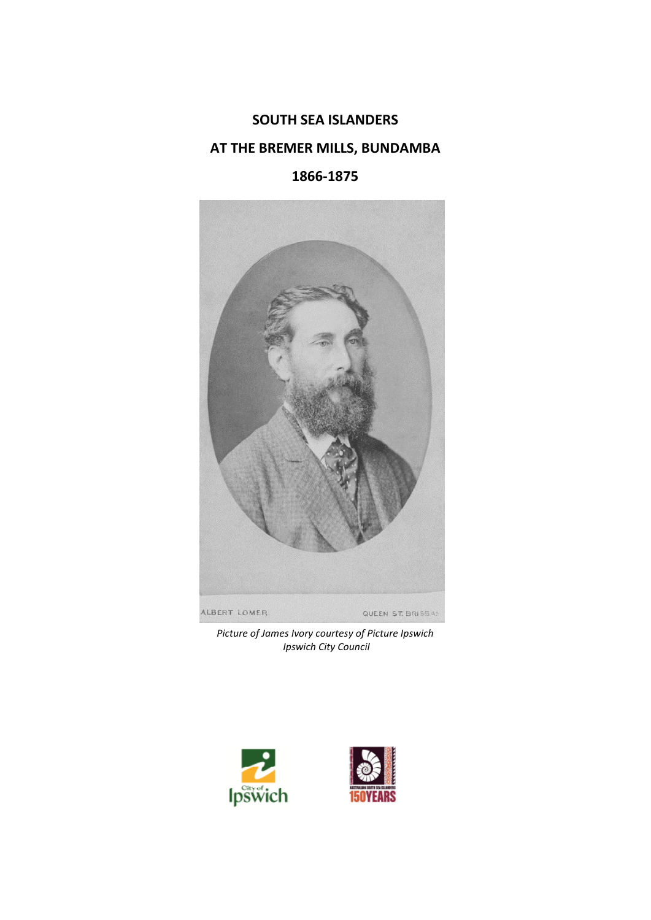# **SOUTH SEA ISLANDERS AT THE BREMER MILLS, BUNDAMBA**

# **1866-1875**



*Picture of James Ivory courtesy of Picture Ipswich Ipswich City Council* 



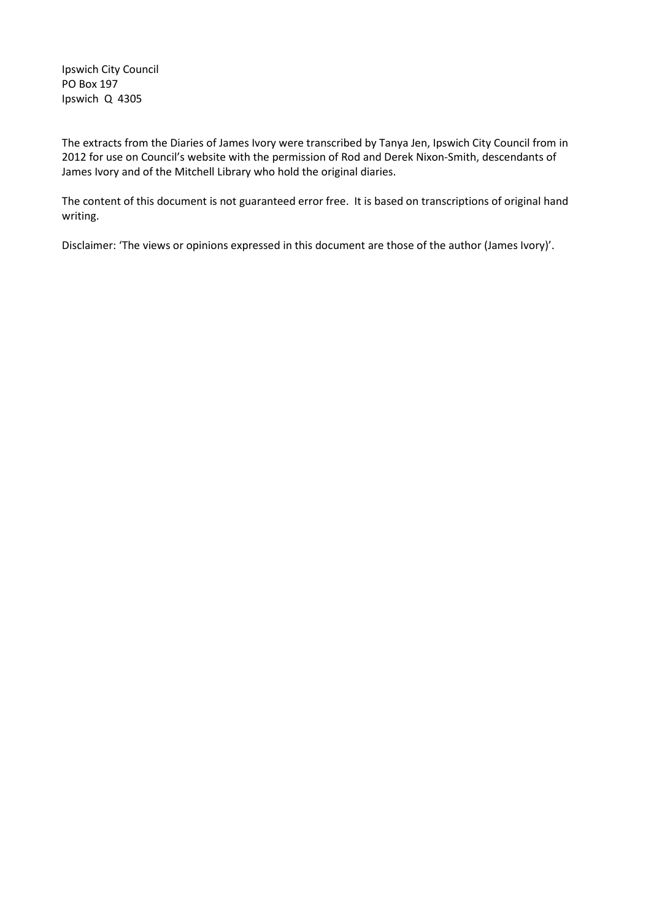Ipswich City Council PO Box 197 Ipswich Q 4305

The extracts from the Diaries of James Ivory were transcribed by Tanya Jen, Ipswich City Council from in 2012 for use on Council's website with the permission of Rod and Derek Nixon-Smith, descendants of James Ivory and of the Mitchell Library who hold the original diaries.

The content of this document is not guaranteed error free. It is based on transcriptions of original hand writing.

Disclaimer: 'The views or opinions expressed in this document are those of the author (James Ivory)'.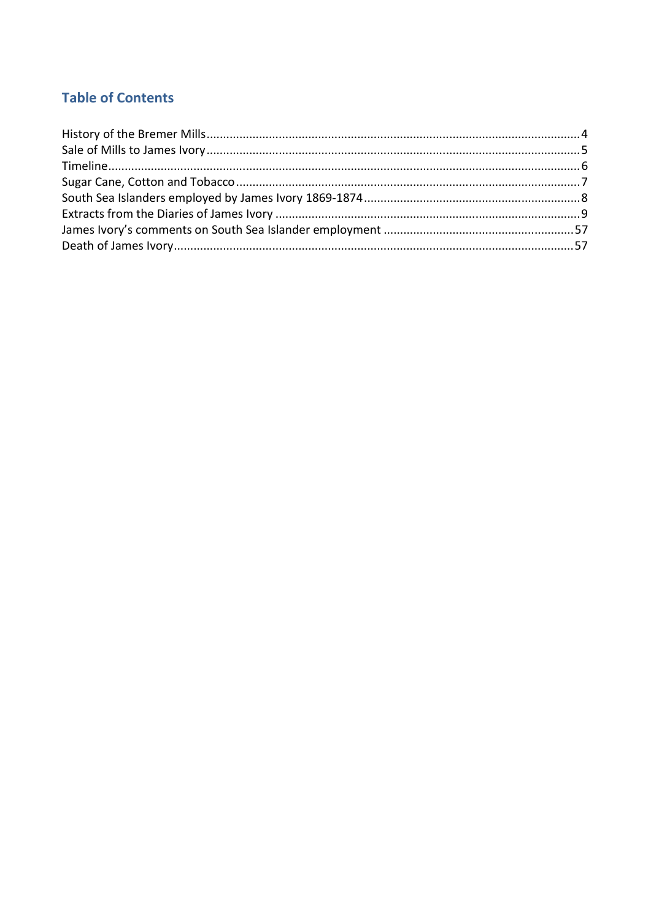# **Table of Contents**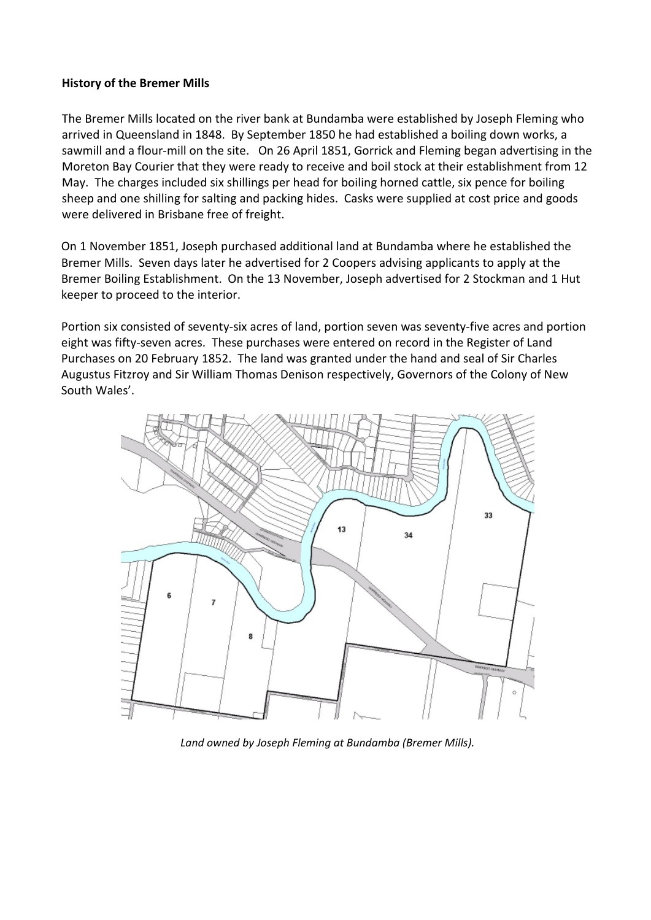#### **History of the Bremer Mills**

The Bremer Mills located on the river bank at Bundamba were established by Joseph Fleming who arrived in Queensland in 1848. By September 1850 he had established a boiling down works, a sawmill and a flour-mill on the site. On 26 April 1851, Gorrick and Fleming began advertising in the Moreton Bay Courier that they were ready to receive and boil stock at their establishment from 12 May. The charges included six shillings per head for boiling horned cattle, six pence for boiling sheep and one shilling for salting and packing hides. Casks were supplied at cost price and goods were delivered in Brisbane free of freight.

On 1 November 1851, Joseph purchased additional land at Bundamba where he established the Bremer Mills. Seven days later he advertised for 2 Coopers advising applicants to apply at the Bremer Boiling Establishment. On the 13 November, Joseph advertised for 2 Stockman and 1 Hut keeper to proceed to the interior.

Portion six consisted of seventy-six acres of land, portion seven was seventy-five acres and portion eight was fifty-seven acres. These purchases were entered on record in the Register of Land Purchases on 20 February 1852. The land was granted under the hand and seal of Sir Charles Augustus Fitzroy and Sir William Thomas Denison respectively, Governors of the Colony of New South Wales'.



*Land owned by Joseph Fleming at Bundamba (Bremer Mills).*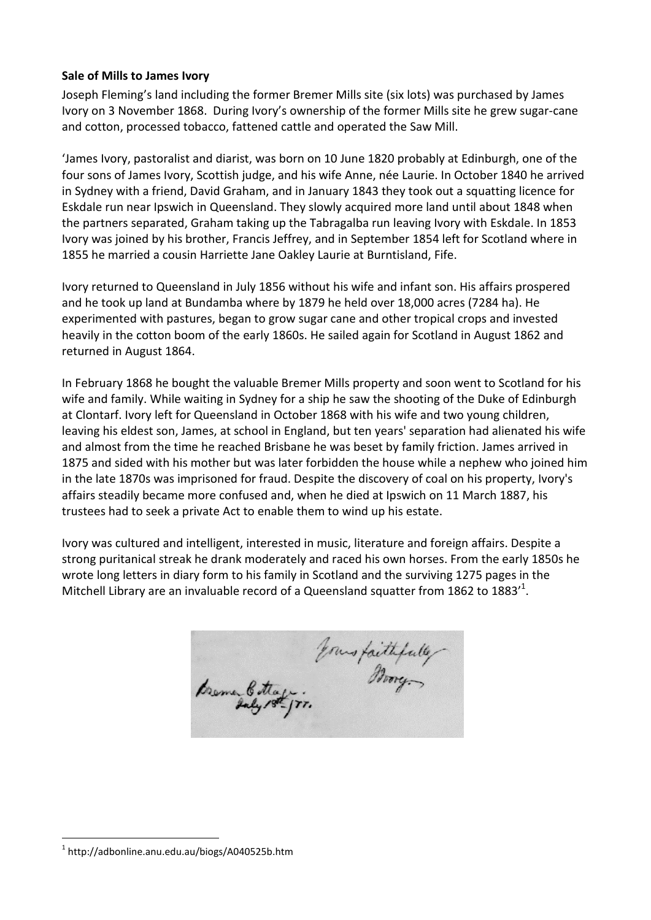#### **Sale of Mills to James Ivory**

Joseph Fleming's land including the former Bremer Mills site (six lots) was purchased by James Ivory on 3 November 1868. During Ivory's ownership of the former Mills site he grew sugar-cane and cotton, processed tobacco, fattened cattle and operated the Saw Mill.

'James Ivory, pastoralist and diarist, was born on 10 June 1820 probably at Edinburgh, one of the four sons of James Ivory, Scottish judge, and his wife Anne, née Laurie. In October 1840 he arrived in Sydney with a friend, David Graham, and in January 1843 they took out a squatting licence for Eskdale run near Ipswich in Queensland. They slowly acquired more land until about 1848 when the partners separated, Graham taking up the Tabragalba run leaving Ivory with Eskdale. In 1853 Ivory was joined by his brother, Francis Jeffrey, and in September 1854 left for Scotland where in 1855 he married a cousin Harriette Jane Oakley Laurie at Burntisland, Fife.

Ivory returned to Queensland in July 1856 without his wife and infant son. His affairs prospered and he took up land at Bundamba where by 1879 he held over 18,000 acres (7284 ha). He experimented with pastures, began to grow sugar cane and other tropical crops and invested heavily in the cotton boom of the early 1860s. He sailed again for Scotland in August 1862 and returned in August 1864.

In February 1868 he bought the valuable Bremer Mills property and soon went to Scotland for his wife and family. While waiting in Sydney for a ship he saw the shooting of the Duke of Edinburgh at Clontarf. Ivory left for Queensland in October 1868 with his wife and two young children, leaving his eldest son, James, at school in England, but ten years' separation had alienated his wife and almost from the time he reached Brisbane he was beset by family friction. James arrived in 1875 and sided with his mother but was later forbidden the house while a nephew who joined him in the late 1870s was imprisoned for fraud. Despite the discovery of coal on his property, Ivory's affairs steadily became more confused and, when he died at Ipswich on 11 March 1887, his trustees had to seek a private Act to enable them to wind up his estate.

Ivory was cultured and intelligent, interested in music, literature and foreign affairs. Despite a strong puritanical streak he drank moderately and raced his own horses. From the early 1850s he wrote long letters in diary form to his family in Scotland and the surviving 1275 pages in the Mitchell Library are an invaluable record of a Queensland squatter from 1862 to 1883 $^{\prime 1}$ .

Fourstaithfully

 $\overline{a}$ 

<sup>1</sup> http://adbonline.anu.edu.au/biogs/A040525b.htm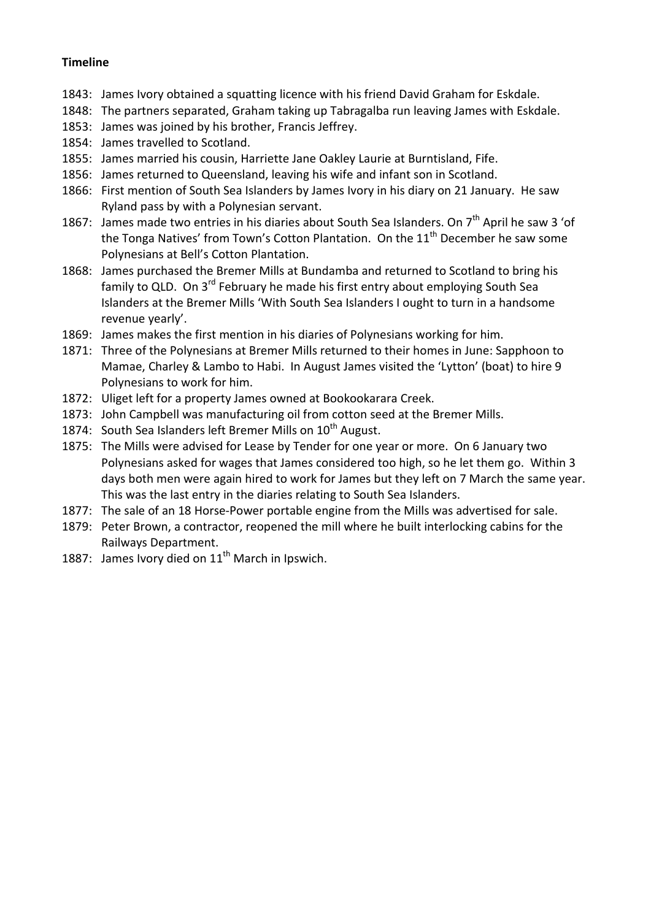# **Timeline**

- 1843: James Ivory obtained a squatting licence with his friend David Graham for Eskdale.
- 1848: The partners separated, Graham taking up Tabragalba run leaving James with Eskdale.
- 1853: James was joined by his brother, Francis Jeffrey.
- 1854: James travelled to Scotland.
- 1855: James married his cousin, Harriette Jane Oakley Laurie at Burntisland, Fife.
- 1856: James returned to Queensland, leaving his wife and infant son in Scotland.
- 1866: First mention of South Sea Islanders by James Ivory in his diary on 21 January. He saw Ryland pass by with a Polynesian servant.
- 1867: James made two entries in his diaries about South Sea Islanders. On  $7<sup>th</sup>$  April he saw 3 'of the Tonga Natives' from Town's Cotton Plantation. On the  $11<sup>th</sup>$  December he saw some Polynesians at Bell's Cotton Plantation.
- 1868: James purchased the Bremer Mills at Bundamba and returned to Scotland to bring his family to QLD. On 3<sup>rd</sup> February he made his first entry about employing South Sea Islanders at the Bremer Mills 'With South Sea Islanders I ought to turn in a handsome revenue yearly'.
- 1869: James makes the first mention in his diaries of Polynesians working for him.
- 1871: Three of the Polynesians at Bremer Mills returned to their homes in June: Sapphoon to Mamae, Charley & Lambo to Habi. In August James visited the 'Lytton' (boat) to hire 9 Polynesians to work for him.
- 1872: Uliget left for a property James owned at Bookookarara Creek.
- 1873: John Campbell was manufacturing oil from cotton seed at the Bremer Mills.
- 1874: South Sea Islanders left Bremer Mills on  $10^{th}$  August.
- 1875: The Mills were advised for Lease by Tender for one year or more. On 6 January two Polynesians asked for wages that James considered too high, so he let them go. Within 3 days both men were again hired to work for James but they left on 7 March the same year. This was the last entry in the diaries relating to South Sea Islanders.
- 1877: The sale of an 18 Horse-Power portable engine from the Mills was advertised for sale.
- 1879: Peter Brown, a contractor, reopened the mill where he built interlocking cabins for the Railways Department.
- 1887: James Ivory died on  $11<sup>th</sup>$  March in Ipswich.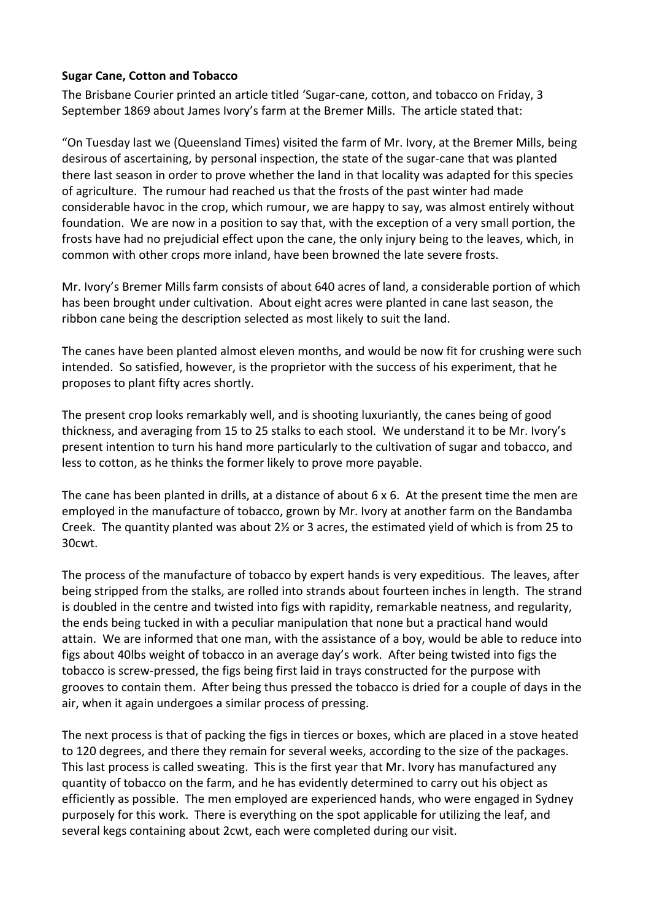### **Sugar Cane, Cotton and Tobacco**

The Brisbane Courier printed an article titled 'Sugar-cane, cotton, and tobacco on Friday, 3 September 1869 about James Ivory's farm at the Bremer Mills. The article stated that:

"On Tuesday last we (Queensland Times) visited the farm of Mr. Ivory, at the Bremer Mills, being desirous of ascertaining, by personal inspection, the state of the sugar-cane that was planted there last season in order to prove whether the land in that locality was adapted for this species of agriculture. The rumour had reached us that the frosts of the past winter had made considerable havoc in the crop, which rumour, we are happy to say, was almost entirely without foundation. We are now in a position to say that, with the exception of a very small portion, the frosts have had no prejudicial effect upon the cane, the only injury being to the leaves, which, in common with other crops more inland, have been browned the late severe frosts.

Mr. Ivory's Bremer Mills farm consists of about 640 acres of land, a considerable portion of which has been brought under cultivation. About eight acres were planted in cane last season, the ribbon cane being the description selected as most likely to suit the land.

The canes have been planted almost eleven months, and would be now fit for crushing were such intended. So satisfied, however, is the proprietor with the success of his experiment, that he proposes to plant fifty acres shortly.

The present crop looks remarkably well, and is shooting luxuriantly, the canes being of good thickness, and averaging from 15 to 25 stalks to each stool. We understand it to be Mr. Ivory's present intention to turn his hand more particularly to the cultivation of sugar and tobacco, and less to cotton, as he thinks the former likely to prove more payable.

The cane has been planted in drills, at a distance of about 6 x 6. At the present time the men are employed in the manufacture of tobacco, grown by Mr. Ivory at another farm on the Bandamba Creek. The quantity planted was about 2½ or 3 acres, the estimated yield of which is from 25 to 30cwt.

The process of the manufacture of tobacco by expert hands is very expeditious. The leaves, after being stripped from the stalks, are rolled into strands about fourteen inches in length. The strand is doubled in the centre and twisted into figs with rapidity, remarkable neatness, and regularity, the ends being tucked in with a peculiar manipulation that none but a practical hand would attain. We are informed that one man, with the assistance of a boy, would be able to reduce into figs about 40lbs weight of tobacco in an average day's work. After being twisted into figs the tobacco is screw-pressed, the figs being first laid in trays constructed for the purpose with grooves to contain them. After being thus pressed the tobacco is dried for a couple of days in the air, when it again undergoes a similar process of pressing.

The next process is that of packing the figs in tierces or boxes, which are placed in a stove heated to 120 degrees, and there they remain for several weeks, according to the size of the packages. This last process is called sweating. This is the first year that Mr. Ivory has manufactured any quantity of tobacco on the farm, and he has evidently determined to carry out his object as efficiently as possible. The men employed are experienced hands, who were engaged in Sydney purposely for this work. There is everything on the spot applicable for utilizing the leaf, and several kegs containing about 2cwt, each were completed during our visit.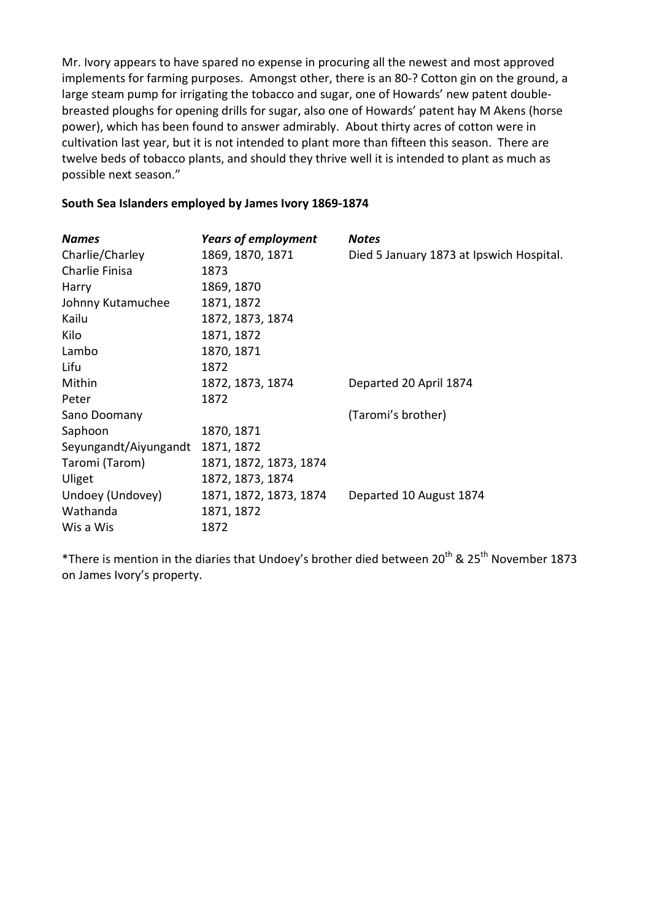Mr. Ivory appears to have spared no expense in procuring all the newest and most approved implements for farming purposes. Amongst other, there is an 80-? Cotton gin on the ground, a large steam pump for irrigating the tobacco and sugar, one of Howards' new patent doublebreasted ploughs for opening drills for sugar, also one of Howards' patent hay M Akens (horse power), which has been found to answer admirably. About thirty acres of cotton were in cultivation last year, but it is not intended to plant more than fifteen this season. There are twelve beds of tobacco plants, and should they thrive well it is intended to plant as much as possible next season."

#### **South Sea Islanders employed by James Ivory 1869-1874**

| <b>Names</b>          | <b>Years of employment</b> | <b>Notes</b>                             |
|-----------------------|----------------------------|------------------------------------------|
| Charlie/Charley       | 1869, 1870, 1871           | Died 5 January 1873 at Ipswich Hospital. |
| Charlie Finisa        | 1873                       |                                          |
| Harry                 | 1869, 1870                 |                                          |
| Johnny Kutamuchee     | 1871, 1872                 |                                          |
| Kailu                 | 1872, 1873, 1874           |                                          |
| Kilo                  | 1871, 1872                 |                                          |
| Lambo                 | 1870, 1871                 |                                          |
| Lifu                  | 1872                       |                                          |
| Mithin                | 1872, 1873, 1874           | Departed 20 April 1874                   |
| Peter                 | 1872                       |                                          |
| Sano Doomany          |                            | (Taromi's brother)                       |
| Saphoon               | 1870, 1871                 |                                          |
| Seyungandt/Aiyungandt | 1871, 1872                 |                                          |
| Taromi (Tarom)        | 1871, 1872, 1873, 1874     |                                          |
| Uliget                | 1872, 1873, 1874           |                                          |
| Undoey (Undovey)      | 1871, 1872, 1873, 1874     | Departed 10 August 1874                  |
| Wathanda              | 1871, 1872                 |                                          |
| Wis a Wis             | 1872                       |                                          |

\*There is mention in the diaries that Undoey's brother died between 20<sup>th</sup> & 25<sup>th</sup> November 1873 on James Ivory's property.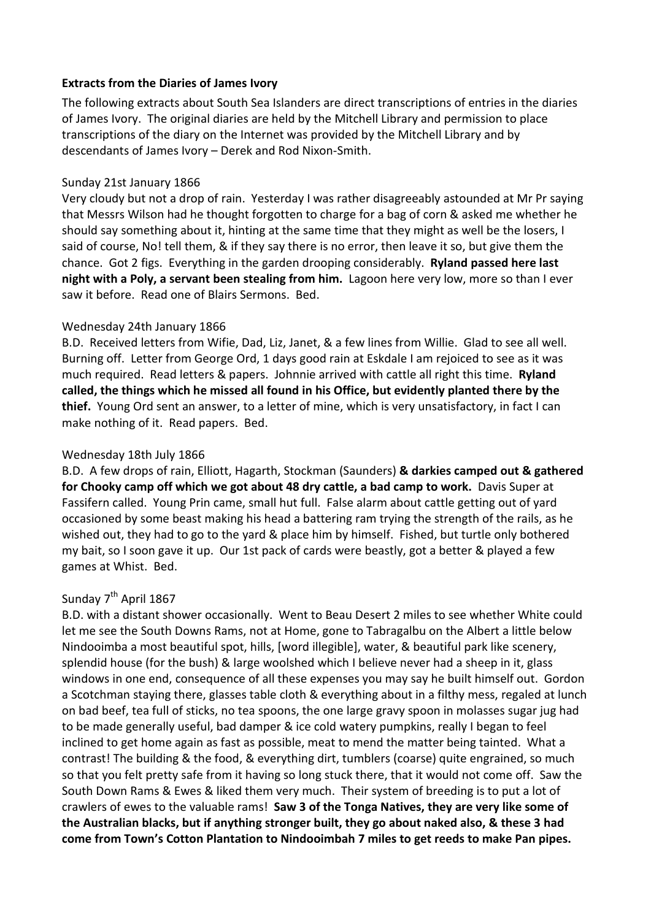### **Extracts from the Diaries of James Ivory**

The following extracts about South Sea Islanders are direct transcriptions of entries in the diaries of James Ivory. The original diaries are held by the Mitchell Library and permission to place transcriptions of the diary on the Internet was provided by the Mitchell Library and by descendants of James Ivory – Derek and Rod Nixon-Smith.

### Sunday 21st January 1866

Very cloudy but not a drop of rain. Yesterday I was rather disagreeably astounded at Mr Pr saying that Messrs Wilson had he thought forgotten to charge for a bag of corn & asked me whether he should say something about it, hinting at the same time that they might as well be the losers, I said of course, No! tell them, & if they say there is no error, then leave it so, but give them the chance. Got 2 figs. Everything in the garden drooping considerably. **Ryland passed here last night with a Poly, a servant been stealing from him.** Lagoon here very low, more so than I ever saw it before. Read one of Blairs Sermons. Bed.

### Wednesday 24th January 1866

B.D. Received letters from Wifie, Dad, Liz, Janet, & a few lines from Willie. Glad to see all well. Burning off. Letter from George Ord, 1 days good rain at Eskdale I am rejoiced to see as it was much required. Read letters & papers. Johnnie arrived with cattle all right this time. **Ryland called, the things which he missed all found in his Office, but evidently planted there by the thief.** Young Ord sent an answer, to a letter of mine, which is very unsatisfactory, in fact I can make nothing of it. Read papers. Bed.

### Wednesday 18th July 1866

B.D. A few drops of rain, Elliott, Hagarth, Stockman (Saunders) **& darkies camped out & gathered for Chooky camp off which we got about 48 dry cattle, a bad camp to work.** Davis Super at Fassifern called. Young Prin came, small hut full. False alarm about cattle getting out of yard occasioned by some beast making his head a battering ram trying the strength of the rails, as he wished out, they had to go to the yard & place him by himself. Fished, but turtle only bothered my bait, so I soon gave it up. Our 1st pack of cards were beastly, got a better & played a few games at Whist. Bed.

# Sunday 7<sup>th</sup> April 1867

B.D. with a distant shower occasionally. Went to Beau Desert 2 miles to see whether White could let me see the South Downs Rams, not at Home, gone to Tabragalbu on the Albert a little below Nindooimba a most beautiful spot, hills, [word illegible], water, & beautiful park like scenery, splendid house (for the bush) & large woolshed which I believe never had a sheep in it, glass windows in one end, consequence of all these expenses you may say he built himself out. Gordon a Scotchman staying there, glasses table cloth & everything about in a filthy mess, regaled at lunch on bad beef, tea full of sticks, no tea spoons, the one large gravy spoon in molasses sugar jug had to be made generally useful, bad damper & ice cold watery pumpkins, really I began to feel inclined to get home again as fast as possible, meat to mend the matter being tainted. What a contrast! The building & the food, & everything dirt, tumblers (coarse) quite engrained, so much so that you felt pretty safe from it having so long stuck there, that it would not come off. Saw the South Down Rams & Ewes & liked them very much. Their system of breeding is to put a lot of crawlers of ewes to the valuable rams! **Saw 3 of the Tonga Natives, they are very like some of the Australian blacks, but if anything stronger built, they go about naked also, & these 3 had come from Town's Cotton Plantation to Nindooimbah 7 miles to get reeds to make Pan pipes.**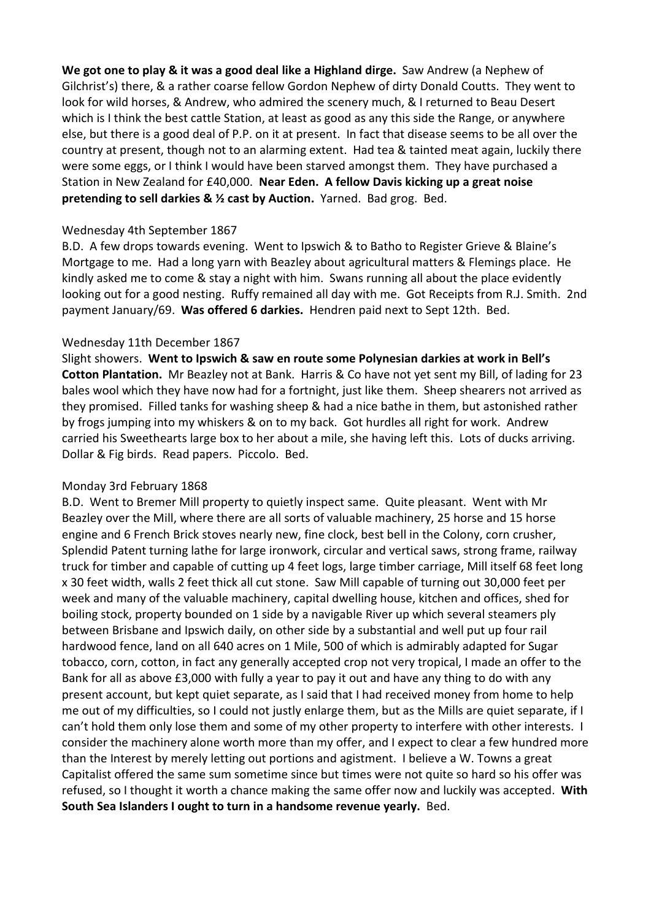**We got one to play & it was a good deal like a Highland dirge.** Saw Andrew (a Nephew of Gilchrist's) there, & a rather coarse fellow Gordon Nephew of dirty Donald Coutts. They went to look for wild horses, & Andrew, who admired the scenery much, & I returned to Beau Desert which is I think the best cattle Station, at least as good as any this side the Range, or anywhere else, but there is a good deal of P.P. on it at present. In fact that disease seems to be all over the country at present, though not to an alarming extent. Had tea & tainted meat again, luckily there were some eggs, or I think I would have been starved amongst them. They have purchased a Station in New Zealand for £40,000. **Near Eden. A fellow Davis kicking up a great noise pretending to sell darkies & ½ cast by Auction.** Yarned. Bad grog. Bed.

#### Wednesday 4th September 1867

B.D. A few drops towards evening. Went to Ipswich & to Batho to Register Grieve & Blaine's Mortgage to me. Had a long yarn with Beazley about agricultural matters & Flemings place. He kindly asked me to come & stay a night with him. Swans running all about the place evidently looking out for a good nesting. Ruffy remained all day with me. Got Receipts from R.J. Smith. 2nd payment January/69. **Was offered 6 darkies.** Hendren paid next to Sept 12th. Bed.

#### Wednesday 11th December 1867

Slight showers. **Went to Ipswich & saw en route some Polynesian darkies at work in Bell's Cotton Plantation.** Mr Beazley not at Bank. Harris & Co have not yet sent my Bill, of lading for 23 bales wool which they have now had for a fortnight, just like them. Sheep shearers not arrived as they promised. Filled tanks for washing sheep & had a nice bathe in them, but astonished rather by frogs jumping into my whiskers & on to my back. Got hurdles all right for work. Andrew carried his Sweethearts large box to her about a mile, she having left this. Lots of ducks arriving. Dollar & Fig birds. Read papers. Piccolo. Bed.

#### Monday 3rd February 1868

B.D. Went to Bremer Mill property to quietly inspect same. Quite pleasant. Went with Mr Beazley over the Mill, where there are all sorts of valuable machinery, 25 horse and 15 horse engine and 6 French Brick stoves nearly new, fine clock, best bell in the Colony, corn crusher, Splendid Patent turning lathe for large ironwork, circular and vertical saws, strong frame, railway truck for timber and capable of cutting up 4 feet logs, large timber carriage, Mill itself 68 feet long x 30 feet width, walls 2 feet thick all cut stone. Saw Mill capable of turning out 30,000 feet per week and many of the valuable machinery, capital dwelling house, kitchen and offices, shed for boiling stock, property bounded on 1 side by a navigable River up which several steamers ply between Brisbane and Ipswich daily, on other side by a substantial and well put up four rail hardwood fence, land on all 640 acres on 1 Mile, 500 of which is admirably adapted for Sugar tobacco, corn, cotton, in fact any generally accepted crop not very tropical, I made an offer to the Bank for all as above £3,000 with fully a year to pay it out and have any thing to do with any present account, but kept quiet separate, as I said that I had received money from home to help me out of my difficulties, so I could not justly enlarge them, but as the Mills are quiet separate, if I can't hold them only lose them and some of my other property to interfere with other interests. I consider the machinery alone worth more than my offer, and I expect to clear a few hundred more than the Interest by merely letting out portions and agistment. I believe a W. Towns a great Capitalist offered the same sum sometime since but times were not quite so hard so his offer was refused, so I thought it worth a chance making the same offer now and luckily was accepted. **With South Sea Islanders I ought to turn in a handsome revenue yearly.** Bed.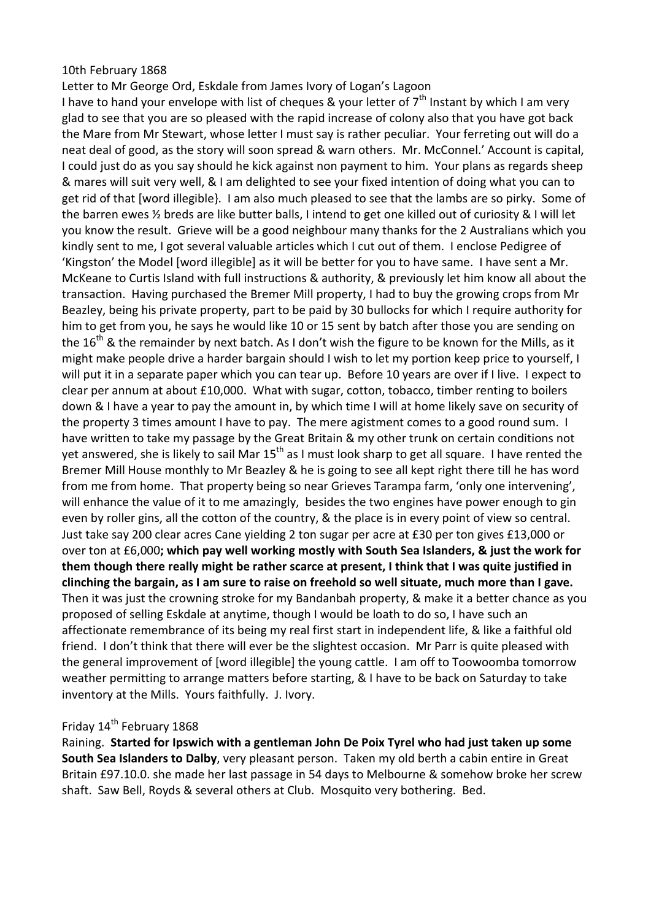#### 10th February 1868

Letter to Mr George Ord, Eskdale from James Ivory of Logan's Lagoon

I have to hand your envelope with list of cheques & your letter of  $7<sup>th</sup>$  Instant by which I am very glad to see that you are so pleased with the rapid increase of colony also that you have got back the Mare from Mr Stewart, whose letter I must say is rather peculiar. Your ferreting out will do a neat deal of good, as the story will soon spread & warn others. Mr. McConnel.' Account is capital, I could just do as you say should he kick against non payment to him. Your plans as regards sheep & mares will suit very well, & I am delighted to see your fixed intention of doing what you can to get rid of that [word illegible}. I am also much pleased to see that the lambs are so pirky. Some of the barren ewes ½ breds are like butter balls, I intend to get one killed out of curiosity & I will let you know the result. Grieve will be a good neighbour many thanks for the 2 Australians which you kindly sent to me, I got several valuable articles which I cut out of them. I enclose Pedigree of 'Kingston' the Model [word illegible] as it will be better for you to have same. I have sent a Mr. McKeane to Curtis Island with full instructions & authority, & previously let him know all about the transaction. Having purchased the Bremer Mill property, I had to buy the growing crops from Mr Beazley, being his private property, part to be paid by 30 bullocks for which I require authority for him to get from you, he says he would like 10 or 15 sent by batch after those you are sending on the 16<sup>th</sup> & the remainder by next batch. As I don't wish the figure to be known for the Mills, as it might make people drive a harder bargain should I wish to let my portion keep price to yourself, I will put it in a separate paper which you can tear up. Before 10 years are over if I live. I expect to clear per annum at about £10,000. What with sugar, cotton, tobacco, timber renting to boilers down & I have a year to pay the amount in, by which time I will at home likely save on security of the property 3 times amount I have to pay. The mere agistment comes to a good round sum. I have written to take my passage by the Great Britain & my other trunk on certain conditions not yet answered, she is likely to sail Mar 15<sup>th</sup> as I must look sharp to get all square. I have rented the Bremer Mill House monthly to Mr Beazley & he is going to see all kept right there till he has word from me from home. That property being so near Grieves Tarampa farm, 'only one intervening', will enhance the value of it to me amazingly, besides the two engines have power enough to gin even by roller gins, all the cotton of the country, & the place is in every point of view so central. Just take say 200 clear acres Cane yielding 2 ton sugar per acre at £30 per ton gives £13,000 or over ton at £6,000**; which pay well working mostly with South Sea Islanders, & just the work for them though there really might be rather scarce at present, I think that I was quite justified in clinching the bargain, as I am sure to raise on freehold so well situate, much more than I gave.** Then it was just the crowning stroke for my Bandanbah property, & make it a better chance as you proposed of selling Eskdale at anytime, though I would be loath to do so, I have such an affectionate remembrance of its being my real first start in independent life, & like a faithful old friend. I don't think that there will ever be the slightest occasion. Mr Parr is quite pleased with the general improvement of [word illegible] the young cattle. I am off to Toowoomba tomorrow weather permitting to arrange matters before starting, & I have to be back on Saturday to take inventory at the Mills. Yours faithfully. J. Ivory.

# Friday 14<sup>th</sup> February 1868

Raining. **Started for Ipswich with a gentleman John De Poix Tyrel who had just taken up some South Sea Islanders to Dalby**, very pleasant person. Taken my old berth a cabin entire in Great Britain £97.10.0. she made her last passage in 54 days to Melbourne & somehow broke her screw shaft. Saw Bell, Royds & several others at Club. Mosquito very bothering. Bed.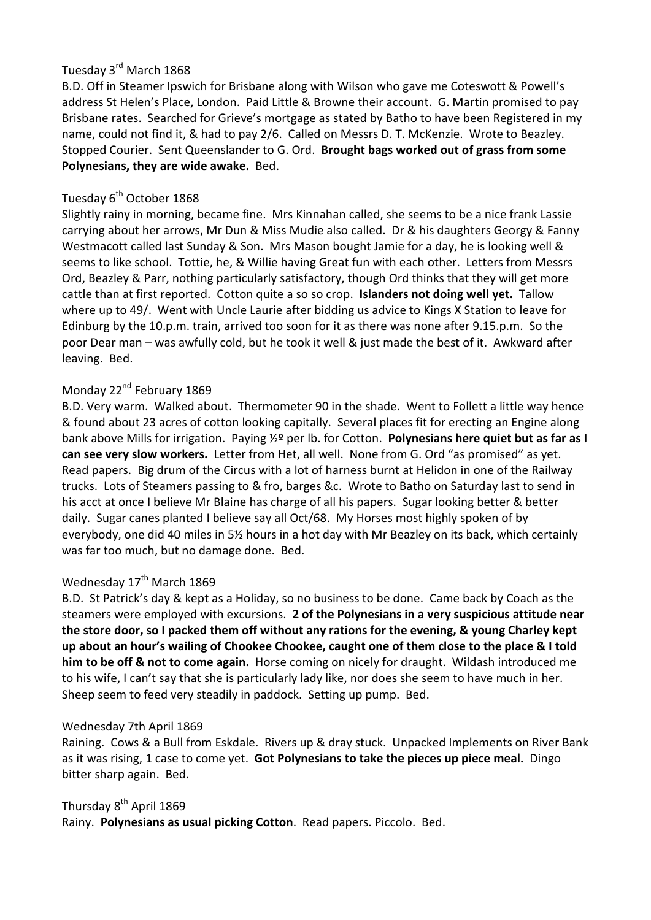# Tuesday 3rd March 1868

B.D. Off in Steamer Ipswich for Brisbane along with Wilson who gave me Coteswott & Powell's address St Helen's Place, London. Paid Little & Browne their account. G. Martin promised to pay Brisbane rates. Searched for Grieve's mortgage as stated by Batho to have been Registered in my name, could not find it, & had to pay 2/6. Called on Messrs D. T. McKenzie. Wrote to Beazley. Stopped Courier. Sent Queenslander to G. Ord. **Brought bags worked out of grass from some Polynesians, they are wide awake.** Bed.

# Tuesday 6<sup>th</sup> October 1868

Slightly rainy in morning, became fine. Mrs Kinnahan called, she seems to be a nice frank Lassie carrying about her arrows, Mr Dun & Miss Mudie also called. Dr & his daughters Georgy & Fanny Westmacott called last Sunday & Son. Mrs Mason bought Jamie for a day, he is looking well & seems to like school. Tottie, he, & Willie having Great fun with each other. Letters from Messrs Ord, Beazley & Parr, nothing particularly satisfactory, though Ord thinks that they will get more cattle than at first reported. Cotton quite a so so crop. **Islanders not doing well yet.** Tallow where up to 49/. Went with Uncle Laurie after bidding us advice to Kings X Station to leave for Edinburg by the 10.p.m. train, arrived too soon for it as there was none after 9.15.p.m. So the poor Dear man – was awfully cold, but he took it well & just made the best of it. Awkward after leaving. Bed.

# Monday 22<sup>nd</sup> February 1869

B.D. Very warm. Walked about. Thermometer 90 in the shade. Went to Follett a little way hence & found about 23 acres of cotton looking capitally. Several places fit for erecting an Engine along bank above Mills for irrigation. Paying ½º per lb. for Cotton. **Polynesians here quiet but as far as I can see very slow workers.** Letter from Het, all well. None from G. Ord "as promised" as yet. Read papers. Big drum of the Circus with a lot of harness burnt at Helidon in one of the Railway trucks. Lots of Steamers passing to & fro, barges &c. Wrote to Batho on Saturday last to send in his acct at once I believe Mr Blaine has charge of all his papers. Sugar looking better & better daily. Sugar canes planted I believe say all Oct/68. My Horses most highly spoken of by everybody, one did 40 miles in 5½ hours in a hot day with Mr Beazley on its back, which certainly was far too much, but no damage done. Bed.

# Wednesday 17<sup>th</sup> March 1869

B.D. St Patrick's day & kept as a Holiday, so no business to be done. Came back by Coach as the steamers were employed with excursions. **2 of the Polynesians in a very suspicious attitude near the store door, so I packed them off without any rations for the evening, & young Charley kept up about an hour's wailing of Chookee Chookee, caught one of them close to the place & I told him to be off & not to come again.** Horse coming on nicely for draught. Wildash introduced me to his wife, I can't say that she is particularly lady like, nor does she seem to have much in her. Sheep seem to feed very steadily in paddock. Setting up pump. Bed.

#### Wednesday 7th April 1869

Raining. Cows & a Bull from Eskdale. Rivers up & dray stuck. Unpacked Implements on River Bank as it was rising, 1 case to come yet. **Got Polynesians to take the pieces up piece meal.** Dingo bitter sharp again. Bed.

#### Thursday 8<sup>th</sup> April 1869

Rainy. **Polynesians as usual picking Cotton**. Read papers. Piccolo. Bed.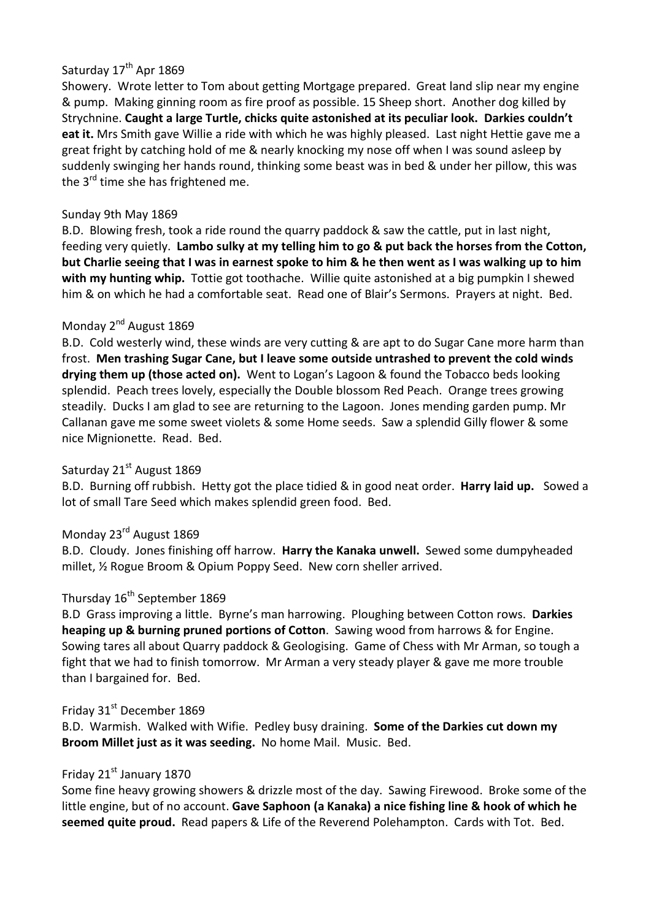# Saturday 17<sup>th</sup> Apr 1869

Showery. Wrote letter to Tom about getting Mortgage prepared. Great land slip near my engine & pump. Making ginning room as fire proof as possible. 15 Sheep short. Another dog killed by Strychnine. **Caught a large Turtle, chicks quite astonished at its peculiar look. Darkies couldn't eat it.** Mrs Smith gave Willie a ride with which he was highly pleased. Last night Hettie gave me a great fright by catching hold of me & nearly knocking my nose off when I was sound asleep by suddenly swinging her hands round, thinking some beast was in bed & under her pillow, this was the  $3^{rd}$  time she has frightened me.

### Sunday 9th May 1869

B.D. Blowing fresh, took a ride round the quarry paddock & saw the cattle, put in last night, feeding very quietly. **Lambo sulky at my telling him to go & put back the horses from the Cotton, but Charlie seeing that I was in earnest spoke to him & he then went as I was walking up to him with my hunting whip.** Tottie got toothache. Willie quite astonished at a big pumpkin I shewed him & on which he had a comfortable seat. Read one of Blair's Sermons. Prayers at night. Bed.

### Monday 2<sup>nd</sup> August 1869

B.D. Cold westerly wind, these winds are very cutting & are apt to do Sugar Cane more harm than frost. **Men trashing Sugar Cane, but I leave some outside untrashed to prevent the cold winds drying them up (those acted on).** Went to Logan's Lagoon & found the Tobacco beds looking splendid. Peach trees lovely, especially the Double blossom Red Peach. Orange trees growing steadily. Ducks I am glad to see are returning to the Lagoon. Jones mending garden pump. Mr Callanan gave me some sweet violets & some Home seeds. Saw a splendid Gilly flower & some nice Mignionette. Read. Bed.

# Saturday 21<sup>st</sup> August 1869

B.D. Burning off rubbish. Hetty got the place tidied & in good neat order. **Harry laid up.** Sowed a lot of small Tare Seed which makes splendid green food. Bed.

# Monday 23rd August 1869

B.D. Cloudy. Jones finishing off harrow. **Harry the Kanaka unwell.** Sewed some dumpyheaded millet, ½ Rogue Broom & Opium Poppy Seed. New corn sheller arrived.

# Thursday 16<sup>th</sup> September 1869

B.D Grass improving a little. Byrne's man harrowing. Ploughing between Cotton rows. **Darkies heaping up & burning pruned portions of Cotton**. Sawing wood from harrows & for Engine. Sowing tares all about Quarry paddock & Geologising. Game of Chess with Mr Arman, so tough a fight that we had to finish tomorrow. Mr Arman a very steady player & gave me more trouble than I bargained for. Bed.

#### Friday 31<sup>st</sup> December 1869

B.D. Warmish. Walked with Wifie. Pedley busy draining. **Some of the Darkies cut down my Broom Millet just as it was seeding.** No home Mail. Music. Bed.

### Friday 21<sup>st</sup> January 1870

Some fine heavy growing showers & drizzle most of the day. Sawing Firewood. Broke some of the little engine, but of no account. **Gave Saphoon (a Kanaka) a nice fishing line & hook of which he seemed quite proud.** Read papers & Life of the Reverend Polehampton. Cards with Tot. Bed.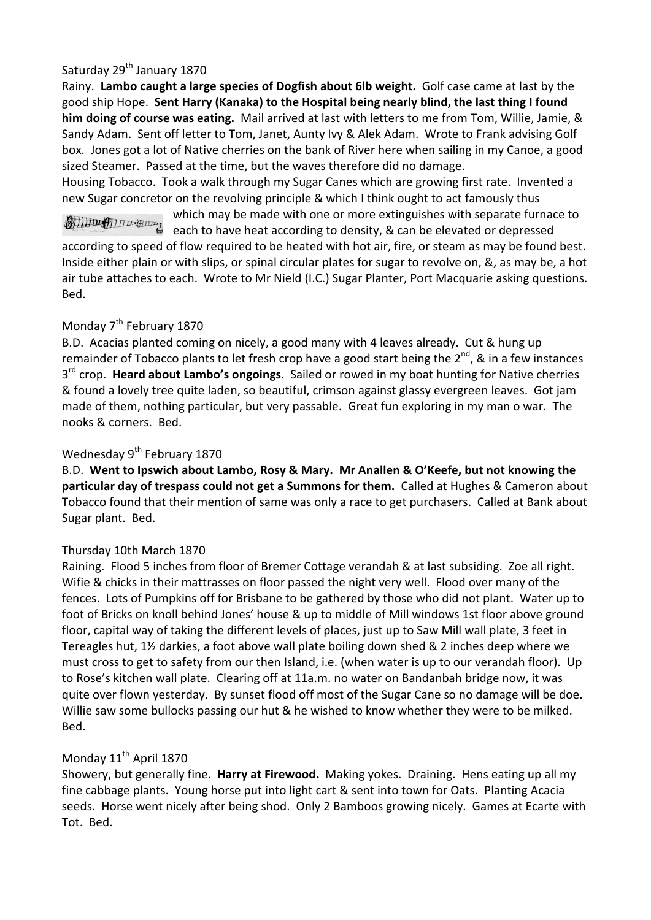# Saturday 29<sup>th</sup> January 1870

Rainy. **Lambo caught a large species of Dogfish about 6lb weight.** Golf case came at last by the good ship Hope. **Sent Harry (Kanaka) to the Hospital being nearly blind, the last thing I found him doing of course was eating.** Mail arrived at last with letters to me from Tom, Willie, Jamie, & Sandy Adam. Sent off letter to Tom, Janet, Aunty Ivy & Alek Adam. Wrote to Frank advising Golf box. Jones got a lot of Native cherries on the bank of River here when sailing in my Canoe, a good sized Steamer. Passed at the time, but the waves therefore did no damage.

Housing Tobacco. Took a walk through my Sugar Canes which are growing first rate. Invented a new Sugar concretor on the revolving principle & which I think ought to act famously thus

which may be made with one or more extinguishes with separate furnace to which may be made with one of more change.<br>each to have heat according to density, & can be elevated or depressed<br>found according to speed of flow required to be heated with hot air, fire, or steam as may be found best. Inside either plain or with slips, or spinal circular plates for sugar to revolve on, &, as may be, a hot air tube attaches to each. Wrote to Mr Nield (I.C.) Sugar Planter, Port Macquarie asking questions. Bed.

### Monday  $7<sup>th</sup>$  February 1870

B.D. Acacias planted coming on nicely, a good many with 4 leaves already. Cut & hung up remainder of Tobacco plants to let fresh crop have a good start being the  $2^{nd}$ , & in a few instances 3<sup>rd</sup> crop. Heard about Lambo's ongoings. Sailed or rowed in my boat hunting for Native cherries & found a lovely tree quite laden, so beautiful, crimson against glassy evergreen leaves. Got jam made of them, nothing particular, but very passable. Great fun exploring in my man o war. The nooks & corners. Bed.

# Wednesday 9<sup>th</sup> February 1870

B.D. **Went to Ipswich about Lambo, Rosy & Mary. Mr Anallen & O'Keefe, but not knowing the particular day of trespass could not get a Summons for them.** Called at Hughes & Cameron about Tobacco found that their mention of same was only a race to get purchasers. Called at Bank about Sugar plant. Bed.

#### Thursday 10th March 1870

Raining. Flood 5 inches from floor of Bremer Cottage verandah & at last subsiding. Zoe all right. Wifie & chicks in their mattrasses on floor passed the night very well. Flood over many of the fences. Lots of Pumpkins off for Brisbane to be gathered by those who did not plant. Water up to foot of Bricks on knoll behind Jones' house & up to middle of Mill windows 1st floor above ground floor, capital way of taking the different levels of places, just up to Saw Mill wall plate, 3 feet in Tereagles hut, 1½ darkies, a foot above wall plate boiling down shed & 2 inches deep where we must cross to get to safety from our then Island, i.e. (when water is up to our verandah floor). Up to Rose's kitchen wall plate. Clearing off at 11a.m. no water on Bandanbah bridge now, it was quite over flown yesterday. By sunset flood off most of the Sugar Cane so no damage will be doe. Willie saw some bullocks passing our hut & he wished to know whether they were to be milked. Bed.

# Monday 11<sup>th</sup> April 1870

Showery, but generally fine. **Harry at Firewood.** Making yokes. Draining. Hens eating up all my fine cabbage plants. Young horse put into light cart & sent into town for Oats. Planting Acacia seeds. Horse went nicely after being shod. Only 2 Bamboos growing nicely. Games at Ecarte with Tot. Bed.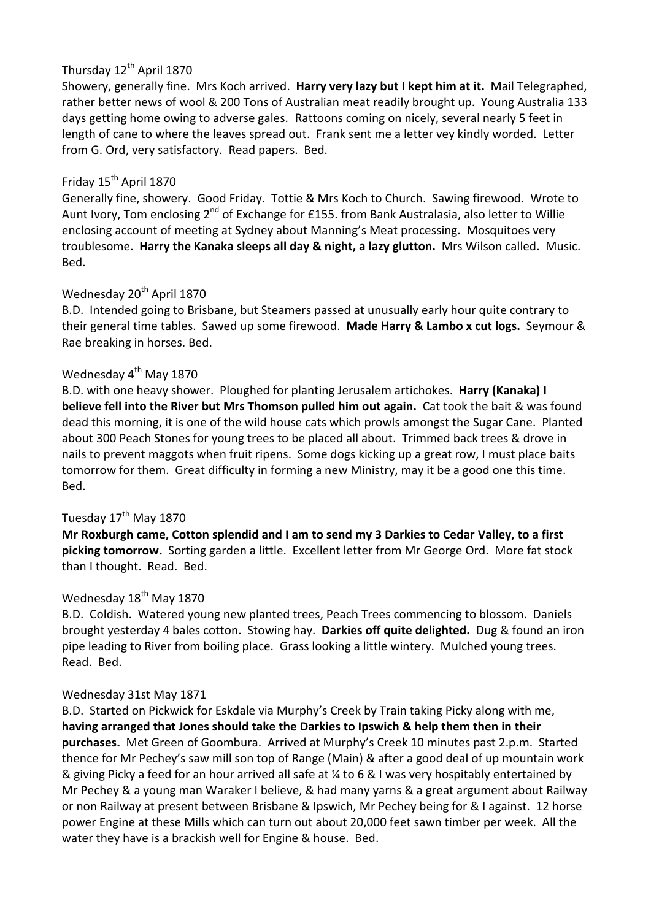# Thursday 12<sup>th</sup> April 1870

Showery, generally fine. Mrs Koch arrived. **Harry very lazy but I kept him at it.** Mail Telegraphed, rather better news of wool & 200 Tons of Australian meat readily brought up. Young Australia 133 days getting home owing to adverse gales. Rattoons coming on nicely, several nearly 5 feet in length of cane to where the leaves spread out. Frank sent me a letter vey kindly worded. Letter from G. Ord, very satisfactory. Read papers. Bed.

# Friday 15<sup>th</sup> April 1870

Generally fine, showery. Good Friday. Tottie & Mrs Koch to Church. Sawing firewood. Wrote to Aunt Ivory, Tom enclosing 2<sup>nd</sup> of Exchange for £155. from Bank Australasia, also letter to Willie enclosing account of meeting at Sydney about Manning's Meat processing. Mosquitoes very troublesome. **Harry the Kanaka sleeps all day & night, a lazy glutton.** Mrs Wilson called. Music. Bed.

# Wednesday 20<sup>th</sup> April 1870

B.D. Intended going to Brisbane, but Steamers passed at unusually early hour quite contrary to their general time tables. Sawed up some firewood. **Made Harry & Lambo x cut logs.** Seymour & Rae breaking in horses. Bed.

# Wednesday 4<sup>th</sup> May 1870

B.D. with one heavy shower. Ploughed for planting Jerusalem artichokes. **Harry (Kanaka) I believe fell into the River but Mrs Thomson pulled him out again.** Cat took the bait & was found dead this morning, it is one of the wild house cats which prowls amongst the Sugar Cane. Planted about 300 Peach Stones for young trees to be placed all about. Trimmed back trees & drove in nails to prevent maggots when fruit ripens. Some dogs kicking up a great row, I must place baits tomorrow for them. Great difficulty in forming a new Ministry, may it be a good one this time. Bed.

# Tuesday 17<sup>th</sup> May 1870

**Mr Roxburgh came, Cotton splendid and I am to send my 3 Darkies to Cedar Valley, to a first picking tomorrow.** Sorting garden a little. Excellent letter from Mr George Ord. More fat stock than I thought. Read. Bed.

# Wednesday 18<sup>th</sup> May 1870

B.D. Coldish. Watered young new planted trees, Peach Trees commencing to blossom. Daniels brought yesterday 4 bales cotton. Stowing hay. **Darkies off quite delighted.** Dug & found an iron pipe leading to River from boiling place. Grass looking a little wintery. Mulched young trees. Read. Bed.

# Wednesday 31st May 1871

B.D. Started on Pickwick for Eskdale via Murphy's Creek by Train taking Picky along with me, **having arranged that Jones should take the Darkies to Ipswich & help them then in their purchases.** Met Green of Goombura. Arrived at Murphy's Creek 10 minutes past 2.p.m. Started thence for Mr Pechey's saw mill son top of Range (Main) & after a good deal of up mountain work & giving Picky a feed for an hour arrived all safe at ¼ to 6 & I was very hospitably entertained by Mr Pechey & a young man Waraker I believe, & had many yarns & a great argument about Railway or non Railway at present between Brisbane & Ipswich, Mr Pechey being for & I against. 12 horse power Engine at these Mills which can turn out about 20,000 feet sawn timber per week. All the water they have is a brackish well for Engine & house. Bed.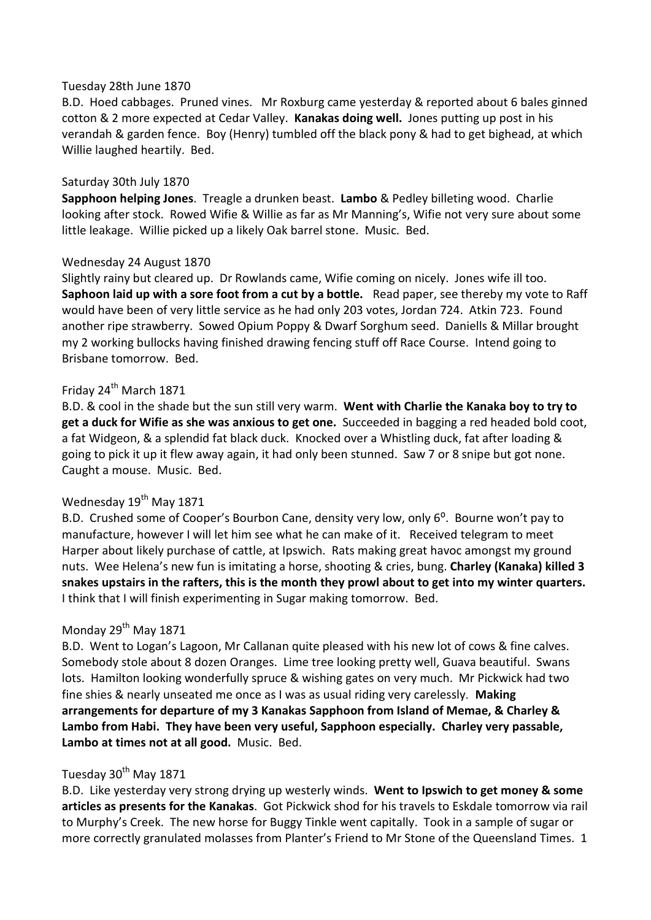#### Tuesday 28th June 1870

B.D. Hoed cabbages. Pruned vines. Mr Roxburg came yesterday & reported about 6 bales ginned cotton & 2 more expected at Cedar Valley. **Kanakas doing well.** Jones putting up post in his verandah & garden fence. Boy (Henry) tumbled off the black pony & had to get bighead, at which Willie laughed heartily. Bed.

#### Saturday 30th July 1870

**Sapphoon helping Jones**. Treagle a drunken beast. **Lambo** & Pedley billeting wood. Charlie looking after stock. Rowed Wifie & Willie as far as Mr Manning's, Wifie not very sure about some little leakage. Willie picked up a likely Oak barrel stone. Music. Bed.

#### Wednesday 24 August 1870

Slightly rainy but cleared up. Dr Rowlands came, Wifie coming on nicely. Jones wife ill too. **Saphoon laid up with a sore foot from a cut by a bottle.** Read paper, see thereby my vote to Raff would have been of very little service as he had only 203 votes, Jordan 724. Atkin 723. Found another ripe strawberry. Sowed Opium Poppy & Dwarf Sorghum seed. Daniells & Millar brought my 2 working bullocks having finished drawing fencing stuff off Race Course. Intend going to Brisbane tomorrow. Bed.

# Fridav 24<sup>th</sup> March 1871

B.D. & cool in the shade but the sun still very warm. **Went with Charlie the Kanaka boy to try to get a duck for Wifie as she was anxious to get one.** Succeeded in bagging a red headed bold coot, a fat Widgeon, & a splendid fat black duck. Knocked over a Whistling duck, fat after loading & going to pick it up it flew away again, it had only been stunned. Saw 7 or 8 snipe but got none. Caught a mouse. Music. Bed.

# Wednesday  $19<sup>th</sup>$  May 1871

B.D. Crushed some of Cooper's Bourbon Cane, density very low, only 6<sup>o</sup>. Bourne won't pay to manufacture, however I will let him see what he can make of it. Received telegram to meet Harper about likely purchase of cattle, at Ipswich. Rats making great havoc amongst my ground nuts. Wee Helena's new fun is imitating a horse, shooting & cries, bung. **Charley (Kanaka) killed 3 snakes upstairs in the rafters, this is the month they prowl about to get into my winter quarters.** I think that I will finish experimenting in Sugar making tomorrow. Bed.

# Monday 29<sup>th</sup> May 1871

B.D. Went to Logan's Lagoon, Mr Callanan quite pleased with his new lot of cows & fine calves. Somebody stole about 8 dozen Oranges. Lime tree looking pretty well, Guava beautiful. Swans lots. Hamilton looking wonderfully spruce & wishing gates on very much. Mr Pickwick had two fine shies & nearly unseated me once as I was as usual riding very carelessly. **Making arrangements for departure of my 3 Kanakas Sapphoon from Island of Memae, & Charley & Lambo from Habi. They have been very useful, Sapphoon especially. Charley very passable, Lambo at times not at all good.** Music. Bed.

# Tuesday 30<sup>th</sup> May 1871

B.D. Like yesterday very strong drying up westerly winds. **Went to Ipswich to get money & some articles as presents for the Kanakas**. Got Pickwick shod for his travels to Eskdale tomorrow via rail to Murphy's Creek. The new horse for Buggy Tinkle went capitally. Took in a sample of sugar or more correctly granulated molasses from Planter's Friend to Mr Stone of the Queensland Times. 1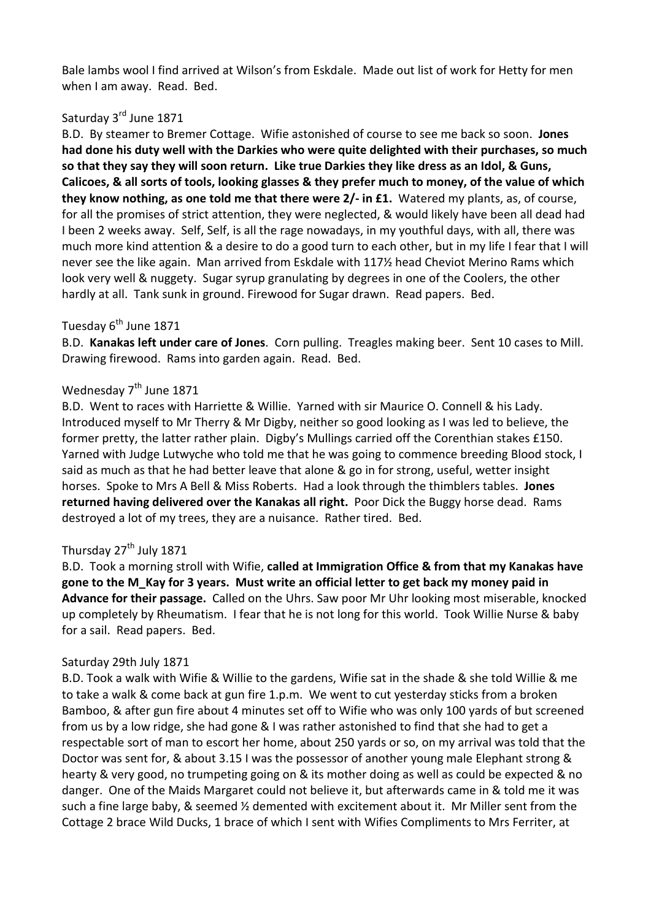Bale lambs wool I find arrived at Wilson's from Eskdale. Made out list of work for Hetty for men when I am away. Read. Bed.

# Saturday 3<sup>rd</sup> June 1871

B.D. By steamer to Bremer Cottage. Wifie astonished of course to see me back so soon. **Jones had done his duty well with the Darkies who were quite delighted with their purchases, so much so that they say they will soon return. Like true Darkies they like dress as an Idol, & Guns, Calicoes, & all sorts of tools, looking glasses & they prefer much to money, of the value of which they know nothing, as one told me that there were 2/- in £1.** Watered my plants, as, of course, for all the promises of strict attention, they were neglected, & would likely have been all dead had I been 2 weeks away. Self, Self, is all the rage nowadays, in my youthful days, with all, there was much more kind attention & a desire to do a good turn to each other, but in my life I fear that I will never see the like again. Man arrived from Eskdale with 117½ head Cheviot Merino Rams which look very well & nuggety. Sugar syrup granulating by degrees in one of the Coolers, the other hardly at all. Tank sunk in ground. Firewood for Sugar drawn. Read papers. Bed.

#### Tuesday  $6^{th}$  June 1871

B.D. **Kanakas left under care of Jones**. Corn pulling. Treagles making beer. Sent 10 cases to Mill. Drawing firewood. Rams into garden again. Read. Bed.

# Wednesday  $7<sup>th</sup>$  June 1871

B.D. Went to races with Harriette & Willie. Yarned with sir Maurice O. Connell & his Lady. Introduced myself to Mr Therry & Mr Digby, neither so good looking as I was led to believe, the former pretty, the latter rather plain. Digby's Mullings carried off the Corenthian stakes £150. Yarned with Judge Lutwyche who told me that he was going to commence breeding Blood stock, I said as much as that he had better leave that alone & go in for strong, useful, wetter insight horses. Spoke to Mrs A Bell & Miss Roberts. Had a look through the thimblers tables. **Jones returned having delivered over the Kanakas all right.** Poor Dick the Buggy horse dead. Rams destroyed a lot of my trees, they are a nuisance. Rather tired. Bed.

# Thursday 27<sup>th</sup> July 1871

B.D. Took a morning stroll with Wifie, **called at Immigration Office & from that my Kanakas have gone to the M\_Kay for 3 years. Must write an official letter to get back my money paid in Advance for their passage.** Called on the Uhrs. Saw poor Mr Uhr looking most miserable, knocked up completely by Rheumatism. I fear that he is not long for this world. Took Willie Nurse & baby for a sail. Read papers. Bed.

#### Saturday 29th July 1871

B.D. Took a walk with Wifie & Willie to the gardens, Wifie sat in the shade & she told Willie & me to take a walk & come back at gun fire 1.p.m. We went to cut yesterday sticks from a broken Bamboo, & after gun fire about 4 minutes set off to Wifie who was only 100 yards of but screened from us by a low ridge, she had gone & I was rather astonished to find that she had to get a respectable sort of man to escort her home, about 250 yards or so, on my arrival was told that the Doctor was sent for, & about 3.15 I was the possessor of another young male Elephant strong & hearty & very good, no trumpeting going on & its mother doing as well as could be expected & no danger. One of the Maids Margaret could not believe it, but afterwards came in & told me it was such a fine large baby, & seemed ½ demented with excitement about it. Mr Miller sent from the Cottage 2 brace Wild Ducks, 1 brace of which I sent with Wifies Compliments to Mrs Ferriter, at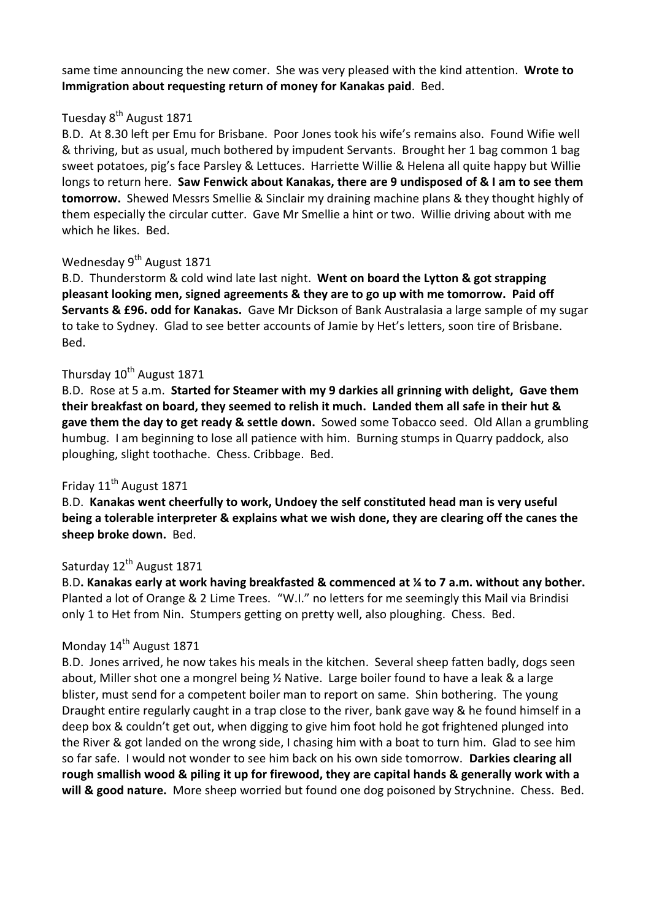same time announcing the new comer. She was very pleased with the kind attention. **Wrote to Immigration about requesting return of money for Kanakas paid**. Bed.

# Tuesday 8<sup>th</sup> August 1871

B.D. At 8.30 left per Emu for Brisbane. Poor Jones took his wife's remains also. Found Wifie well & thriving, but as usual, much bothered by impudent Servants. Brought her 1 bag common 1 bag sweet potatoes, pig's face Parsley & Lettuces. Harriette Willie & Helena all quite happy but Willie longs to return here. **Saw Fenwick about Kanakas, there are 9 undisposed of & I am to see them tomorrow.** Shewed Messrs Smellie & Sinclair my draining machine plans & they thought highly of them especially the circular cutter. Gave Mr Smellie a hint or two. Willie driving about with me which he likes. Bed.

### Wednesday 9<sup>th</sup> August 1871

B.D. Thunderstorm & cold wind late last night. **Went on board the Lytton & got strapping pleasant looking men, signed agreements & they are to go up with me tomorrow. Paid off Servants & £96. odd for Kanakas.** Gave Mr Dickson of Bank Australasia a large sample of my sugar to take to Sydney. Glad to see better accounts of Jamie by Het's letters, soon tire of Brisbane. Bed.

### Thursday  $10^{th}$  August 1871

B.D. Rose at 5 a.m. **Started for Steamer with my 9 darkies all grinning with delight, Gave them their breakfast on board, they seemed to relish it much. Landed them all safe in their hut & gave them the day to get ready & settle down.** Sowed some Tobacco seed. Old Allan a grumbling humbug. I am beginning to lose all patience with him. Burning stumps in Quarry paddock, also ploughing, slight toothache. Chess. Cribbage. Bed.

# Friday 11<sup>th</sup> August 1871

B.D. **Kanakas went cheerfully to work, Undoey the self constituted head man is very useful being a tolerable interpreter & explains what we wish done, they are clearing off the canes the sheep broke down.** Bed.

# Saturday 12<sup>th</sup> August 1871

B.D**. Kanakas early at work having breakfasted & commenced at ¼ to 7 a.m. without any bother.**  Planted a lot of Orange & 2 Lime Trees. "W.I." no letters for me seemingly this Mail via Brindisi only 1 to Het from Nin. Stumpers getting on pretty well, also ploughing. Chess. Bed.

# Monday 14<sup>th</sup> August 1871

B.D. Jones arrived, he now takes his meals in the kitchen. Several sheep fatten badly, dogs seen about, Miller shot one a mongrel being ½ Native. Large boiler found to have a leak & a large blister, must send for a competent boiler man to report on same. Shin bothering. The young Draught entire regularly caught in a trap close to the river, bank gave way & he found himself in a deep box & couldn't get out, when digging to give him foot hold he got frightened plunged into the River & got landed on the wrong side, I chasing him with a boat to turn him. Glad to see him so far safe. I would not wonder to see him back on his own side tomorrow. **Darkies clearing all rough smallish wood & piling it up for firewood, they are capital hands & generally work with a will & good nature.** More sheep worried but found one dog poisoned by Strychnine. Chess. Bed.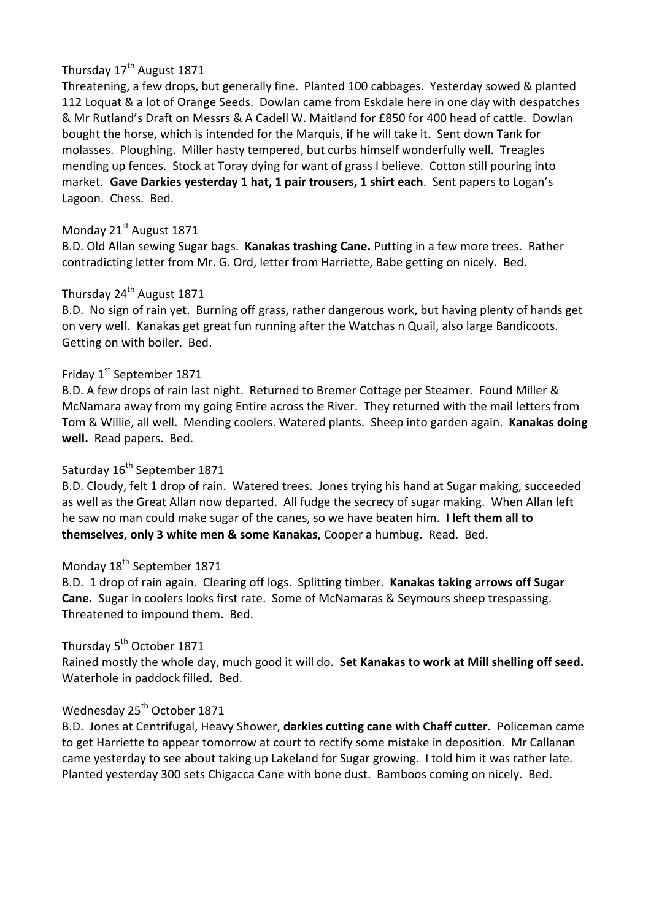# Thursday 17<sup>th</sup> August 1871

Threatening, a few drops, but generally fine. Planted 100 cabbages. Yesterday sowed & planted 112 Loquat & a lot of Orange Seeds. Dowlan came from Eskdale here in one day with despatches & Mr Rutland's Draft on Messrs & A Cadell W. Maitland for £850 for 400 head of cattle. Dowlan bought the horse, which is intended for the Marquis, if he will take it. Sent down Tank for molasses. Ploughing. Miller hasty tempered, but curbs himself wonderfully well. Treagles mending up fences. Stock at Toray dying for want of grass I believe. Cotton still pouring into market. **Gave Darkies yesterday 1 hat, 1 pair trousers, 1 shirt each**. Sent papers to Logan's Lagoon. Chess. Bed.

# Monday 21<sup>st</sup> August 1871

B.D. Old Allan sewing Sugar bags. **Kanakas trashing Cane.** Putting in a few more trees. Rather contradicting letter from Mr. G. Ord, letter from Harriette, Babe getting on nicely. Bed.

# Thursday 24<sup>th</sup> August 1871

B.D. No sign of rain yet. Burning off grass, rather dangerous work, but having plenty of hands get on very well. Kanakas get great fun running after the Watchas n Quail, also large Bandicoots. Getting on with boiler. Bed.

# Friday 1<sup>st</sup> September 1871

B.D. A few drops of rain last night. Returned to Bremer Cottage per Steamer. Found Miller & McNamara away from my going Entire across the River. They returned with the mail letters from Tom & Willie, all well. Mending coolers. Watered plants. Sheep into garden again. **Kanakas doing well.** Read papers. Bed.

# Saturday 16<sup>th</sup> September 1871

B.D. Cloudy, felt 1 drop of rain. Watered trees. Jones trying his hand at Sugar making, succeeded as well as the Great Allan now departed. All fudge the secrecy of sugar making. When Allan left he saw no man could make sugar of the canes, so we have beaten him. **I left them all to themselves, only 3 white men & some Kanakas,** Cooper a humbug. Read. Bed.

# Monday 18<sup>th</sup> September 1871

B.D. 1 drop of rain again. Clearing off logs. Splitting timber. **Kanakas taking arrows off Sugar Cane.** Sugar in coolers looks first rate. Some of McNamaras & Seymours sheep trespassing. Threatened to impound them. Bed.

# Thursday 5<sup>th</sup> October 1871

Rained mostly the whole day, much good it will do. **Set Kanakas to work at Mill shelling off seed.** Waterhole in paddock filled. Bed.

# Wednesday 25<sup>th</sup> October 1871

B.D. Jones at Centrifugal, Heavy Shower, **darkies cutting cane with Chaff cutter.** Policeman came to get Harriette to appear tomorrow at court to rectify some mistake in deposition. Mr Callanan came yesterday to see about taking up Lakeland for Sugar growing. I told him it was rather late. Planted yesterday 300 sets Chigacca Cane with bone dust. Bamboos coming on nicely. Bed.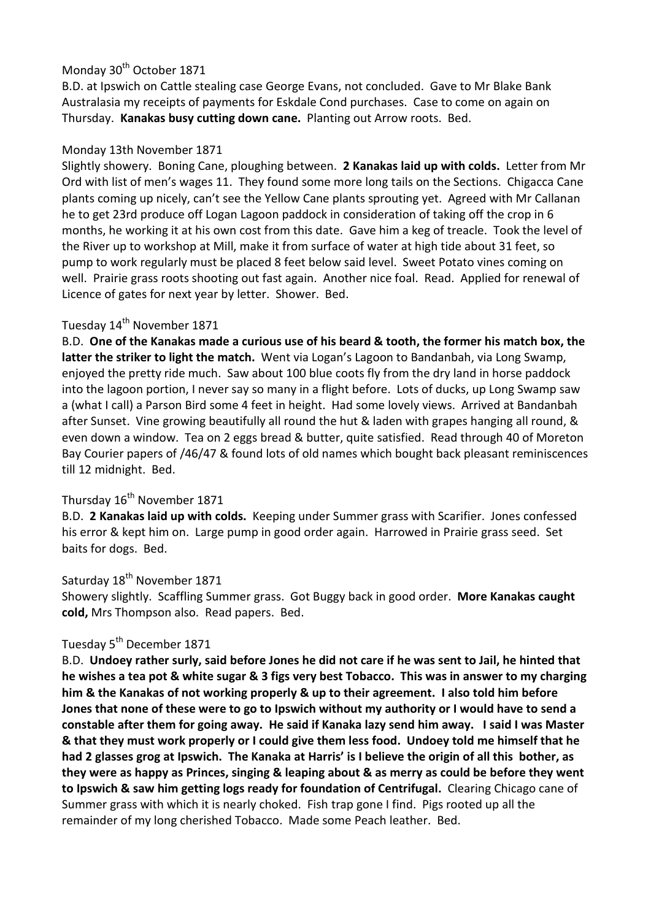# Monday 30<sup>th</sup> October 1871

B.D. at Ipswich on Cattle stealing case George Evans, not concluded. Gave to Mr Blake Bank Australasia my receipts of payments for Eskdale Cond purchases. Case to come on again on Thursday. **Kanakas busy cutting down cane.** Planting out Arrow roots. Bed.

#### Monday 13th November 1871

Slightly showery. Boning Cane, ploughing between. **2 Kanakas laid up with colds.** Letter from Mr Ord with list of men's wages 11. They found some more long tails on the Sections. Chigacca Cane plants coming up nicely, can't see the Yellow Cane plants sprouting yet. Agreed with Mr Callanan he to get 23rd produce off Logan Lagoon paddock in consideration of taking off the crop in 6 months, he working it at his own cost from this date. Gave him a keg of treacle. Took the level of the River up to workshop at Mill, make it from surface of water at high tide about 31 feet, so pump to work regularly must be placed 8 feet below said level. Sweet Potato vines coming on well. Prairie grass roots shooting out fast again. Another nice foal. Read. Applied for renewal of Licence of gates for next year by letter. Shower. Bed.

# Tuesday 14<sup>th</sup> November 1871

B.D. **One of the Kanakas made a curious use of his beard & tooth, the former his match box, the latter the striker to light the match.** Went via Logan's Lagoon to Bandanbah, via Long Swamp, enjoyed the pretty ride much. Saw about 100 blue coots fly from the dry land in horse paddock into the lagoon portion, I never say so many in a flight before. Lots of ducks, up Long Swamp saw a (what I call) a Parson Bird some 4 feet in height. Had some lovely views. Arrived at Bandanbah after Sunset. Vine growing beautifully all round the hut & laden with grapes hanging all round, & even down a window. Tea on 2 eggs bread & butter, quite satisfied. Read through 40 of Moreton Bay Courier papers of /46/47 & found lots of old names which bought back pleasant reminiscences till 12 midnight. Bed.

### Thursday 16<sup>th</sup> November 1871

B.D. **2 Kanakas laid up with colds.** Keeping under Summer grass with Scarifier. Jones confessed his error & kept him on. Large pump in good order again. Harrowed in Prairie grass seed. Set baits for dogs. Bed.

# Saturday 18<sup>th</sup> November 1871

Showery slightly. Scaffling Summer grass. Got Buggy back in good order. **More Kanakas caught cold,** Mrs Thompson also. Read papers. Bed.

### Tuesday 5<sup>th</sup> December 1871

B.D. **Undoey rather surly, said before Jones he did not care if he was sent to Jail, he hinted that he wishes a tea pot & white sugar & 3 figs very best Tobacco. This was in answer to my charging him & the Kanakas of not working properly & up to their agreement. I also told him before Jones that none of these were to go to Ipswich without my authority or I would have to send a constable after them for going away. He said if Kanaka lazy send him away. I said I was Master & that they must work properly or I could give them less food. Undoey told me himself that he had 2 glasses grog at Ipswich. The Kanaka at Harris' is I believe the origin of all this bother, as they were as happy as Princes, singing & leaping about & as merry as could be before they went to Ipswich & saw him getting logs ready for foundation of Centrifugal.** Clearing Chicago cane of Summer grass with which it is nearly choked. Fish trap gone I find. Pigs rooted up all the remainder of my long cherished Tobacco. Made some Peach leather. Bed.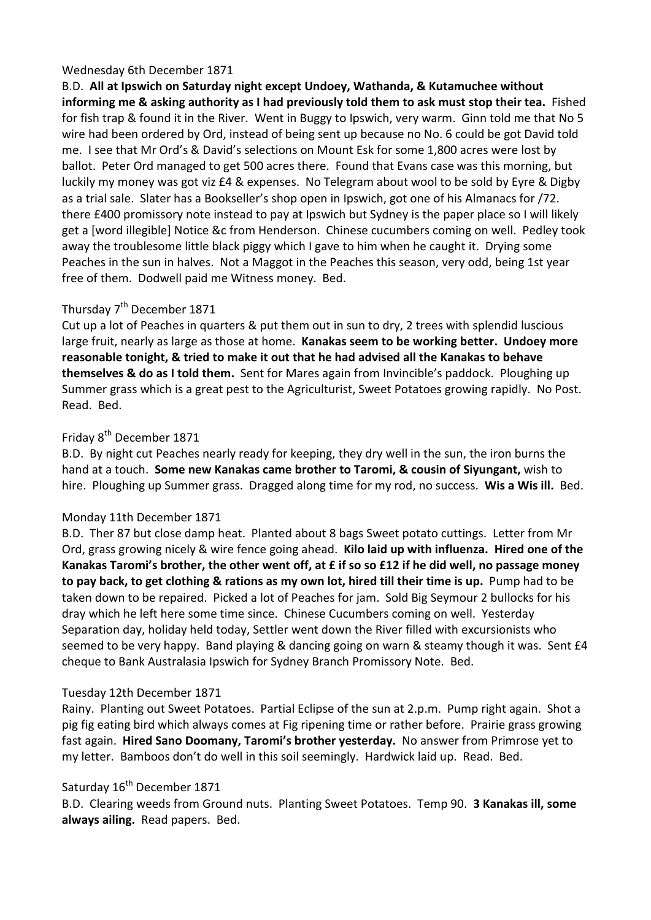#### Wednesday 6th December 1871

B.D. **All at Ipswich on Saturday night except Undoey, Wathanda, & Kutamuchee without informing me & asking authority as I had previously told them to ask must stop their tea.** Fished for fish trap & found it in the River. Went in Buggy to Ipswich, very warm. Ginn told me that No 5 wire had been ordered by Ord, instead of being sent up because no No. 6 could be got David told me. I see that Mr Ord's & David's selections on Mount Esk for some 1,800 acres were lost by ballot. Peter Ord managed to get 500 acres there. Found that Evans case was this morning, but luckily my money was got viz £4 & expenses. No Telegram about wool to be sold by Eyre & Digby as a trial sale. Slater has a Bookseller's shop open in Ipswich, got one of his Almanacs for /72. there £400 promissory note instead to pay at Ipswich but Sydney is the paper place so I will likely get a [word illegible] Notice &c from Henderson. Chinese cucumbers coming on well. Pedley took away the troublesome little black piggy which I gave to him when he caught it. Drying some Peaches in the sun in halves. Not a Maggot in the Peaches this season, very odd, being 1st year free of them. Dodwell paid me Witness money. Bed.

# Thursday 7<sup>th</sup> December 1871

Cut up a lot of Peaches in quarters & put them out in sun to dry, 2 trees with splendid luscious large fruit, nearly as large as those at home. **Kanakas seem to be working better. Undoey more reasonable tonight, & tried to make it out that he had advised all the Kanakas to behave themselves & do as I told them.** Sent for Mares again from Invincible's paddock. Ploughing up Summer grass which is a great pest to the Agriculturist, Sweet Potatoes growing rapidly. No Post. Read. Bed.

# Friday 8<sup>th</sup> December 1871

B.D. By night cut Peaches nearly ready for keeping, they dry well in the sun, the iron burns the hand at a touch. **Some new Kanakas came brother to Taromi, & cousin of Siyungant,** wish to hire. Ploughing up Summer grass. Dragged along time for my rod, no success. **Wis a Wis ill.** Bed.

# Monday 11th December 1871

B.D. Ther 87 but close damp heat. Planted about 8 bags Sweet potato cuttings. Letter from Mr Ord, grass growing nicely & wire fence going ahead. **Kilo laid up with influenza. Hired one of the Kanakas Taromi's brother, the other went off, at £ if so so £12 if he did well, no passage money to pay back, to get clothing & rations as my own lot, hired till their time is up.** Pump had to be taken down to be repaired. Picked a lot of Peaches for jam. Sold Big Seymour 2 bullocks for his dray which he left here some time since. Chinese Cucumbers coming on well. Yesterday Separation day, holiday held today, Settler went down the River filled with excursionists who seemed to be very happy. Band playing & dancing going on warn & steamy though it was. Sent £4 cheque to Bank Australasia Ipswich for Sydney Branch Promissory Note. Bed.

# Tuesday 12th December 1871

Rainy. Planting out Sweet Potatoes. Partial Eclipse of the sun at 2.p.m. Pump right again. Shot a pig fig eating bird which always comes at Fig ripening time or rather before. Prairie grass growing fast again. **Hired Sano Doomany, Taromi's brother yesterday.** No answer from Primrose yet to my letter. Bamboos don't do well in this soil seemingly. Hardwick laid up. Read. Bed.

# Saturday 16<sup>th</sup> December 1871

B.D. Clearing weeds from Ground nuts. Planting Sweet Potatoes. Temp 90. **3 Kanakas ill, some always ailing.** Read papers. Bed.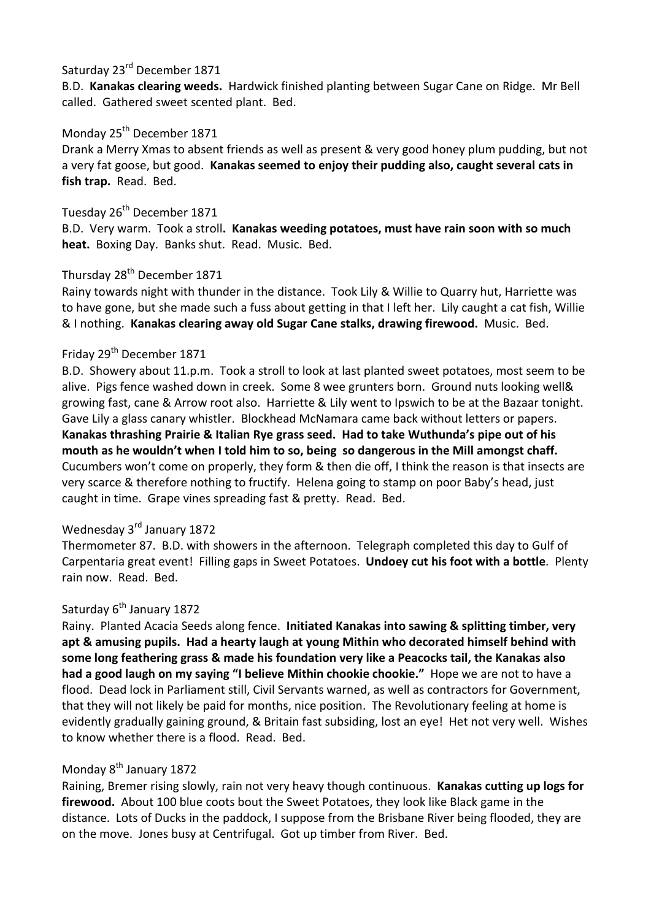# Saturday 23<sup>rd</sup> December 1871

B.D. **Kanakas clearing weeds.** Hardwick finished planting between Sugar Cane on Ridge. Mr Bell called. Gathered sweet scented plant. Bed.

### Monday 25<sup>th</sup> December 1871

Drank a Merry Xmas to absent friends as well as present & very good honey plum pudding, but not a very fat goose, but good. **Kanakas seemed to enjoy their pudding also, caught several cats in fish trap.** Read. Bed.

# Tuesday 26<sup>th</sup> December 1871

B.D. Very warm. Took a stroll**. Kanakas weeding potatoes, must have rain soon with so much heat.** Boxing Day. Banks shut. Read. Music. Bed.

### Thursday 28<sup>th</sup> December 1871

Rainy towards night with thunder in the distance. Took Lily & Willie to Quarry hut, Harriette was to have gone, but she made such a fuss about getting in that I left her. Lily caught a cat fish, Willie & I nothing. **Kanakas clearing away old Sugar Cane stalks, drawing firewood.** Music. Bed.

# Friday 29<sup>th</sup> December 1871

B.D. Showery about 11.p.m. Took a stroll to look at last planted sweet potatoes, most seem to be alive. Pigs fence washed down in creek. Some 8 wee grunters born. Ground nuts looking well& growing fast, cane & Arrow root also. Harriette & Lily went to Ipswich to be at the Bazaar tonight. Gave Lily a glass canary whistler. Blockhead McNamara came back without letters or papers. **Kanakas thrashing Prairie & Italian Rye grass seed. Had to take Wuthunda's pipe out of his mouth as he wouldn't when I told him to so, being so dangerous in the Mill amongst chaff.** Cucumbers won't come on properly, they form & then die off, I think the reason is that insects are very scarce & therefore nothing to fructify. Helena going to stamp on poor Baby's head, just caught in time. Grape vines spreading fast & pretty. Read. Bed.

# Wednesday 3rd January 1872

Thermometer 87. B.D. with showers in the afternoon. Telegraph completed this day to Gulf of Carpentaria great event! Filling gaps in Sweet Potatoes. **Undoey cut his foot with a bottle**. Plenty rain now. Read. Bed.

### Saturday 6<sup>th</sup> January 1872

Rainy. Planted Acacia Seeds along fence. **Initiated Kanakas into sawing & splitting timber, very apt & amusing pupils. Had a hearty laugh at young Mithin who decorated himself behind with some long feathering grass & made his foundation very like a Peacocks tail, the Kanakas also had a good laugh on my saying "I believe Mithin chookie chookie."** Hope we are not to have a flood. Dead lock in Parliament still, Civil Servants warned, as well as contractors for Government, that they will not likely be paid for months, nice position. The Revolutionary feeling at home is evidently gradually gaining ground, & Britain fast subsiding, lost an eye! Het not very well. Wishes to know whether there is a flood. Read. Bed.

### Monday 8<sup>th</sup> January 1872

Raining, Bremer rising slowly, rain not very heavy though continuous. **Kanakas cutting up logs for firewood.** About 100 blue coots bout the Sweet Potatoes, they look like Black game in the distance. Lots of Ducks in the paddock, I suppose from the Brisbane River being flooded, they are on the move. Jones busy at Centrifugal. Got up timber from River. Bed.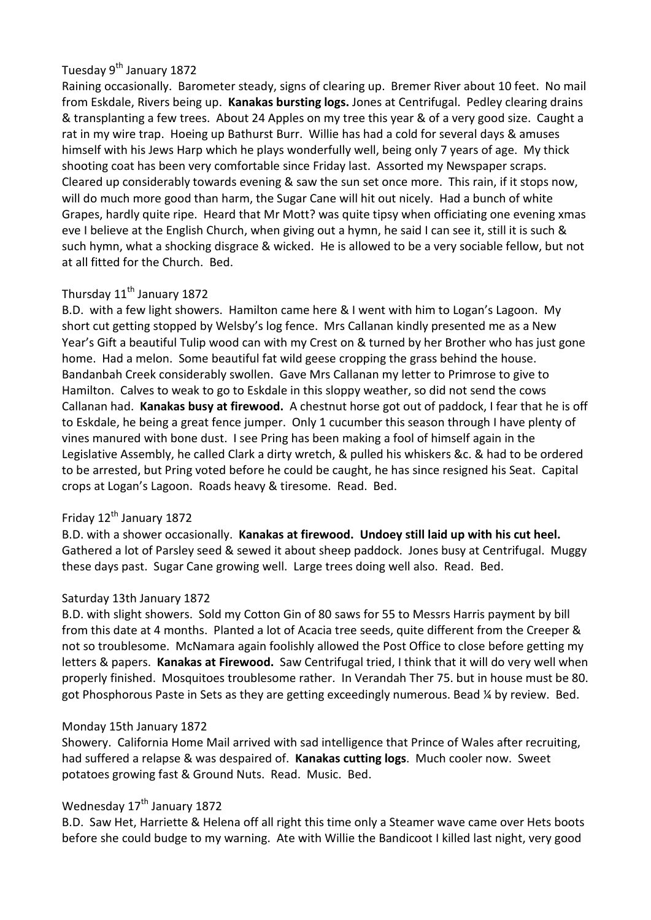# Tuesday 9<sup>th</sup> January 1872

Raining occasionally. Barometer steady, signs of clearing up. Bremer River about 10 feet. No mail from Eskdale, Rivers being up. **Kanakas bursting logs.** Jones at Centrifugal. Pedley clearing drains & transplanting a few trees. About 24 Apples on my tree this year & of a very good size. Caught a rat in my wire trap. Hoeing up Bathurst Burr. Willie has had a cold for several days & amuses himself with his Jews Harp which he plays wonderfully well, being only 7 years of age. My thick shooting coat has been very comfortable since Friday last. Assorted my Newspaper scraps. Cleared up considerably towards evening & saw the sun set once more. This rain, if it stops now, will do much more good than harm, the Sugar Cane will hit out nicely. Had a bunch of white Grapes, hardly quite ripe. Heard that Mr Mott? was quite tipsy when officiating one evening xmas eve I believe at the English Church, when giving out a hymn, he said I can see it, still it is such & such hymn, what a shocking disgrace & wicked. He is allowed to be a very sociable fellow, but not at all fitted for the Church. Bed.

# Thursday 11<sup>th</sup> January 1872

B.D. with a few light showers. Hamilton came here & I went with him to Logan's Lagoon. My short cut getting stopped by Welsby's log fence. Mrs Callanan kindly presented me as a New Year's Gift a beautiful Tulip wood can with my Crest on & turned by her Brother who has just gone home. Had a melon. Some beautiful fat wild geese cropping the grass behind the house. Bandanbah Creek considerably swollen. Gave Mrs Callanan my letter to Primrose to give to Hamilton. Calves to weak to go to Eskdale in this sloppy weather, so did not send the cows Callanan had. **Kanakas busy at firewood.** A chestnut horse got out of paddock, I fear that he is off to Eskdale, he being a great fence jumper. Only 1 cucumber this season through I have plenty of vines manured with bone dust. I see Pring has been making a fool of himself again in the Legislative Assembly, he called Clark a dirty wretch, & pulled his whiskers &c. & had to be ordered to be arrested, but Pring voted before he could be caught, he has since resigned his Seat. Capital crops at Logan's Lagoon. Roads heavy & tiresome. Read. Bed.

# Friday  $12^{th}$  January 1872

B.D. with a shower occasionally. **Kanakas at firewood. Undoey still laid up with his cut heel.** Gathered a lot of Parsley seed & sewed it about sheep paddock. Jones busy at Centrifugal. Muggy these days past. Sugar Cane growing well. Large trees doing well also. Read. Bed.

#### Saturday 13th January 1872

B.D. with slight showers. Sold my Cotton Gin of 80 saws for 55 to Messrs Harris payment by bill from this date at 4 months. Planted a lot of Acacia tree seeds, quite different from the Creeper & not so troublesome. McNamara again foolishly allowed the Post Office to close before getting my letters & papers. **Kanakas at Firewood.** Saw Centrifugal tried, I think that it will do very well when properly finished. Mosquitoes troublesome rather. In Verandah Ther 75. but in house must be 80. got Phosphorous Paste in Sets as they are getting exceedingly numerous. Bead ¼ by review. Bed.

#### Monday 15th January 1872

Showery. California Home Mail arrived with sad intelligence that Prince of Wales after recruiting, had suffered a relapse & was despaired of. **Kanakas cutting logs**. Much cooler now. Sweet potatoes growing fast & Ground Nuts. Read. Music. Bed.

# Wednesday 17<sup>th</sup> January 1872

B.D. Saw Het, Harriette & Helena off all right this time only a Steamer wave came over Hets boots before she could budge to my warning. Ate with Willie the Bandicoot I killed last night, very good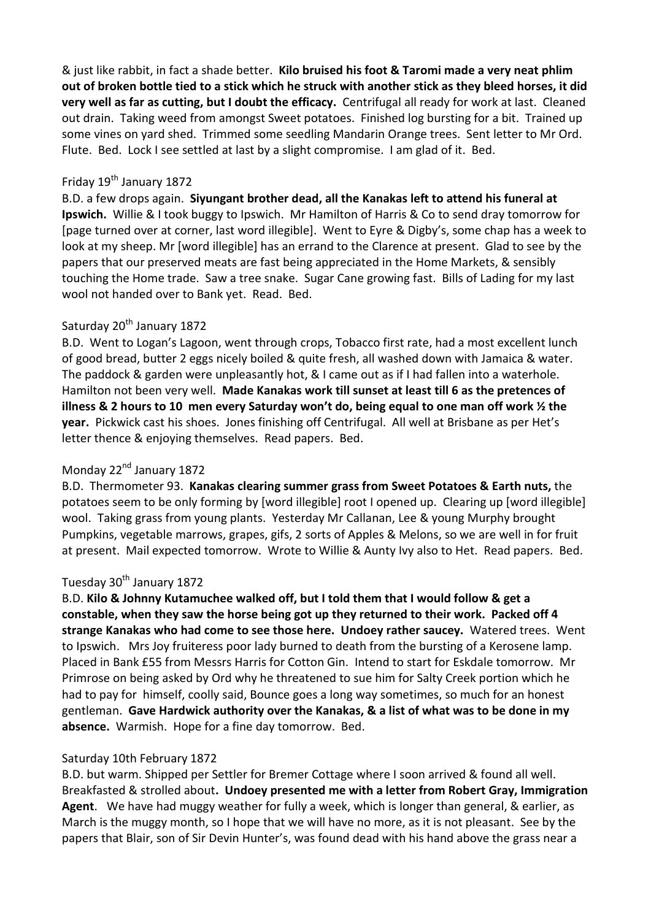& just like rabbit, in fact a shade better. **Kilo bruised his foot & Taromi made a very neat phlim out of broken bottle tied to a stick which he struck with another stick as they bleed horses, it did very well as far as cutting, but I doubt the efficacy.** Centrifugal all ready for work at last. Cleaned out drain. Taking weed from amongst Sweet potatoes. Finished log bursting for a bit. Trained up some vines on yard shed. Trimmed some seedling Mandarin Orange trees. Sent letter to Mr Ord. Flute. Bed. Lock I see settled at last by a slight compromise. I am glad of it. Bed.

#### Friday 19<sup>th</sup> January 1872

B.D. a few drops again. **Siyungant brother dead, all the Kanakas left to attend his funeral at Ipswich.** Willie & I took buggy to Ipswich. Mr Hamilton of Harris & Co to send dray tomorrow for [page turned over at corner, last word illegible]. Went to Eyre & Digby's, some chap has a week to look at my sheep. Mr [word illegible] has an errand to the Clarence at present. Glad to see by the papers that our preserved meats are fast being appreciated in the Home Markets, & sensibly touching the Home trade. Saw a tree snake. Sugar Cane growing fast. Bills of Lading for my last wool not handed over to Bank yet. Read. Bed.

# Saturday 20<sup>th</sup> January 1872

B.D. Went to Logan's Lagoon, went through crops, Tobacco first rate, had a most excellent lunch of good bread, butter 2 eggs nicely boiled & quite fresh, all washed down with Jamaica & water. The paddock & garden were unpleasantly hot, & I came out as if I had fallen into a waterhole. Hamilton not been very well. **Made Kanakas work till sunset at least till 6 as the pretences of illness & 2 hours to 10 men every Saturday won't do, being equal to one man off work ½ the year.** Pickwick cast his shoes. Jones finishing off Centrifugal. All well at Brisbane as per Het's letter thence & enjoying themselves. Read papers. Bed.

# Monday 22<sup>nd</sup> January 1872

B.D. Thermometer 93. **Kanakas clearing summer grass from Sweet Potatoes & Earth nuts,** the potatoes seem to be only forming by [word illegible] root I opened up. Clearing up [word illegible] wool. Taking grass from young plants. Yesterday Mr Callanan, Lee & young Murphy brought Pumpkins, vegetable marrows, grapes, gifs, 2 sorts of Apples & Melons, so we are well in for fruit at present. Mail expected tomorrow. Wrote to Willie & Aunty Ivy also to Het. Read papers. Bed.

### Tuesday 30<sup>th</sup> January 1872

B.D. **Kilo & Johnny Kutamuchee walked off, but I told them that I would follow & get a constable, when they saw the horse being got up they returned to their work. Packed off 4 strange Kanakas who had come to see those here. Undoey rather saucey.** Watered trees. Went to Ipswich. Mrs Joy fruiteress poor lady burned to death from the bursting of a Kerosene lamp. Placed in Bank £55 from Messrs Harris for Cotton Gin. Intend to start for Eskdale tomorrow. Mr Primrose on being asked by Ord why he threatened to sue him for Salty Creek portion which he had to pay for himself, coolly said, Bounce goes a long way sometimes, so much for an honest gentleman. **Gave Hardwick authority over the Kanakas, & a list of what was to be done in my absence.** Warmish. Hope for a fine day tomorrow. Bed.

# Saturday 10th February 1872

B.D. but warm. Shipped per Settler for Bremer Cottage where I soon arrived & found all well. Breakfasted & strolled about**. Undoey presented me with a letter from Robert Gray, Immigration Agent**. We have had muggy weather for fully a week, which is longer than general, & earlier, as March is the muggy month, so I hope that we will have no more, as it is not pleasant. See by the papers that Blair, son of Sir Devin Hunter's, was found dead with his hand above the grass near a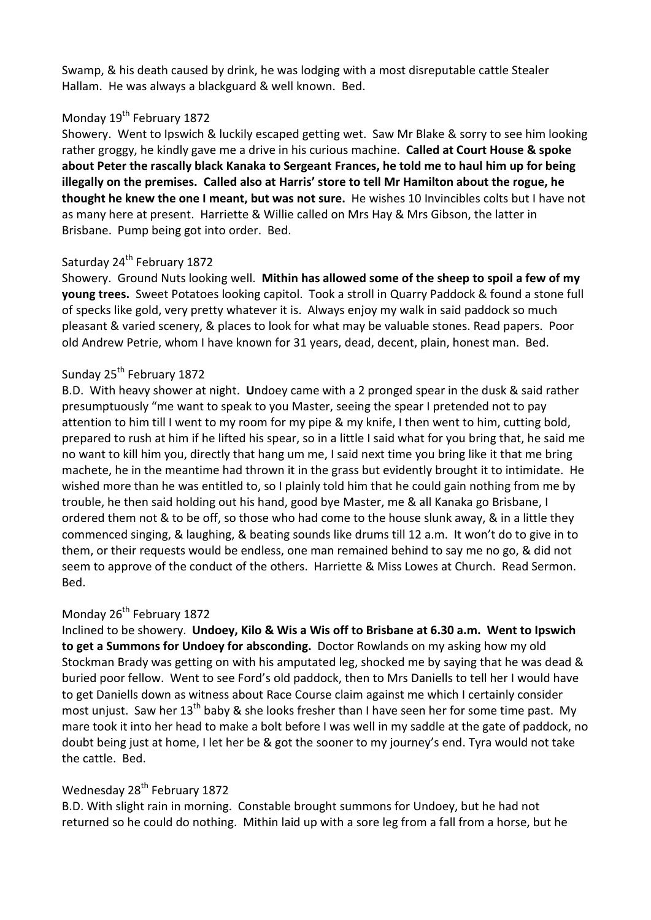Swamp, & his death caused by drink, he was lodging with a most disreputable cattle Stealer Hallam. He was always a blackguard & well known. Bed.

### Monday 19<sup>th</sup> February 1872

Showery. Went to Ipswich & luckily escaped getting wet. Saw Mr Blake & sorry to see him looking rather groggy, he kindly gave me a drive in his curious machine. **Called at Court House & spoke about Peter the rascally black Kanaka to Sergeant Frances, he told me to haul him up for being illegally on the premises. Called also at Harris' store to tell Mr Hamilton about the rogue, he thought he knew the one I meant, but was not sure.** He wishes 10 Invincibles colts but I have not as many here at present. Harriette & Willie called on Mrs Hay & Mrs Gibson, the latter in Brisbane. Pump being got into order. Bed.

#### Saturday 24<sup>th</sup> February 1872

Showery. Ground Nuts looking well. **Mithin has allowed some of the sheep to spoil a few of my young trees.** Sweet Potatoes looking capitol. Took a stroll in Quarry Paddock & found a stone full of specks like gold, very pretty whatever it is. Always enjoy my walk in said paddock so much pleasant & varied scenery, & places to look for what may be valuable stones. Read papers. Poor old Andrew Petrie, whom I have known for 31 years, dead, decent, plain, honest man. Bed.

#### Sunday 25<sup>th</sup> February 1872

B.D. With heavy shower at night. **U**ndoey came with a 2 pronged spear in the dusk & said rather presumptuously "me want to speak to you Master, seeing the spear I pretended not to pay attention to him till I went to my room for my pipe & my knife, I then went to him, cutting bold, prepared to rush at him if he lifted his spear, so in a little I said what for you bring that, he said me no want to kill him you, directly that hang um me, I said next time you bring like it that me bring machete, he in the meantime had thrown it in the grass but evidently brought it to intimidate. He wished more than he was entitled to, so I plainly told him that he could gain nothing from me by trouble, he then said holding out his hand, good bye Master, me & all Kanaka go Brisbane, I ordered them not & to be off, so those who had come to the house slunk away, & in a little they commenced singing, & laughing, & beating sounds like drums till 12 a.m. It won't do to give in to them, or their requests would be endless, one man remained behind to say me no go, & did not seem to approve of the conduct of the others. Harriette & Miss Lowes at Church. Read Sermon. Bed.

#### Monday 26<sup>th</sup> February 1872

Inclined to be showery. **Undoey, Kilo & Wis a Wis off to Brisbane at 6.30 a.m. Went to Ipswich to get a Summons for Undoey for absconding.** Doctor Rowlands on my asking how my old Stockman Brady was getting on with his amputated leg, shocked me by saying that he was dead & buried poor fellow. Went to see Ford's old paddock, then to Mrs Daniells to tell her I would have to get Daniells down as witness about Race Course claim against me which I certainly consider most unjust. Saw her  $13^{th}$  baby & she looks fresher than I have seen her for some time past. My mare took it into her head to make a bolt before I was well in my saddle at the gate of paddock, no doubt being just at home, I let her be & got the sooner to my journey's end. Tyra would not take the cattle. Bed.

# Wednesday 28<sup>th</sup> February 1872

B.D. With slight rain in morning. Constable brought summons for Undoey, but he had not returned so he could do nothing. Mithin laid up with a sore leg from a fall from a horse, but he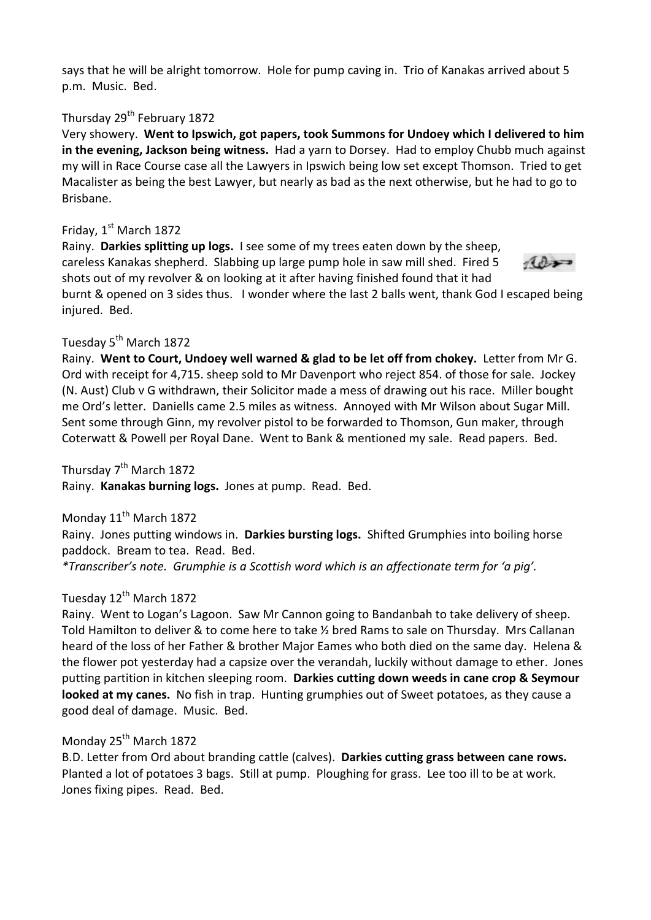says that he will be alright tomorrow. Hole for pump caving in. Trio of Kanakas arrived about 5 p.m. Music. Bed.

# Thursday 29<sup>th</sup> February 1872

Very showery. **Went to Ipswich, got papers, took Summons for Undoey which I delivered to him in the evening, Jackson being witness.** Had a yarn to Dorsey. Had to employ Chubb much against my will in Race Course case all the Lawyers in Ipswich being low set except Thomson. Tried to get Macalister as being the best Lawyer, but nearly as bad as the next otherwise, but he had to go to Brisbane.

# Friday,  $1<sup>st</sup>$  March 1872

Rainy. **Darkies splitting up logs.** I see some of my trees eaten down by the sheep, careless Kanakas shepherd. Slabbing up large pump hole in saw mill shed. Fired 5 shots out of my revolver & on looking at it after having finished found that it had



burnt & opened on 3 sides thus. I wonder where the last 2 balls went, thank God I escaped being injured. Bed.

# Tuesday 5<sup>th</sup> March 1872

Rainy. **Went to Court, Undoey well warned & glad to be let off from chokey.** Letter from Mr G. Ord with receipt for 4,715. sheep sold to Mr Davenport who reject 854. of those for sale. Jockey (N. Aust) Club v G withdrawn, their Solicitor made a mess of drawing out his race. Miller bought me Ord's letter. Daniells came 2.5 miles as witness. Annoyed with Mr Wilson about Sugar Mill. Sent some through Ginn, my revolver pistol to be forwarded to Thomson, Gun maker, through Coterwatt & Powell per Royal Dane. Went to Bank & mentioned my sale. Read papers. Bed.

Thursday 7<sup>th</sup> March 1872

Rainy. **Kanakas burning logs.** Jones at pump. Read. Bed.

Monday  $11^{th}$  March 1872 Rainy. Jones putting windows in. **Darkies bursting logs.** Shifted Grumphies into boiling horse paddock. Bream to tea. Read. Bed.

*\*Transcriber's note. Grumphie is a Scottish word which is an affectionate term for 'a pig'.* 

# Tuesday 12<sup>th</sup> March 1872

Rainy. Went to Logan's Lagoon. Saw Mr Cannon going to Bandanbah to take delivery of sheep. Told Hamilton to deliver & to come here to take ½ bred Rams to sale on Thursday. Mrs Callanan heard of the loss of her Father & brother Major Eames who both died on the same day. Helena & the flower pot yesterday had a capsize over the verandah, luckily without damage to ether. Jones putting partition in kitchen sleeping room. **Darkies cutting down weeds in cane crop & Seymour looked at my canes.** No fish in trap. Hunting grumphies out of Sweet potatoes, as they cause a good deal of damage. Music. Bed.

# Monday 25<sup>th</sup> March 1872

B.D. Letter from Ord about branding cattle (calves). **Darkies cutting grass between cane rows.** Planted a lot of potatoes 3 bags. Still at pump. Ploughing for grass. Lee too ill to be at work. Jones fixing pipes. Read. Bed.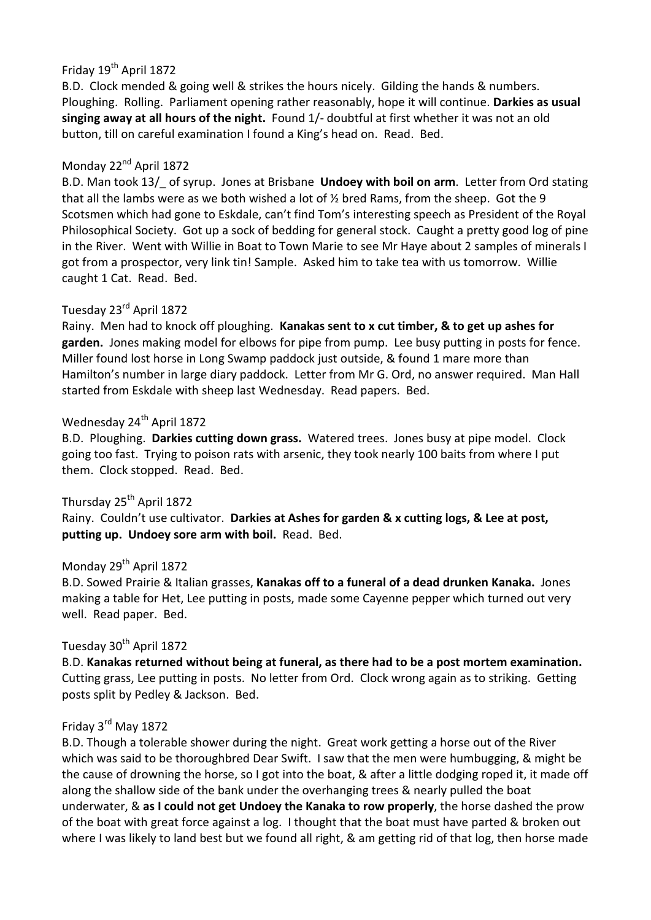# Friday 19<sup>th</sup> April 1872

B.D. Clock mended & going well & strikes the hours nicely. Gilding the hands & numbers. Ploughing. Rolling. Parliament opening rather reasonably, hope it will continue. **Darkies as usual singing away at all hours of the night.** Found 1/- doubtful at first whether it was not an old button, till on careful examination I found a King's head on. Read. Bed.

# Monday 22<sup>nd</sup> April 1872

B.D. Man took 13/\_ of syrup. Jones at Brisbane **Undoey with boil on arm**. Letter from Ord stating that all the lambs were as we both wished a lot of ½ bred Rams, from the sheep. Got the 9 Scotsmen which had gone to Eskdale, can't find Tom's interesting speech as President of the Royal Philosophical Society. Got up a sock of bedding for general stock. Caught a pretty good log of pine in the River. Went with Willie in Boat to Town Marie to see Mr Haye about 2 samples of minerals I got from a prospector, very link tin! Sample. Asked him to take tea with us tomorrow. Willie caught 1 Cat. Read. Bed.

# Tuesday 23rd April 1872

Rainy. Men had to knock off ploughing. **Kanakas sent to x cut timber, & to get up ashes for garden.** Jones making model for elbows for pipe from pump. Lee busy putting in posts for fence. Miller found lost horse in Long Swamp paddock just outside, & found 1 mare more than Hamilton's number in large diary paddock. Letter from Mr G. Ord, no answer required. Man Hall started from Eskdale with sheep last Wednesday. Read papers. Bed.

#### Wednesday 24<sup>th</sup> April 1872

B.D. Ploughing. **Darkies cutting down grass.** Watered trees. Jones busy at pipe model. Clock going too fast. Trying to poison rats with arsenic, they took nearly 100 baits from where I put them. Clock stopped. Read. Bed.

# Thursday 25<sup>th</sup> April 1872

Rainy. Couldn't use cultivator. **Darkies at Ashes for garden & x cutting logs, & Lee at post, putting up. Undoey sore arm with boil.** Read. Bed.

#### Monday 29<sup>th</sup> April 1872

B.D. Sowed Prairie & Italian grasses, **Kanakas off to a funeral of a dead drunken Kanaka.** Jones making a table for Het, Lee putting in posts, made some Cayenne pepper which turned out very well. Read paper. Bed.

#### Tuesday 30<sup>th</sup> April 1872

B.D. **Kanakas returned without being at funeral, as there had to be a post mortem examination.** Cutting grass, Lee putting in posts. No letter from Ord. Clock wrong again as to striking. Getting posts split by Pedley & Jackson. Bed.

# Friday 3rd May 1872

B.D. Though a tolerable shower during the night. Great work getting a horse out of the River which was said to be thoroughbred Dear Swift. I saw that the men were humbugging, & might be the cause of drowning the horse, so I got into the boat, & after a little dodging roped it, it made off along the shallow side of the bank under the overhanging trees & nearly pulled the boat underwater, & **as I could not get Undoey the Kanaka to row properly**, the horse dashed the prow of the boat with great force against a log. I thought that the boat must have parted & broken out where I was likely to land best but we found all right, & am getting rid of that log, then horse made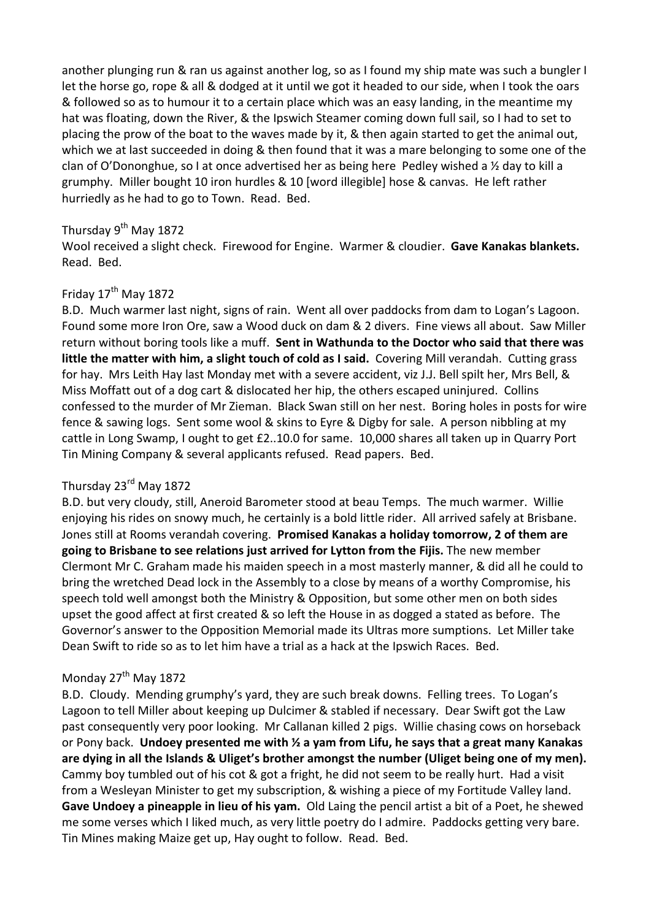another plunging run & ran us against another log, so as I found my ship mate was such a bungler I let the horse go, rope & all & dodged at it until we got it headed to our side, when I took the oars & followed so as to humour it to a certain place which was an easy landing, in the meantime my hat was floating, down the River, & the Ipswich Steamer coming down full sail, so I had to set to placing the prow of the boat to the waves made by it, & then again started to get the animal out, which we at last succeeded in doing & then found that it was a mare belonging to some one of the clan of O'Dononghue, so I at once advertised her as being here Pedley wished a ½ day to kill a grumphy. Miller bought 10 iron hurdles & 10 [word illegible] hose & canvas. He left rather hurriedly as he had to go to Town. Read. Bed.

# Thursday 9<sup>th</sup> May 1872

Wool received a slight check. Firewood for Engine. Warmer & cloudier. **Gave Kanakas blankets.** Read. Bed.

# Friday  $17^{\text{th}}$  May 1872

B.D. Much warmer last night, signs of rain. Went all over paddocks from dam to Logan's Lagoon. Found some more Iron Ore, saw a Wood duck on dam & 2 divers. Fine views all about. Saw Miller return without boring tools like a muff. **Sent in Wathunda to the Doctor who said that there was little the matter with him, a slight touch of cold as I said.** Covering Mill verandah. Cutting grass for hay. Mrs Leith Hay last Monday met with a severe accident, viz J.J. Bell spilt her, Mrs Bell, & Miss Moffatt out of a dog cart & dislocated her hip, the others escaped uninjured. Collins confessed to the murder of Mr Zieman. Black Swan still on her nest. Boring holes in posts for wire fence & sawing logs. Sent some wool & skins to Eyre & Digby for sale. A person nibbling at my cattle in Long Swamp, I ought to get £2..10.0 for same. 10,000 shares all taken up in Quarry Port Tin Mining Company & several applicants refused. Read papers. Bed.

# Thursday 23rd May 1872

B.D. but very cloudy, still, Aneroid Barometer stood at beau Temps. The much warmer. Willie enjoying his rides on snowy much, he certainly is a bold little rider. All arrived safely at Brisbane. Jones still at Rooms verandah covering. **Promised Kanakas a holiday tomorrow, 2 of them are going to Brisbane to see relations just arrived for Lytton from the Fijis.** The new member Clermont Mr C. Graham made his maiden speech in a most masterly manner, & did all he could to bring the wretched Dead lock in the Assembly to a close by means of a worthy Compromise, his speech told well amongst both the Ministry & Opposition, but some other men on both sides upset the good affect at first created & so left the House in as dogged a stated as before. The Governor's answer to the Opposition Memorial made its Ultras more sumptions. Let Miller take Dean Swift to ride so as to let him have a trial as a hack at the Ipswich Races. Bed.

### Monday 27<sup>th</sup> May 1872

B.D. Cloudy. Mending grumphy's yard, they are such break downs. Felling trees. To Logan's Lagoon to tell Miller about keeping up Dulcimer & stabled if necessary. Dear Swift got the Law past consequently very poor looking. Mr Callanan killed 2 pigs. Willie chasing cows on horseback or Pony back. **Undoey presented me with ½ a yam from Lifu, he says that a great many Kanakas are dying in all the Islands & Uliget's brother amongst the number (Uliget being one of my men).** Cammy boy tumbled out of his cot & got a fright, he did not seem to be really hurt. Had a visit from a Wesleyan Minister to get my subscription, & wishing a piece of my Fortitude Valley land. **Gave Undoey a pineapple in lieu of his yam.** Old Laing the pencil artist a bit of a Poet, he shewed me some verses which I liked much, as very little poetry do I admire. Paddocks getting very bare. Tin Mines making Maize get up, Hay ought to follow. Read. Bed.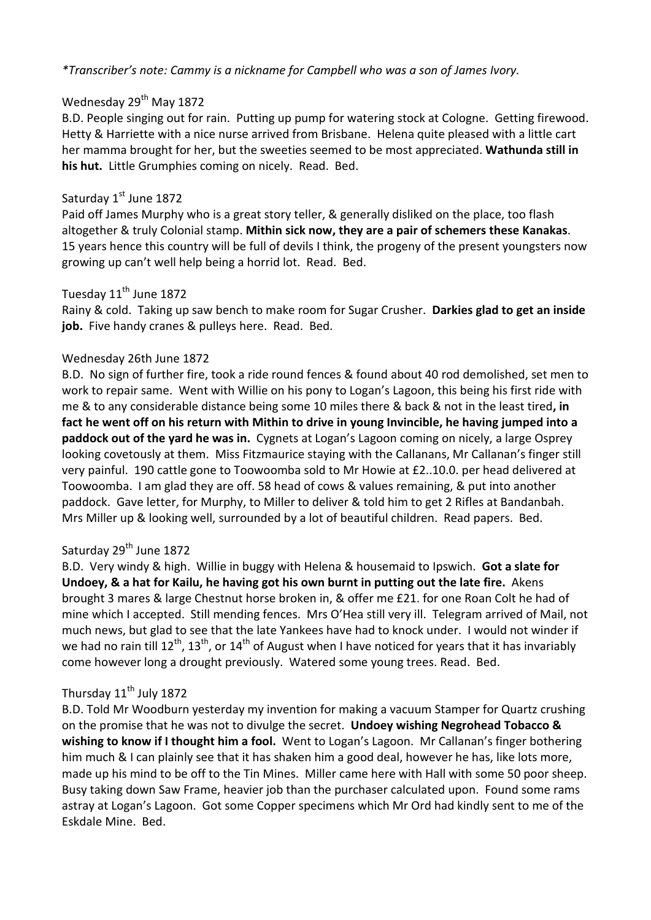*\*Transcriber's note: Cammy is a nickname for Campbell who was a son of James Ivory.* 

# Wednesday 29<sup>th</sup> May 1872

B.D. People singing out for rain. Putting up pump for watering stock at Cologne. Getting firewood. Hetty & Harriette with a nice nurse arrived from Brisbane. Helena quite pleased with a little cart her mamma brought for her, but the sweeties seemed to be most appreciated. **Wathunda still in his hut.** Little Grumphies coming on nicely. Read. Bed.

### Saturday 1st June 1872

Paid off James Murphy who is a great story teller, & generally disliked on the place, too flash altogether & truly Colonial stamp. **Mithin sick now, they are a pair of schemers these Kanakas**. 15 years hence this country will be full of devils I think, the progeny of the present youngsters now growing up can't well help being a horrid lot. Read. Bed.

# Tuesday 11<sup>th</sup> June 1872

Rainy & cold. Taking up saw bench to make room for Sugar Crusher. **Darkies glad to get an inside job.** Five handy cranes & pulleys here. Read. Bed.

### Wednesday 26th June 1872

B.D. No sign of further fire, took a ride round fences & found about 40 rod demolished, set men to work to repair same. Went with Willie on his pony to Logan's Lagoon, this being his first ride with me & to any considerable distance being some 10 miles there & back & not in the least tired**, in fact he went off on his return with Mithin to drive in young Invincible, he having jumped into a paddock out of the yard he was in.** Cygnets at Logan's Lagoon coming on nicely, a large Osprey looking covetously at them. Miss Fitzmaurice staying with the Callanans, Mr Callanan's finger still very painful. 190 cattle gone to Toowoomba sold to Mr Howie at £2..10.0. per head delivered at Toowoomba. I am glad they are off. 58 head of cows & values remaining, & put into another paddock. Gave letter, for Murphy, to Miller to deliver & told him to get 2 Rifles at Bandanbah. Mrs Miller up & looking well, surrounded by a lot of beautiful children. Read papers. Bed.

# Saturday 29<sup>th</sup> June 1872

B.D. Very windy & high. Willie in buggy with Helena & housemaid to Ipswich. **Got a slate for Undoey, & a hat for Kailu, he having got his own burnt in putting out the late fire.** Akens brought 3 mares & large Chestnut horse broken in, & offer me £21. for one Roan Colt he had of mine which I accepted. Still mending fences. Mrs O'Hea still very ill. Telegram arrived of Mail, not much news, but glad to see that the late Yankees have had to knock under. I would not winder if we had no rain till 12<sup>th</sup>, 13<sup>th</sup>, or 14<sup>th</sup> of August when I have noticed for years that it has invariably come however long a drought previously. Watered some young trees. Read. Bed.

# Thursday 11<sup>th</sup> July 1872

B.D. Told Mr Woodburn yesterday my invention for making a vacuum Stamper for Quartz crushing on the promise that he was not to divulge the secret. **Undoey wishing Negrohead Tobacco & wishing to know if I thought him a fool.** Went to Logan's Lagoon. Mr Callanan's finger bothering him much & I can plainly see that it has shaken him a good deal, however he has, like lots more, made up his mind to be off to the Tin Mines. Miller came here with Hall with some 50 poor sheep. Busy taking down Saw Frame, heavier job than the purchaser calculated upon. Found some rams astray at Logan's Lagoon. Got some Copper specimens which Mr Ord had kindly sent to me of the Eskdale Mine. Bed.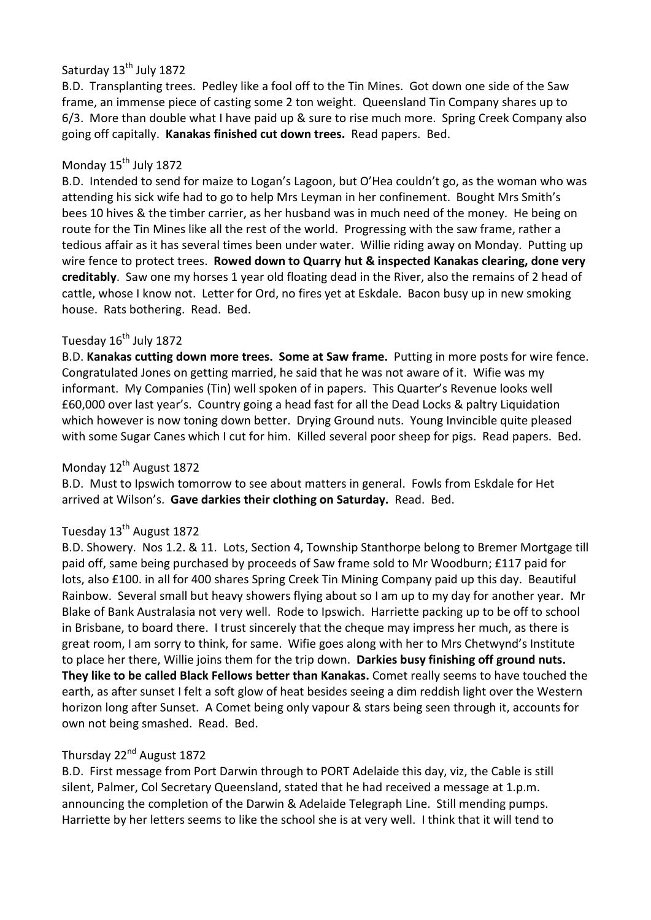# Saturday 13<sup>th</sup> July 1872

B.D. Transplanting trees. Pedley like a fool off to the Tin Mines. Got down one side of the Saw frame, an immense piece of casting some 2 ton weight. Queensland Tin Company shares up to 6/3. More than double what I have paid up & sure to rise much more. Spring Creek Company also going off capitally. **Kanakas finished cut down trees.** Read papers. Bed.

# Monday 15<sup>th</sup> July 1872

B.D. Intended to send for maize to Logan's Lagoon, but O'Hea couldn't go, as the woman who was attending his sick wife had to go to help Mrs Leyman in her confinement. Bought Mrs Smith's bees 10 hives & the timber carrier, as her husband was in much need of the money. He being on route for the Tin Mines like all the rest of the world. Progressing with the saw frame, rather a tedious affair as it has several times been under water. Willie riding away on Monday. Putting up wire fence to protect trees. **Rowed down to Quarry hut & inspected Kanakas clearing, done very creditably**. Saw one my horses 1 year old floating dead in the River, also the remains of 2 head of cattle, whose I know not. Letter for Ord, no fires yet at Eskdale. Bacon busy up in new smoking house. Rats bothering. Read. Bed.

# Tuesday 16<sup>th</sup> July 1872

B.D. **Kanakas cutting down more trees. Some at Saw frame.** Putting in more posts for wire fence. Congratulated Jones on getting married, he said that he was not aware of it. Wifie was my informant. My Companies (Tin) well spoken of in papers. This Quarter's Revenue looks well £60,000 over last year's. Country going a head fast for all the Dead Locks & paltry Liquidation which however is now toning down better. Drying Ground nuts. Young Invincible quite pleased with some Sugar Canes which I cut for him. Killed several poor sheep for pigs. Read papers. Bed.

# Monday 12<sup>th</sup> August 1872

B.D. Must to Ipswich tomorrow to see about matters in general. Fowls from Eskdale for Het arrived at Wilson's. **Gave darkies their clothing on Saturday.** Read. Bed.

# Tuesday 13<sup>th</sup> August 1872

B.D. Showery. Nos 1.2. & 11. Lots, Section 4, Township Stanthorpe belong to Bremer Mortgage till paid off, same being purchased by proceeds of Saw frame sold to Mr Woodburn; £117 paid for lots, also £100. in all for 400 shares Spring Creek Tin Mining Company paid up this day. Beautiful Rainbow. Several small but heavy showers flying about so I am up to my day for another year. Mr Blake of Bank Australasia not very well. Rode to Ipswich. Harriette packing up to be off to school in Brisbane, to board there. I trust sincerely that the cheque may impress her much, as there is great room, I am sorry to think, for same. Wifie goes along with her to Mrs Chetwynd's Institute to place her there, Willie joins them for the trip down. **Darkies busy finishing off ground nuts. They like to be called Black Fellows better than Kanakas.** Comet really seems to have touched the earth, as after sunset I felt a soft glow of heat besides seeing a dim reddish light over the Western horizon long after Sunset. A Comet being only vapour & stars being seen through it, accounts for own not being smashed. Read. Bed.

# Thursday 22<sup>nd</sup> August 1872

B.D. First message from Port Darwin through to PORT Adelaide this day, viz, the Cable is still silent, Palmer, Col Secretary Queensland, stated that he had received a message at 1.p.m. announcing the completion of the Darwin & Adelaide Telegraph Line. Still mending pumps. Harriette by her letters seems to like the school she is at very well. I think that it will tend to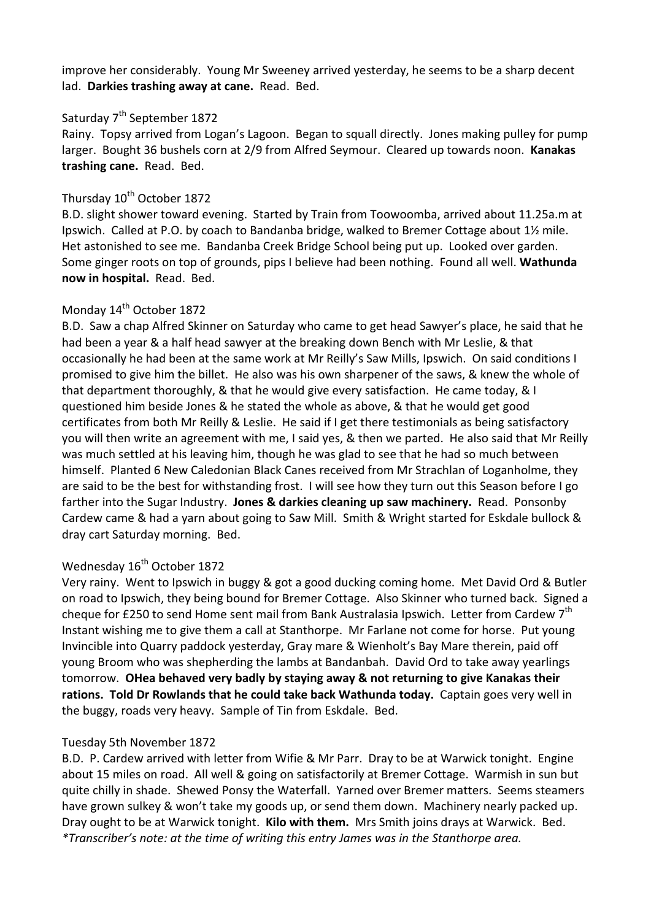improve her considerably. Young Mr Sweeney arrived yesterday, he seems to be a sharp decent lad. **Darkies trashing away at cane.** Read. Bed.

### Saturday 7<sup>th</sup> September 1872

Rainy. Topsy arrived from Logan's Lagoon. Began to squall directly. Jones making pulley for pump larger. Bought 36 bushels corn at 2/9 from Alfred Seymour. Cleared up towards noon. **Kanakas trashing cane.** Read. Bed.

# Thursday 10<sup>th</sup> October 1872

B.D. slight shower toward evening. Started by Train from Toowoomba, arrived about 11.25a.m at Ipswich. Called at P.O. by coach to Bandanba bridge, walked to Bremer Cottage about 1½ mile. Het astonished to see me. Bandanba Creek Bridge School being put up. Looked over garden. Some ginger roots on top of grounds, pips I believe had been nothing. Found all well. **Wathunda now in hospital.** Read. Bed.

# Monday 14<sup>th</sup> October 1872

B.D. Saw a chap Alfred Skinner on Saturday who came to get head Sawyer's place, he said that he had been a year & a half head sawyer at the breaking down Bench with Mr Leslie, & that occasionally he had been at the same work at Mr Reilly's Saw Mills, Ipswich. On said conditions I promised to give him the billet. He also was his own sharpener of the saws, & knew the whole of that department thoroughly, & that he would give every satisfaction. He came today, & I questioned him beside Jones & he stated the whole as above, & that he would get good certificates from both Mr Reilly & Leslie. He said if I get there testimonials as being satisfactory you will then write an agreement with me, I said yes, & then we parted. He also said that Mr Reilly was much settled at his leaving him, though he was glad to see that he had so much between himself. Planted 6 New Caledonian Black Canes received from Mr Strachlan of Loganholme, they are said to be the best for withstanding frost. I will see how they turn out this Season before I go farther into the Sugar Industry. **Jones & darkies cleaning up saw machinery.** Read. Ponsonby Cardew came & had a yarn about going to Saw Mill. Smith & Wright started for Eskdale bullock & dray cart Saturday morning. Bed.

# Wednesday 16<sup>th</sup> October 1872

Very rainy. Went to Ipswich in buggy & got a good ducking coming home. Met David Ord & Butler on road to Ipswich, they being bound for Bremer Cottage. Also Skinner who turned back. Signed a cheque for £250 to send Home sent mail from Bank Australasia Ipswich. Letter from Cardew 7<sup>th</sup> Instant wishing me to give them a call at Stanthorpe. Mr Farlane not come for horse. Put young Invincible into Quarry paddock yesterday, Gray mare & Wienholt's Bay Mare therein, paid off young Broom who was shepherding the lambs at Bandanbah. David Ord to take away yearlings tomorrow. **OHea behaved very badly by staying away & not returning to give Kanakas their rations. Told Dr Rowlands that he could take back Wathunda today.** Captain goes very well in the buggy, roads very heavy. Sample of Tin from Eskdale. Bed.

#### Tuesday 5th November 1872

B.D. P. Cardew arrived with letter from Wifie & Mr Parr. Dray to be at Warwick tonight. Engine about 15 miles on road. All well & going on satisfactorily at Bremer Cottage. Warmish in sun but quite chilly in shade. Shewed Ponsy the Waterfall. Yarned over Bremer matters. Seems steamers have grown sulkey & won't take my goods up, or send them down. Machinery nearly packed up. Dray ought to be at Warwick tonight. **Kilo with them.** Mrs Smith joins drays at Warwick. Bed. *\*Transcriber's note: at the time of writing this entry James was in the Stanthorpe area.*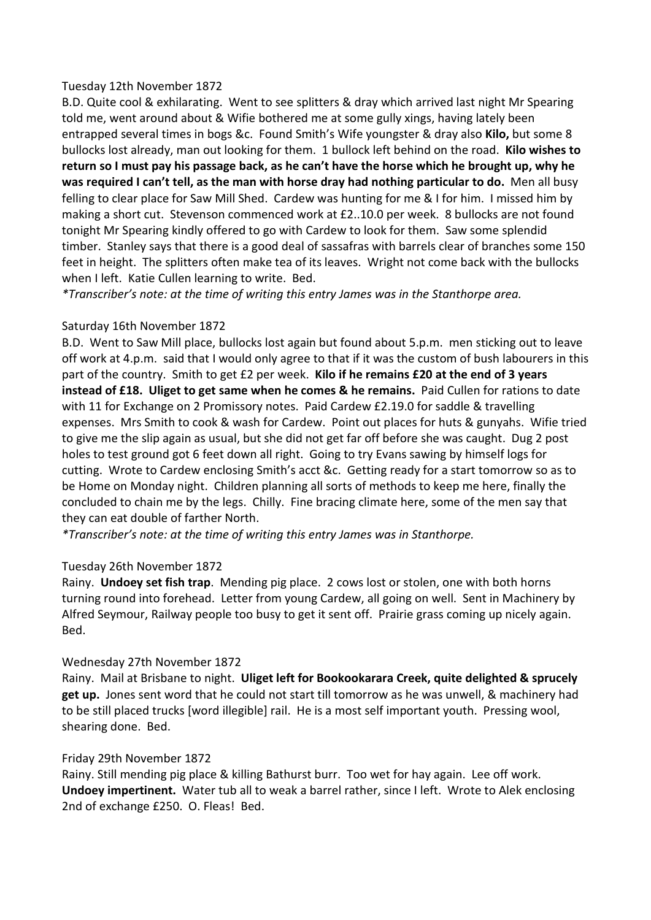#### Tuesday 12th November 1872

B.D. Quite cool & exhilarating. Went to see splitters & dray which arrived last night Mr Spearing told me, went around about & Wifie bothered me at some gully xings, having lately been entrapped several times in bogs &c. Found Smith's Wife youngster & dray also **Kilo,** but some 8 bullocks lost already, man out looking for them. 1 bullock left behind on the road. **Kilo wishes to return so I must pay his passage back, as he can't have the horse which he brought up, why he was required I can't tell, as the man with horse dray had nothing particular to do.** Men all busy felling to clear place for Saw Mill Shed. Cardew was hunting for me & I for him. I missed him by making a short cut. Stevenson commenced work at £2..10.0 per week. 8 bullocks are not found tonight Mr Spearing kindly offered to go with Cardew to look for them. Saw some splendid timber. Stanley says that there is a good deal of sassafras with barrels clear of branches some 150 feet in height. The splitters often make tea of its leaves. Wright not come back with the bullocks when I left. Katie Cullen learning to write. Bed.

*\*Transcriber's note: at the time of writing this entry James was in the Stanthorpe area.* 

### Saturday 16th November 1872

B.D. Went to Saw Mill place, bullocks lost again but found about 5.p.m. men sticking out to leave off work at 4.p.m. said that I would only agree to that if it was the custom of bush labourers in this part of the country. Smith to get £2 per week. **Kilo if he remains £20 at the end of 3 years instead of £18. Uliget to get same when he comes & he remains.** Paid Cullen for rations to date with 11 for Exchange on 2 Promissory notes. Paid Cardew £2.19.0 for saddle & travelling expenses. Mrs Smith to cook & wash for Cardew. Point out places for huts & gunyahs. Wifie tried to give me the slip again as usual, but she did not get far off before she was caught. Dug 2 post holes to test ground got 6 feet down all right. Going to try Evans sawing by himself logs for cutting. Wrote to Cardew enclosing Smith's acct &c. Getting ready for a start tomorrow so as to be Home on Monday night. Children planning all sorts of methods to keep me here, finally the concluded to chain me by the legs. Chilly. Fine bracing climate here, some of the men say that they can eat double of farther North.

*\*Transcriber's note: at the time of writing this entry James was in Stanthorpe.* 

#### Tuesday 26th November 1872

Rainy. **Undoey set fish trap**. Mending pig place. 2 cows lost or stolen, one with both horns turning round into forehead. Letter from young Cardew, all going on well. Sent in Machinery by Alfred Seymour, Railway people too busy to get it sent off. Prairie grass coming up nicely again. Bed.

#### Wednesday 27th November 1872

Rainy. Mail at Brisbane to night. **Uliget left for Bookookarara Creek, quite delighted & sprucely get up.** Jones sent word that he could not start till tomorrow as he was unwell, & machinery had to be still placed trucks [word illegible] rail. He is a most self important youth. Pressing wool, shearing done. Bed.

#### Friday 29th November 1872

Rainy. Still mending pig place & killing Bathurst burr. Too wet for hay again. Lee off work. **Undoey impertinent.** Water tub all to weak a barrel rather, since I left. Wrote to Alek enclosing 2nd of exchange £250. O. Fleas! Bed.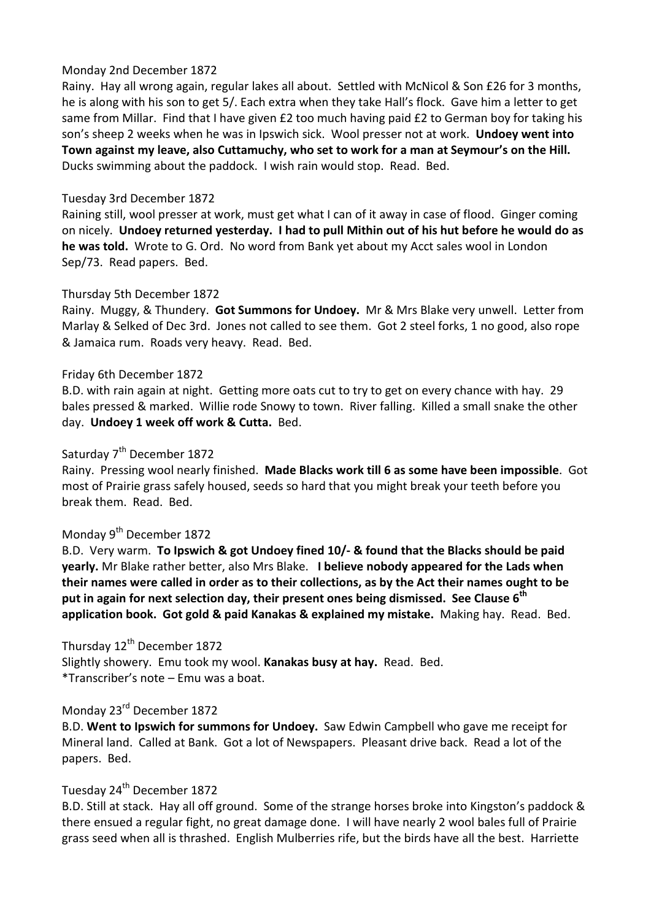#### Monday 2nd December 1872

Rainy. Hay all wrong again, regular lakes all about. Settled with McNicol & Son £26 for 3 months, he is along with his son to get 5/. Each extra when they take Hall's flock. Gave him a letter to get same from Millar. Find that I have given £2 too much having paid £2 to German boy for taking his son's sheep 2 weeks when he was in Ipswich sick. Wool presser not at work. **Undoey went into Town against my leave, also Cuttamuchy, who set to work for a man at Seymour's on the Hill.**  Ducks swimming about the paddock. I wish rain would stop. Read. Bed.

#### Tuesday 3rd December 1872

Raining still, wool presser at work, must get what I can of it away in case of flood. Ginger coming on nicely. **Undoey returned yesterday. I had to pull Mithin out of his hut before he would do as he was told.** Wrote to G. Ord. No word from Bank yet about my Acct sales wool in London Sep/73. Read papers. Bed.

### Thursday 5th December 1872

Rainy. Muggy, & Thundery. **Got Summons for Undoey.** Mr & Mrs Blake very unwell. Letter from Marlay & Selked of Dec 3rd. Jones not called to see them. Got 2 steel forks, 1 no good, also rope & Jamaica rum. Roads very heavy. Read. Bed.

#### Friday 6th December 1872

B.D. with rain again at night. Getting more oats cut to try to get on every chance with hay. 29 bales pressed & marked. Willie rode Snowy to town. River falling. Killed a small snake the other day. **Undoey 1 week off work & Cutta.** Bed.

# Saturday 7<sup>th</sup> December 1872

Rainy. Pressing wool nearly finished. **Made Blacks work till 6 as some have been impossible**. Got most of Prairie grass safely housed, seeds so hard that you might break your teeth before you break them. Read. Bed.

# Monday 9<sup>th</sup> December 1872

B.D. Very warm. **To Ipswich & got Undoey fined 10/- & found that the Blacks should be paid yearly.** Mr Blake rather better, also Mrs Blake. **I believe nobody appeared for the Lads when their names were called in order as to their collections, as by the Act their names ought to be put in again for next selection day, their present ones being dismissed. See Clause 6th application book. Got gold & paid Kanakas & explained my mistake.** Making hay. Read. Bed.

### Thursday 12<sup>th</sup> December 1872

Slightly showery. Emu took my wool. **Kanakas busy at hay.** Read. Bed. \*Transcriber's note – Emu was a boat.

#### Monday 23rd December 1872

B.D. **Went to Ipswich for summons for Undoey.** Saw Edwin Campbell who gave me receipt for Mineral land. Called at Bank. Got a lot of Newspapers. Pleasant drive back. Read a lot of the papers. Bed.

# Tuesday 24<sup>th</sup> December 1872

B.D. Still at stack. Hay all off ground. Some of the strange horses broke into Kingston's paddock & there ensued a regular fight, no great damage done. I will have nearly 2 wool bales full of Prairie grass seed when all is thrashed. English Mulberries rife, but the birds have all the best. Harriette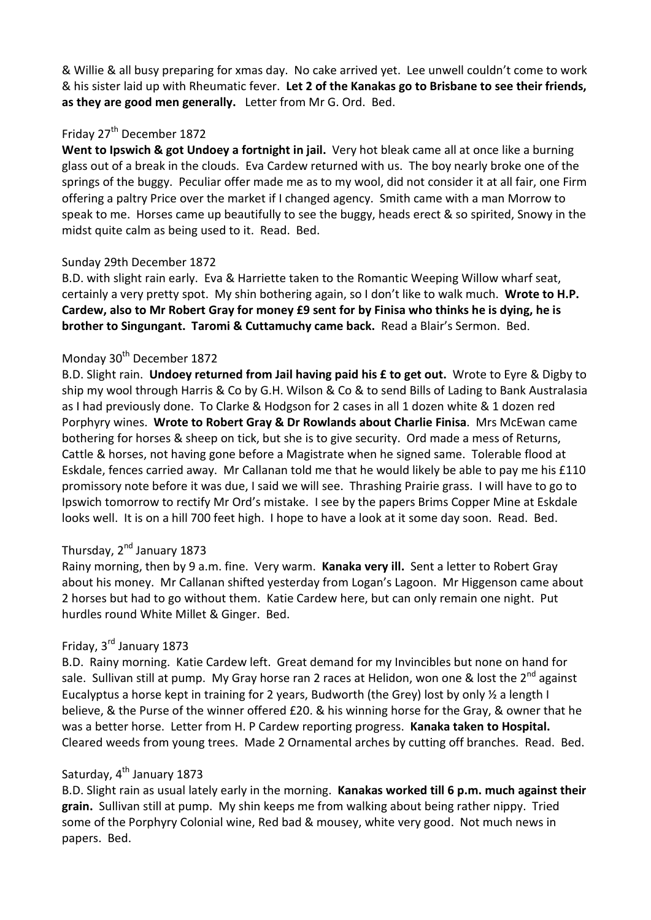& Willie & all busy preparing for xmas day. No cake arrived yet. Lee unwell couldn't come to work & his sister laid up with Rheumatic fever. **Let 2 of the Kanakas go to Brisbane to see their friends, as they are good men generally.** Letter from Mr G. Ord. Bed.

# Friday 27<sup>th</sup> December 1872

**Went to Ipswich & got Undoey a fortnight in jail.** Very hot bleak came all at once like a burning glass out of a break in the clouds. Eva Cardew returned with us. The boy nearly broke one of the springs of the buggy. Peculiar offer made me as to my wool, did not consider it at all fair, one Firm offering a paltry Price over the market if I changed agency. Smith came with a man Morrow to speak to me. Horses came up beautifully to see the buggy, heads erect & so spirited, Snowy in the midst quite calm as being used to it. Read. Bed.

### Sunday 29th December 1872

B.D. with slight rain early. Eva & Harriette taken to the Romantic Weeping Willow wharf seat, certainly a very pretty spot. My shin bothering again, so I don't like to walk much. **Wrote to H.P. Cardew, also to Mr Robert Gray for money £9 sent for by Finisa who thinks he is dying, he is brother to Singungant. Taromi & Cuttamuchy came back.** Read a Blair's Sermon. Bed.

# Monday 30<sup>th</sup> December 1872

B.D. Slight rain. **Undoey returned from Jail having paid his £ to get out.** Wrote to Eyre & Digby to ship my wool through Harris & Co by G.H. Wilson & Co & to send Bills of Lading to Bank Australasia as I had previously done. To Clarke & Hodgson for 2 cases in all 1 dozen white & 1 dozen red Porphyry wines. **Wrote to Robert Gray & Dr Rowlands about Charlie Finisa**. Mrs McEwan came bothering for horses & sheep on tick, but she is to give security. Ord made a mess of Returns, Cattle & horses, not having gone before a Magistrate when he signed same. Tolerable flood at Eskdale, fences carried away. Mr Callanan told me that he would likely be able to pay me his £110 promissory note before it was due, I said we will see. Thrashing Prairie grass. I will have to go to Ipswich tomorrow to rectify Mr Ord's mistake. I see by the papers Brims Copper Mine at Eskdale looks well. It is on a hill 700 feet high. I hope to have a look at it some day soon. Read. Bed.

# Thursday, 2<sup>nd</sup> January 1873

Rainy morning, then by 9 a.m. fine. Very warm. **Kanaka very ill.** Sent a letter to Robert Gray about his money. Mr Callanan shifted yesterday from Logan's Lagoon. Mr Higgenson came about 2 horses but had to go without them. Katie Cardew here, but can only remain one night. Put hurdles round White Millet & Ginger. Bed.

# Friday, 3rd January 1873

B.D. Rainy morning. Katie Cardew left. Great demand for my Invincibles but none on hand for sale. Sullivan still at pump. My Gray horse ran 2 races at Helidon, won one & lost the  $2^{nd}$  against Eucalyptus a horse kept in training for 2 years, Budworth (the Grey) lost by only ½ a length I believe, & the Purse of the winner offered £20. & his winning horse for the Gray, & owner that he was a better horse. Letter from H. P Cardew reporting progress. **Kanaka taken to Hospital.** Cleared weeds from young trees. Made 2 Ornamental arches by cutting off branches. Read. Bed.

# Saturday, 4<sup>th</sup> January 1873

B.D. Slight rain as usual lately early in the morning. **Kanakas worked till 6 p.m. much against their grain.** Sullivan still at pump. My shin keeps me from walking about being rather nippy. Tried some of the Porphyry Colonial wine, Red bad & mousey, white very good. Not much news in papers. Bed.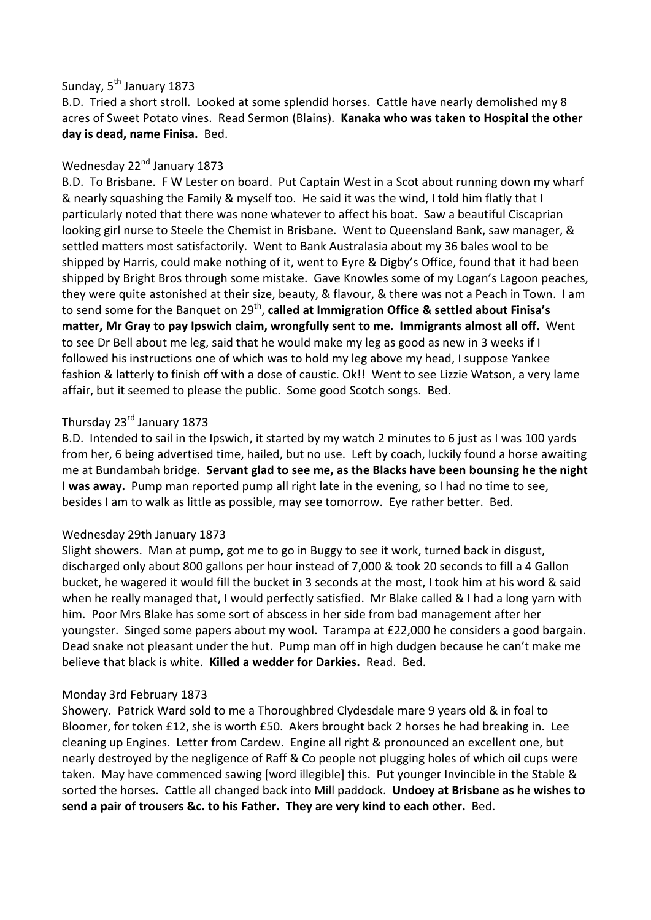# Sunday, 5<sup>th</sup> January 1873

B.D. Tried a short stroll. Looked at some splendid horses. Cattle have nearly demolished my 8 acres of Sweet Potato vines. Read Sermon (Blains). **Kanaka who was taken to Hospital the other day is dead, name Finisa.** Bed.

# Wednesday 22<sup>nd</sup> January 1873

B.D. To Brisbane. F W Lester on board. Put Captain West in a Scot about running down my wharf & nearly squashing the Family & myself too. He said it was the wind, I told him flatly that I particularly noted that there was none whatever to affect his boat. Saw a beautiful Ciscaprian looking girl nurse to Steele the Chemist in Brisbane. Went to Queensland Bank, saw manager, & settled matters most satisfactorily. Went to Bank Australasia about my 36 bales wool to be shipped by Harris, could make nothing of it, went to Eyre & Digby's Office, found that it had been shipped by Bright Bros through some mistake. Gave Knowles some of my Logan's Lagoon peaches, they were quite astonished at their size, beauty, & flavour, & there was not a Peach in Town. I am to send some for the Banquet on 29<sup>th</sup>, **called at Immigration Office & settled about Finisa's matter, Mr Gray to pay Ipswich claim, wrongfully sent to me. Immigrants almost all off.** Went to see Dr Bell about me leg, said that he would make my leg as good as new in 3 weeks if I followed his instructions one of which was to hold my leg above my head, I suppose Yankee fashion & latterly to finish off with a dose of caustic. Ok!! Went to see Lizzie Watson, a very lame affair, but it seemed to please the public. Some good Scotch songs. Bed.

# Thursday 23<sup>rd</sup> January 1873

B.D. Intended to sail in the Ipswich, it started by my watch 2 minutes to 6 just as I was 100 yards from her, 6 being advertised time, hailed, but no use. Left by coach, luckily found a horse awaiting me at Bundambah bridge. **Servant glad to see me, as the Blacks have been bounsing he the night I was away.** Pump man reported pump all right late in the evening, so I had no time to see, besides I am to walk as little as possible, may see tomorrow. Eye rather better. Bed.

# Wednesday 29th January 1873

Slight showers. Man at pump, got me to go in Buggy to see it work, turned back in disgust, discharged only about 800 gallons per hour instead of 7,000 & took 20 seconds to fill a 4 Gallon bucket, he wagered it would fill the bucket in 3 seconds at the most, I took him at his word & said when he really managed that, I would perfectly satisfied. Mr Blake called & I had a long yarn with him. Poor Mrs Blake has some sort of abscess in her side from bad management after her youngster. Singed some papers about my wool. Tarampa at £22,000 he considers a good bargain. Dead snake not pleasant under the hut. Pump man off in high dudgen because he can't make me believe that black is white. **Killed a wedder for Darkies.** Read. Bed.

#### Monday 3rd February 1873

Showery. Patrick Ward sold to me a Thoroughbred Clydesdale mare 9 years old & in foal to Bloomer, for token £12, she is worth £50. Akers brought back 2 horses he had breaking in. Lee cleaning up Engines. Letter from Cardew. Engine all right & pronounced an excellent one, but nearly destroyed by the negligence of Raff & Co people not plugging holes of which oil cups were taken. May have commenced sawing [word illegible] this. Put younger Invincible in the Stable & sorted the horses. Cattle all changed back into Mill paddock. **Undoey at Brisbane as he wishes to send a pair of trousers &c. to his Father. They are very kind to each other.** Bed.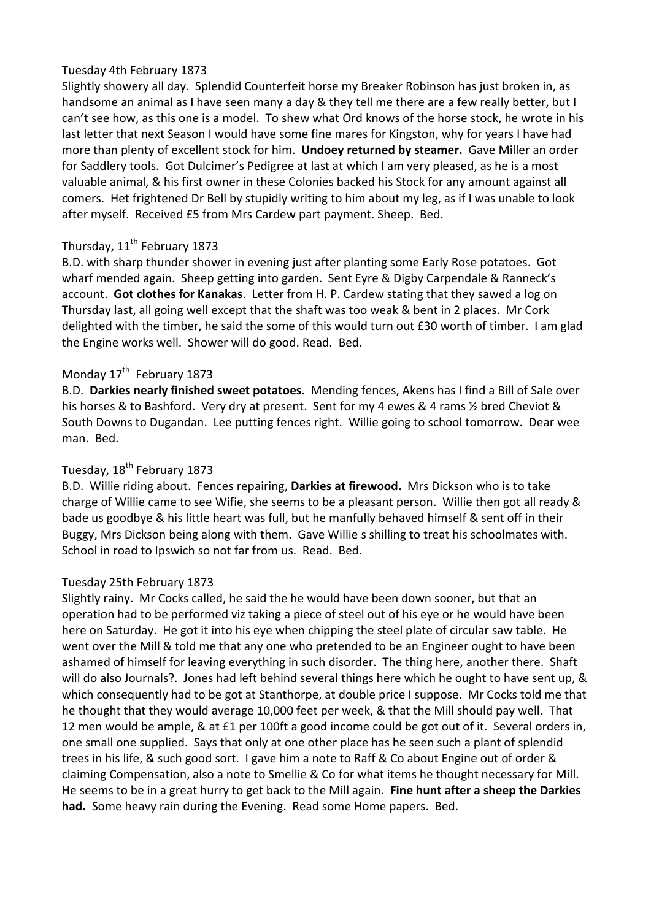### Tuesday 4th February 1873

Slightly showery all day. Splendid Counterfeit horse my Breaker Robinson has just broken in, as handsome an animal as I have seen many a day & they tell me there are a few really better, but I can't see how, as this one is a model. To shew what Ord knows of the horse stock, he wrote in his last letter that next Season I would have some fine mares for Kingston, why for years I have had more than plenty of excellent stock for him. **Undoey returned by steamer.** Gave Miller an order for Saddlery tools. Got Dulcimer's Pedigree at last at which I am very pleased, as he is a most valuable animal, & his first owner in these Colonies backed his Stock for any amount against all comers. Het frightened Dr Bell by stupidly writing to him about my leg, as if I was unable to look after myself. Received £5 from Mrs Cardew part payment. Sheep. Bed.

# Thursday, 11<sup>th</sup> February 1873

B.D. with sharp thunder shower in evening just after planting some Early Rose potatoes. Got wharf mended again. Sheep getting into garden. Sent Eyre & Digby Carpendale & Ranneck's account. **Got clothes for Kanakas**. Letter from H. P. Cardew stating that they sawed a log on Thursday last, all going well except that the shaft was too weak & bent in 2 places. Mr Cork delighted with the timber, he said the some of this would turn out £30 worth of timber. I am glad the Engine works well. Shower will do good. Read. Bed.

# Monday 17<sup>th</sup> February 1873

B.D. **Darkies nearly finished sweet potatoes.** Mending fences, Akens has I find a Bill of Sale over his horses & to Bashford. Very dry at present. Sent for my 4 ewes & 4 rams ½ bred Cheviot & South Downs to Dugandan. Lee putting fences right. Willie going to school tomorrow. Dear wee man. Bed.

# Tuesday, 18<sup>th</sup> February 1873

B.D. Willie riding about. Fences repairing, **Darkies at firewood.** Mrs Dickson who is to take charge of Willie came to see Wifie, she seems to be a pleasant person. Willie then got all ready & bade us goodbye & his little heart was full, but he manfully behaved himself & sent off in their Buggy, Mrs Dickson being along with them. Gave Willie s shilling to treat his schoolmates with. School in road to Ipswich so not far from us. Read. Bed.

# Tuesday 25th February 1873

Slightly rainy. Mr Cocks called, he said the he would have been down sooner, but that an operation had to be performed viz taking a piece of steel out of his eye or he would have been here on Saturday. He got it into his eye when chipping the steel plate of circular saw table. He went over the Mill & told me that any one who pretended to be an Engineer ought to have been ashamed of himself for leaving everything in such disorder. The thing here, another there. Shaft will do also Journals?. Jones had left behind several things here which he ought to have sent up, & which consequently had to be got at Stanthorpe, at double price I suppose. Mr Cocks told me that he thought that they would average 10,000 feet per week, & that the Mill should pay well. That 12 men would be ample, & at £1 per 100ft a good income could be got out of it. Several orders in, one small one supplied. Says that only at one other place has he seen such a plant of splendid trees in his life, & such good sort. I gave him a note to Raff & Co about Engine out of order & claiming Compensation, also a note to Smellie & Co for what items he thought necessary for Mill. He seems to be in a great hurry to get back to the Mill again. **Fine hunt after a sheep the Darkies had.** Some heavy rain during the Evening. Read some Home papers. Bed.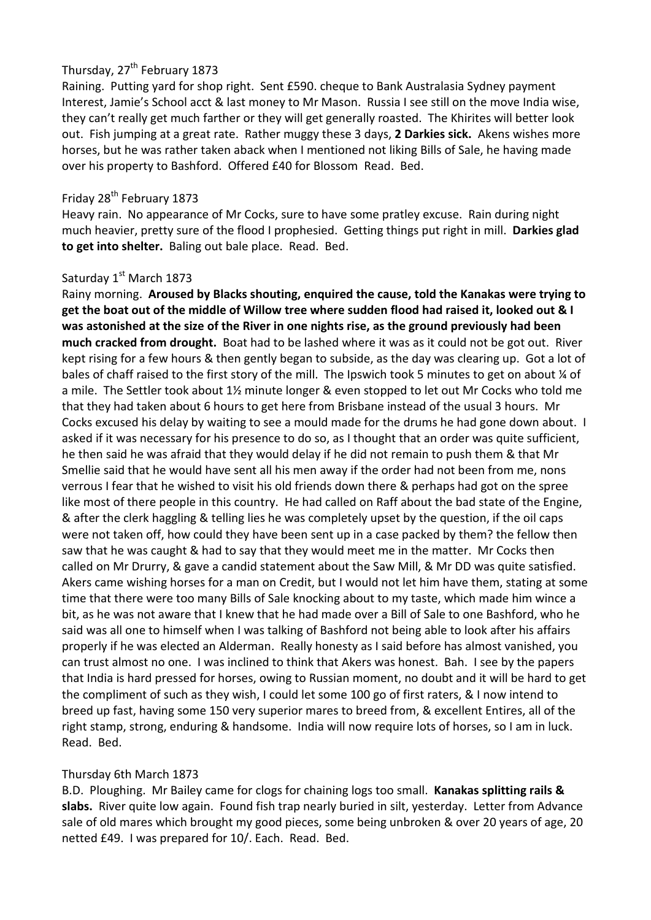# Thursday, 27<sup>th</sup> February 1873

Raining. Putting yard for shop right. Sent £590. cheque to Bank Australasia Sydney payment Interest, Jamie's School acct & last money to Mr Mason. Russia I see still on the move India wise, they can't really get much farther or they will get generally roasted. The Khirites will better look out. Fish jumping at a great rate. Rather muggy these 3 days, **2 Darkies sick.** Akens wishes more horses, but he was rather taken aback when I mentioned not liking Bills of Sale, he having made over his property to Bashford. Offered £40 for Blossom Read. Bed.

# Friday 28<sup>th</sup> February 1873

Heavy rain. No appearance of Mr Cocks, sure to have some pratley excuse. Rain during night much heavier, pretty sure of the flood I prophesied. Getting things put right in mill. **Darkies glad to get into shelter.** Baling out bale place. Read. Bed.

### Saturday 1<sup>st</sup> March 1873

Rainy morning. **Aroused by Blacks shouting, enquired the cause, told the Kanakas were trying to get the boat out of the middle of Willow tree where sudden flood had raised it, looked out & I was astonished at the size of the River in one nights rise, as the ground previously had been much cracked from drought.** Boat had to be lashed where it was as it could not be got out. River kept rising for a few hours & then gently began to subside, as the day was clearing up. Got a lot of bales of chaff raised to the first story of the mill. The Ipswich took 5 minutes to get on about ¼ of a mile. The Settler took about 1½ minute longer & even stopped to let out Mr Cocks who told me that they had taken about 6 hours to get here from Brisbane instead of the usual 3 hours. Mr Cocks excused his delay by waiting to see a mould made for the drums he had gone down about. I asked if it was necessary for his presence to do so, as I thought that an order was quite sufficient, he then said he was afraid that they would delay if he did not remain to push them & that Mr Smellie said that he would have sent all his men away if the order had not been from me, nons verrous I fear that he wished to visit his old friends down there & perhaps had got on the spree like most of there people in this country. He had called on Raff about the bad state of the Engine, & after the clerk haggling & telling lies he was completely upset by the question, if the oil caps were not taken off, how could they have been sent up in a case packed by them? the fellow then saw that he was caught & had to say that they would meet me in the matter. Mr Cocks then called on Mr Drurry, & gave a candid statement about the Saw Mill, & Mr DD was quite satisfied. Akers came wishing horses for a man on Credit, but I would not let him have them, stating at some time that there were too many Bills of Sale knocking about to my taste, which made him wince a bit, as he was not aware that I knew that he had made over a Bill of Sale to one Bashford, who he said was all one to himself when I was talking of Bashford not being able to look after his affairs properly if he was elected an Alderman. Really honesty as I said before has almost vanished, you can trust almost no one. I was inclined to think that Akers was honest. Bah. I see by the papers that India is hard pressed for horses, owing to Russian moment, no doubt and it will be hard to get the compliment of such as they wish, I could let some 100 go of first raters, & I now intend to breed up fast, having some 150 very superior mares to breed from, & excellent Entires, all of the right stamp, strong, enduring & handsome. India will now require lots of horses, so I am in luck. Read. Bed.

#### Thursday 6th March 1873

B.D. Ploughing. Mr Bailey came for clogs for chaining logs too small. **Kanakas splitting rails & slabs.** River quite low again. Found fish trap nearly buried in silt, yesterday. Letter from Advance sale of old mares which brought my good pieces, some being unbroken & over 20 years of age, 20 netted £49. I was prepared for 10/. Each. Read. Bed.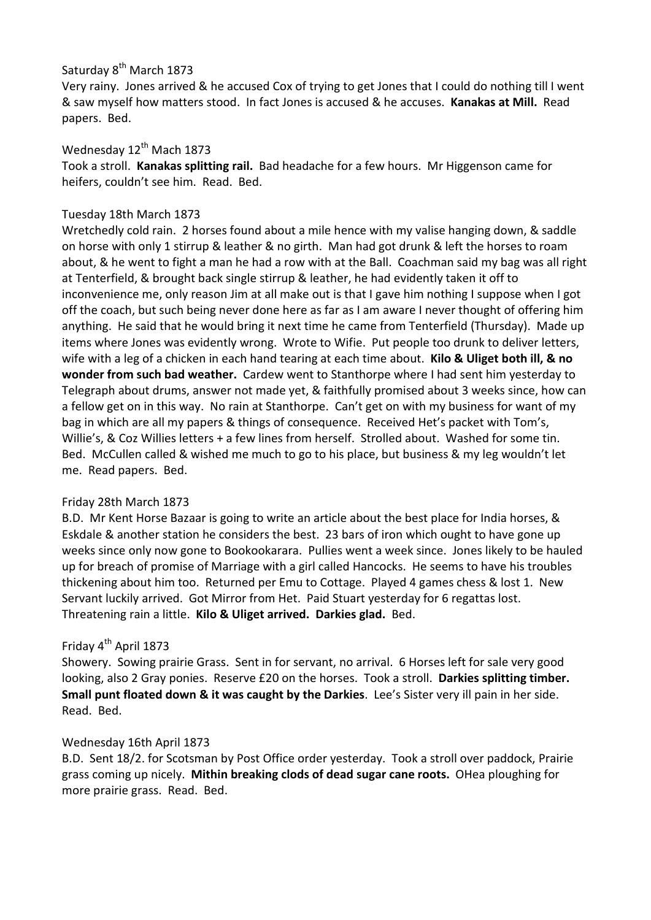# Saturday 8<sup>th</sup> March 1873

Very rainy. Jones arrived & he accused Cox of trying to get Jones that I could do nothing till I went & saw myself how matters stood. In fact Jones is accused & he accuses. **Kanakas at Mill.** Read papers. Bed.

### Wednesday  $12^{th}$  Mach 1873

Took a stroll. **Kanakas splitting rail.** Bad headache for a few hours. Mr Higgenson came for heifers, couldn't see him. Read. Bed.

#### Tuesday 18th March 1873

Wretchedly cold rain. 2 horses found about a mile hence with my valise hanging down, & saddle on horse with only 1 stirrup & leather & no girth. Man had got drunk & left the horses to roam about, & he went to fight a man he had a row with at the Ball. Coachman said my bag was all right at Tenterfield, & brought back single stirrup & leather, he had evidently taken it off to inconvenience me, only reason Jim at all make out is that I gave him nothing I suppose when I got off the coach, but such being never done here as far as I am aware I never thought of offering him anything. He said that he would bring it next time he came from Tenterfield (Thursday). Made up items where Jones was evidently wrong. Wrote to Wifie. Put people too drunk to deliver letters, wife with a leg of a chicken in each hand tearing at each time about. **Kilo & Uliget both ill, & no wonder from such bad weather.** Cardew went to Stanthorpe where I had sent him yesterday to Telegraph about drums, answer not made yet, & faithfully promised about 3 weeks since, how can a fellow get on in this way. No rain at Stanthorpe. Can't get on with my business for want of my bag in which are all my papers & things of consequence. Received Het's packet with Tom's, Willie's, & Coz Willies letters + a few lines from herself. Strolled about. Washed for some tin. Bed. McCullen called & wished me much to go to his place, but business & my leg wouldn't let me. Read papers. Bed.

# Friday 28th March 1873

B.D. Mr Kent Horse Bazaar is going to write an article about the best place for India horses, & Eskdale & another station he considers the best. 23 bars of iron which ought to have gone up weeks since only now gone to Bookookarara. Pullies went a week since. Jones likely to be hauled up for breach of promise of Marriage with a girl called Hancocks. He seems to have his troubles thickening about him too. Returned per Emu to Cottage. Played 4 games chess & lost 1. New Servant luckily arrived. Got Mirror from Het. Paid Stuart yesterday for 6 regattas lost. Threatening rain a little. **Kilo & Uliget arrived. Darkies glad.** Bed.

# Friday 4<sup>th</sup> April 1873

Showery. Sowing prairie Grass. Sent in for servant, no arrival. 6 Horses left for sale very good looking, also 2 Gray ponies. Reserve £20 on the horses. Took a stroll. **Darkies splitting timber. Small punt floated down & it was caught by the Darkies**. Lee's Sister very ill pain in her side. Read. Bed.

# Wednesday 16th April 1873

B.D. Sent 18/2. for Scotsman by Post Office order yesterday. Took a stroll over paddock, Prairie grass coming up nicely. **Mithin breaking clods of dead sugar cane roots.** OHea ploughing for more prairie grass. Read. Bed.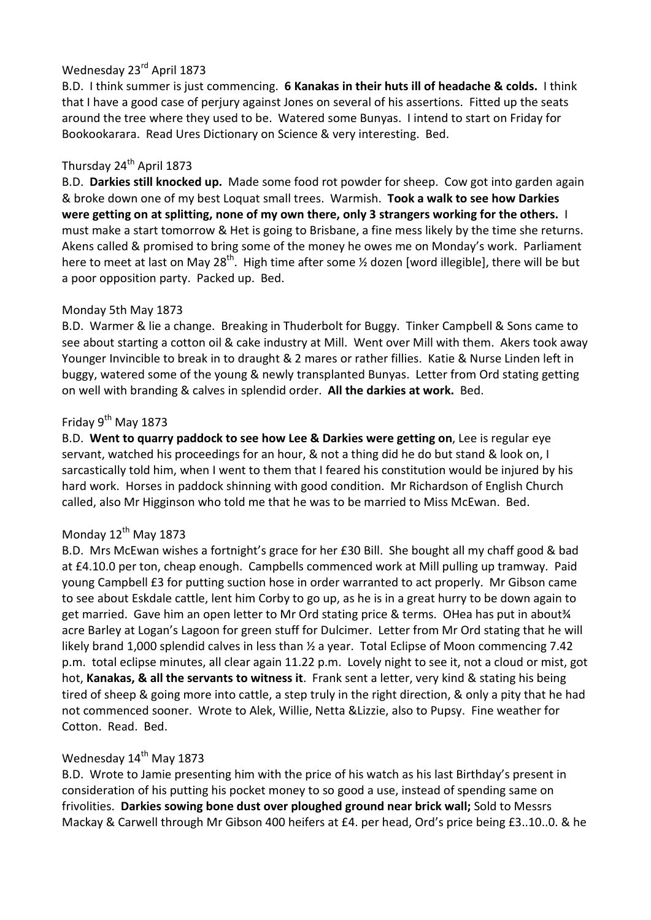# Wednesday 23<sup>rd</sup> April 1873

B.D. I think summer is just commencing. **6 Kanakas in their huts ill of headache & colds.** I think that I have a good case of perjury against Jones on several of his assertions. Fitted up the seats around the tree where they used to be. Watered some Bunyas. I intend to start on Friday for Bookookarara. Read Ures Dictionary on Science & very interesting. Bed.

# Thursday 24<sup>th</sup> April 1873

B.D. **Darkies still knocked up.** Made some food rot powder for sheep. Cow got into garden again & broke down one of my best Loquat small trees. Warmish. **Took a walk to see how Darkies were getting on at splitting, none of my own there, only 3 strangers working for the others.** I must make a start tomorrow & Het is going to Brisbane, a fine mess likely by the time she returns. Akens called & promised to bring some of the money he owes me on Monday's work. Parliament here to meet at last on May 28<sup>th</sup>. High time after some  $\frac{1}{2}$  dozen [word illegible], there will be but a poor opposition party. Packed up. Bed.

# Monday 5th May 1873

B.D. Warmer & lie a change. Breaking in Thuderbolt for Buggy. Tinker Campbell & Sons came to see about starting a cotton oil & cake industry at Mill. Went over Mill with them. Akers took away Younger Invincible to break in to draught & 2 mares or rather fillies. Katie & Nurse Linden left in buggy, watered some of the young & newly transplanted Bunyas. Letter from Ord stating getting on well with branding & calves in splendid order. **All the darkies at work.** Bed.

# Friday  $9^{th}$  May 1873

B.D. **Went to quarry paddock to see how Lee & Darkies were getting on**, Lee is regular eye servant, watched his proceedings for an hour, & not a thing did he do but stand & look on, I sarcastically told him, when I went to them that I feared his constitution would be injured by his hard work. Horses in paddock shinning with good condition. Mr Richardson of English Church called, also Mr Higginson who told me that he was to be married to Miss McEwan. Bed.

# Monday 12<sup>th</sup> May 1873

B.D. Mrs McEwan wishes a fortnight's grace for her £30 Bill. She bought all my chaff good & bad at £4.10.0 per ton, cheap enough. Campbells commenced work at Mill pulling up tramway. Paid young Campbell £3 for putting suction hose in order warranted to act properly. Mr Gibson came to see about Eskdale cattle, lent him Corby to go up, as he is in a great hurry to be down again to get married. Gave him an open letter to Mr Ord stating price & terms. OHea has put in about¾ acre Barley at Logan's Lagoon for green stuff for Dulcimer. Letter from Mr Ord stating that he will likely brand 1,000 splendid calves in less than ½ a year. Total Eclipse of Moon commencing 7.42 p.m. total eclipse minutes, all clear again 11.22 p.m. Lovely night to see it, not a cloud or mist, got hot, **Kanakas, & all the servants to witness it**. Frank sent a letter, very kind & stating his being tired of sheep & going more into cattle, a step truly in the right direction, & only a pity that he had not commenced sooner. Wrote to Alek, Willie, Netta &Lizzie, also to Pupsy. Fine weather for Cotton. Read. Bed.

# Wednesday  $14<sup>th</sup>$  May 1873

B.D. Wrote to Jamie presenting him with the price of his watch as his last Birthday's present in consideration of his putting his pocket money to so good a use, instead of spending same on frivolities. **Darkies sowing bone dust over ploughed ground near brick wall;** Sold to Messrs Mackay & Carwell through Mr Gibson 400 heifers at £4. per head, Ord's price being £3..10..0. & he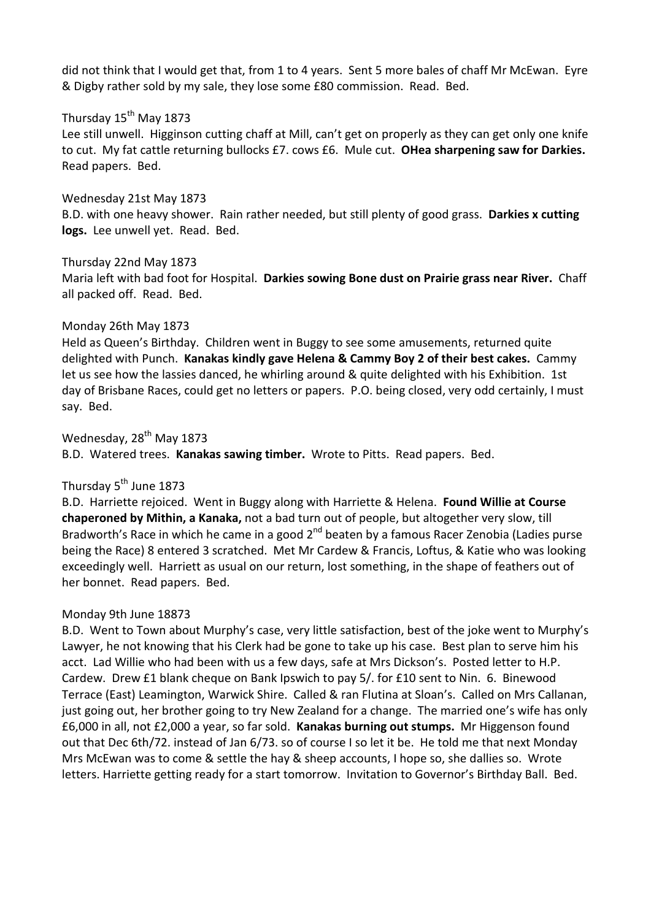did not think that I would get that, from 1 to 4 years. Sent 5 more bales of chaff Mr McEwan. Eyre & Digby rather sold by my sale, they lose some £80 commission. Read. Bed.

# Thursday 15<sup>th</sup> May 1873

Lee still unwell. Higginson cutting chaff at Mill, can't get on properly as they can get only one knife to cut. My fat cattle returning bullocks £7. cows £6. Mule cut. **OHea sharpening saw for Darkies.** Read papers. Bed.

#### Wednesday 21st May 1873

B.D. with one heavy shower. Rain rather needed, but still plenty of good grass. **Darkies x cutting logs.** Lee unwell yet. Read. Bed.

#### Thursday 22nd May 1873

Maria left with bad foot for Hospital. **Darkies sowing Bone dust on Prairie grass near River.** Chaff all packed off. Read. Bed.

#### Monday 26th May 1873

Held as Queen's Birthday. Children went in Buggy to see some amusements, returned quite delighted with Punch. **Kanakas kindly gave Helena & Cammy Boy 2 of their best cakes.** Cammy let us see how the lassies danced, he whirling around & quite delighted with his Exhibition. 1st day of Brisbane Races, could get no letters or papers. P.O. being closed, very odd certainly, I must say. Bed.

Wednesday, 28<sup>th</sup> May 1873

B.D. Watered trees. **Kanakas sawing timber.** Wrote to Pitts. Read papers. Bed.

# Thursday 5<sup>th</sup> June 1873

B.D. Harriette rejoiced. Went in Buggy along with Harriette & Helena. **Found Willie at Course chaperoned by Mithin, a Kanaka,** not a bad turn out of people, but altogether very slow, till Bradworth's Race in which he came in a good 2<sup>nd</sup> beaten by a famous Racer Zenobia (Ladies purse being the Race) 8 entered 3 scratched. Met Mr Cardew & Francis, Loftus, & Katie who was looking exceedingly well. Harriett as usual on our return, lost something, in the shape of feathers out of her bonnet. Read papers. Bed.

#### Monday 9th June 18873

B.D. Went to Town about Murphy's case, very little satisfaction, best of the joke went to Murphy's Lawyer, he not knowing that his Clerk had be gone to take up his case. Best plan to serve him his acct. Lad Willie who had been with us a few days, safe at Mrs Dickson's. Posted letter to H.P. Cardew. Drew £1 blank cheque on Bank Ipswich to pay 5/. for £10 sent to Nin. 6. Binewood Terrace (East) Leamington, Warwick Shire. Called & ran Flutina at Sloan's. Called on Mrs Callanan, just going out, her brother going to try New Zealand for a change. The married one's wife has only £6,000 in all, not £2,000 a year, so far sold. **Kanakas burning out stumps.** Mr Higgenson found out that Dec 6th/72. instead of Jan 6/73. so of course I so let it be. He told me that next Monday Mrs McEwan was to come & settle the hay & sheep accounts, I hope so, she dallies so. Wrote letters. Harriette getting ready for a start tomorrow. Invitation to Governor's Birthday Ball. Bed.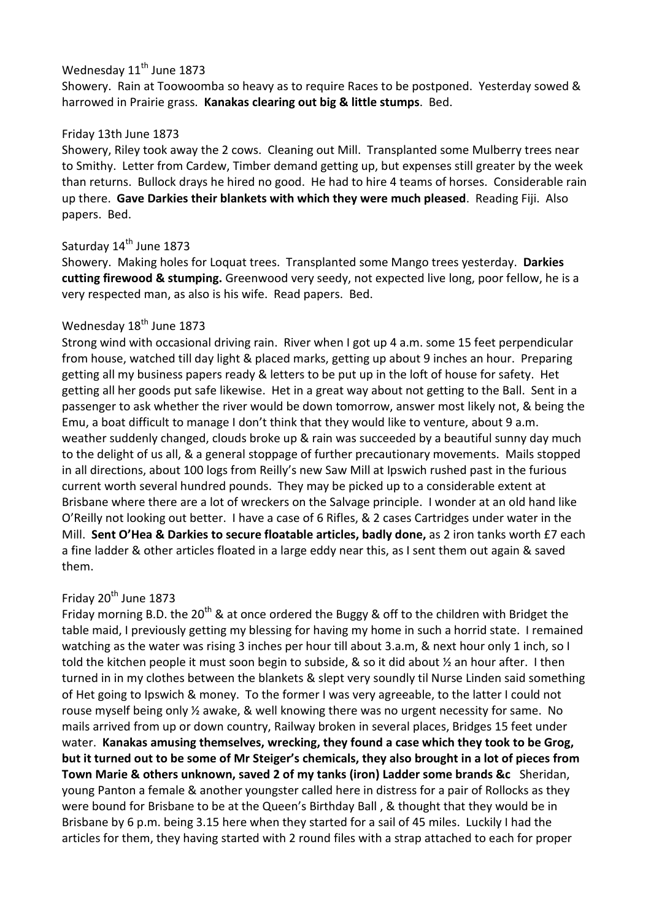# Wednesday 11<sup>th</sup> June 1873

Showery. Rain at Toowoomba so heavy as to require Races to be postponed. Yesterday sowed & harrowed in Prairie grass. **Kanakas clearing out big & little stumps**. Bed.

### Friday 13th June 1873

Showery, Riley took away the 2 cows. Cleaning out Mill. Transplanted some Mulberry trees near to Smithy. Letter from Cardew, Timber demand getting up, but expenses still greater by the week than returns. Bullock drays he hired no good. He had to hire 4 teams of horses. Considerable rain up there. **Gave Darkies their blankets with which they were much pleased**. Reading Fiji. Also papers. Bed.

# Saturday 14<sup>th</sup> June 1873

Showery. Making holes for Loquat trees. Transplanted some Mango trees yesterday. **Darkies cutting firewood & stumping.** Greenwood very seedy, not expected live long, poor fellow, he is a very respected man, as also is his wife. Read papers. Bed.

### Wednesday 18<sup>th</sup> June 1873

Strong wind with occasional driving rain. River when I got up 4 a.m. some 15 feet perpendicular from house, watched till day light & placed marks, getting up about 9 inches an hour. Preparing getting all my business papers ready & letters to be put up in the loft of house for safety. Het getting all her goods put safe likewise. Het in a great way about not getting to the Ball. Sent in a passenger to ask whether the river would be down tomorrow, answer most likely not, & being the Emu, a boat difficult to manage I don't think that they would like to venture, about 9 a.m. weather suddenly changed, clouds broke up & rain was succeeded by a beautiful sunny day much to the delight of us all, & a general stoppage of further precautionary movements. Mails stopped in all directions, about 100 logs from Reilly's new Saw Mill at Ipswich rushed past in the furious current worth several hundred pounds. They may be picked up to a considerable extent at Brisbane where there are a lot of wreckers on the Salvage principle. I wonder at an old hand like O'Reilly not looking out better. I have a case of 6 Rifles, & 2 cases Cartridges under water in the Mill. **Sent O'Hea & Darkies to secure floatable articles, badly done,** as 2 iron tanks worth £7 each a fine ladder & other articles floated in a large eddy near this, as I sent them out again & saved them.

# Friday  $20<sup>th</sup>$  June 1873

Friday morning B.D. the 20<sup>th</sup> & at once ordered the Buggy & off to the children with Bridget the table maid, I previously getting my blessing for having my home in such a horrid state. I remained watching as the water was rising 3 inches per hour till about 3.a.m, & next hour only 1 inch, so I told the kitchen people it must soon begin to subside, & so it did about ½ an hour after. I then turned in in my clothes between the blankets & slept very soundly til Nurse Linden said something of Het going to Ipswich & money. To the former I was very agreeable, to the latter I could not rouse myself being only ½ awake, & well knowing there was no urgent necessity for same. No mails arrived from up or down country, Railway broken in several places, Bridges 15 feet under water. **Kanakas amusing themselves, wrecking, they found a case which they took to be Grog, but it turned out to be some of Mr Steiger's chemicals, they also brought in a lot of pieces from Town Marie & others unknown, saved 2 of my tanks (iron) Ladder some brands &c** Sheridan, young Panton a female & another youngster called here in distress for a pair of Rollocks as they were bound for Brisbane to be at the Queen's Birthday Ball , & thought that they would be in Brisbane by 6 p.m. being 3.15 here when they started for a sail of 45 miles. Luckily I had the articles for them, they having started with 2 round files with a strap attached to each for proper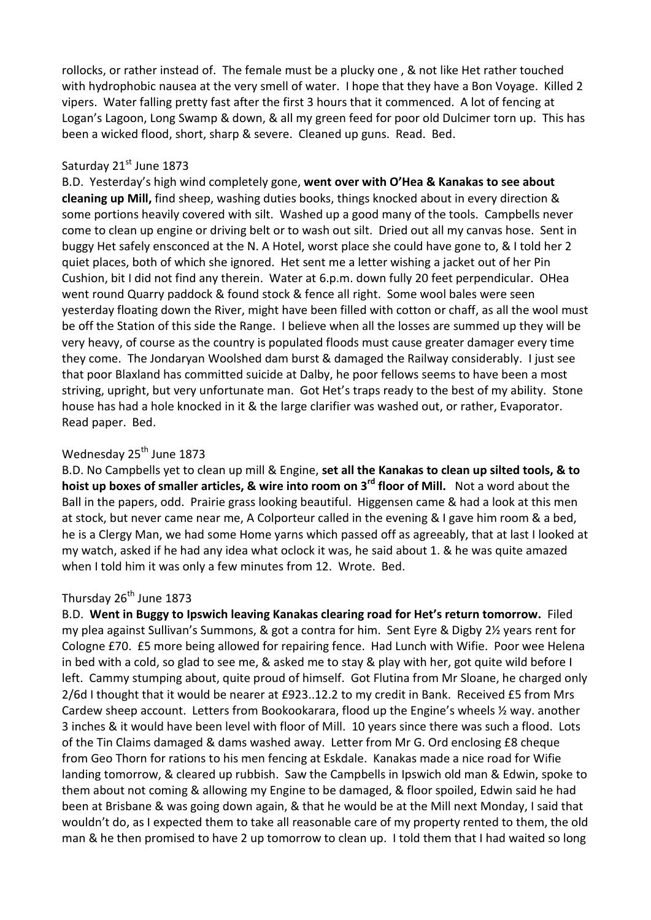rollocks, or rather instead of. The female must be a plucky one , & not like Het rather touched with hydrophobic nausea at the very smell of water. I hope that they have a Bon Voyage. Killed 2 vipers. Water falling pretty fast after the first 3 hours that it commenced. A lot of fencing at Logan's Lagoon, Long Swamp & down, & all my green feed for poor old Dulcimer torn up. This has been a wicked flood, short, sharp & severe. Cleaned up guns. Read. Bed.

#### Saturday 21st June 1873

B.D. Yesterday's high wind completely gone, **went over with O'Hea & Kanakas to see about cleaning up Mill,** find sheep, washing duties books, things knocked about in every direction & some portions heavily covered with silt. Washed up a good many of the tools. Campbells never come to clean up engine or driving belt or to wash out silt. Dried out all my canvas hose. Sent in buggy Het safely ensconced at the N. A Hotel, worst place she could have gone to, & I told her 2 quiet places, both of which she ignored. Het sent me a letter wishing a jacket out of her Pin Cushion, bit I did not find any therein. Water at 6.p.m. down fully 20 feet perpendicular. OHea went round Quarry paddock & found stock & fence all right. Some wool bales were seen yesterday floating down the River, might have been filled with cotton or chaff, as all the wool must be off the Station of this side the Range. I believe when all the losses are summed up they will be very heavy, of course as the country is populated floods must cause greater damager every time they come. The Jondaryan Woolshed dam burst & damaged the Railway considerably. I just see that poor Blaxland has committed suicide at Dalby, he poor fellows seems to have been a most striving, upright, but very unfortunate man. Got Het's traps ready to the best of my ability. Stone house has had a hole knocked in it & the large clarifier was washed out, or rather, Evaporator. Read paper. Bed.

# Wednesday 25<sup>th</sup> June 1873

B.D. No Campbells yet to clean up mill & Engine, **set all the Kanakas to clean up silted tools, & to hoist up boxes of smaller articles, & wire into room on 3rd floor of Mill.** Not a word about the Ball in the papers, odd. Prairie grass looking beautiful. Higgensen came & had a look at this men at stock, but never came near me, A Colporteur called in the evening & I gave him room & a bed, he is a Clergy Man, we had some Home yarns which passed off as agreeably, that at last I looked at my watch, asked if he had any idea what oclock it was, he said about 1. & he was quite amazed when I told him it was only a few minutes from 12. Wrote. Bed.

# Thursday 26<sup>th</sup> June 1873

B.D. **Went in Buggy to Ipswich leaving Kanakas clearing road for Het's return tomorrow.** Filed my plea against Sullivan's Summons, & got a contra for him. Sent Eyre & Digby 2½ years rent for Cologne £70. £5 more being allowed for repairing fence. Had Lunch with Wifie. Poor wee Helena in bed with a cold, so glad to see me, & asked me to stay & play with her, got quite wild before I left. Cammy stumping about, quite proud of himself. Got Flutina from Mr Sloane, he charged only 2/6d I thought that it would be nearer at £923..12.2 to my credit in Bank. Received £5 from Mrs Cardew sheep account. Letters from Bookookarara, flood up the Engine's wheels ½ way. another 3 inches & it would have been level with floor of Mill. 10 years since there was such a flood. Lots of the Tin Claims damaged & dams washed away. Letter from Mr G. Ord enclosing £8 cheque from Geo Thorn for rations to his men fencing at Eskdale. Kanakas made a nice road for Wifie landing tomorrow, & cleared up rubbish. Saw the Campbells in Ipswich old man & Edwin, spoke to them about not coming & allowing my Engine to be damaged, & floor spoiled, Edwin said he had been at Brisbane & was going down again, & that he would be at the Mill next Monday, I said that wouldn't do, as I expected them to take all reasonable care of my property rented to them, the old man & he then promised to have 2 up tomorrow to clean up. I told them that I had waited so long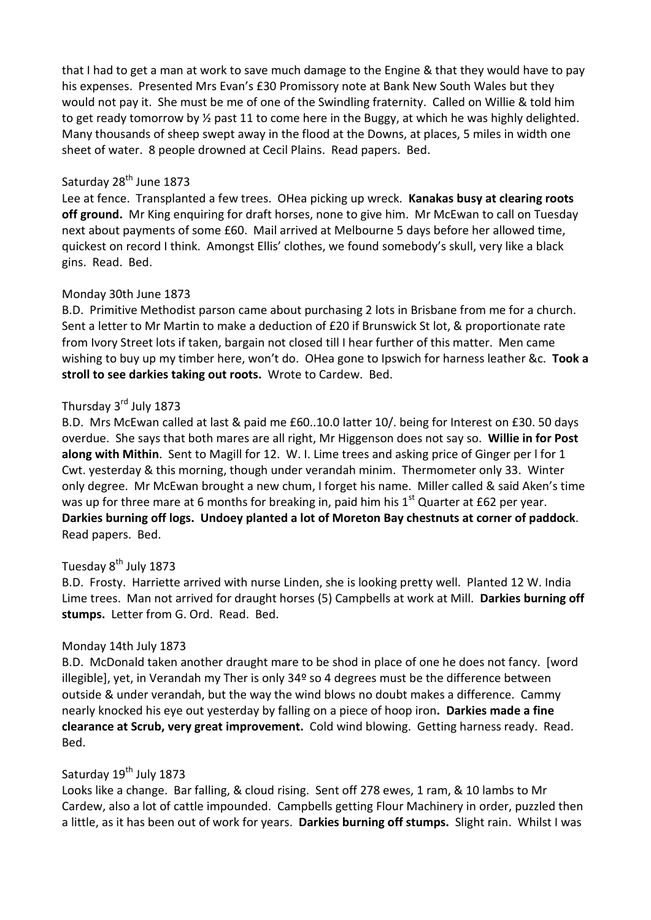that I had to get a man at work to save much damage to the Engine & that they would have to pay his expenses. Presented Mrs Evan's £30 Promissory note at Bank New South Wales but they would not pay it. She must be me of one of the Swindling fraternity. Called on Willie & told him to get ready tomorrow by  $\frac{1}{2}$  past 11 to come here in the Buggy, at which he was highly delighted. Many thousands of sheep swept away in the flood at the Downs, at places, 5 miles in width one sheet of water. 8 people drowned at Cecil Plains. Read papers. Bed.

### Saturday 28<sup>th</sup> June 1873

Lee at fence. Transplanted a few trees. OHea picking up wreck. **Kanakas busy at clearing roots off ground.** Mr King enquiring for draft horses, none to give him. Mr McEwan to call on Tuesday next about payments of some £60. Mail arrived at Melbourne 5 days before her allowed time, quickest on record I think. Amongst Ellis' clothes, we found somebody's skull, very like a black gins. Read. Bed.

#### Monday 30th June 1873

B.D. Primitive Methodist parson came about purchasing 2 lots in Brisbane from me for a church. Sent a letter to Mr Martin to make a deduction of £20 if Brunswick St lot, & proportionate rate from Ivory Street lots if taken, bargain not closed till I hear further of this matter. Men came wishing to buy up my timber here, won't do. OHea gone to Ipswich for harness leather &c. **Took a stroll to see darkies taking out roots.** Wrote to Cardew. Bed.

# Thursday 3<sup>rd</sup> July 1873

B.D. Mrs McEwan called at last & paid me £60..10.0 latter 10/. being for Interest on £30. 50 days overdue. She says that both mares are all right, Mr Higgenson does not say so. **Willie in for Post along with Mithin**. Sent to Magill for 12. W. I. Lime trees and asking price of Ginger per l for 1 Cwt. yesterday & this morning, though under verandah minim. Thermometer only 33. Winter only degree. Mr McEwan brought a new chum, I forget his name. Miller called & said Aken's time was up for three mare at 6 months for breaking in, paid him his  $1<sup>st</sup>$  Quarter at £62 per year. **Darkies burning off logs. Undoey planted a lot of Moreton Bay chestnuts at corner of paddock**. Read papers. Bed.

#### Tuesday 8<sup>th</sup> July 1873

B.D. Frosty. Harriette arrived with nurse Linden, she is looking pretty well. Planted 12 W. India Lime trees. Man not arrived for draught horses (5) Campbells at work at Mill. **Darkies burning off stumps.** Letter from G. Ord. Read. Bed.

#### Monday 14th July 1873

B.D. McDonald taken another draught mare to be shod in place of one he does not fancy. [word illegible], yet, in Verandah my Ther is only 34º so 4 degrees must be the difference between outside & under verandah, but the way the wind blows no doubt makes a difference. Cammy nearly knocked his eye out yesterday by falling on a piece of hoop iron**. Darkies made a fine clearance at Scrub, very great improvement.** Cold wind blowing. Getting harness ready. Read. Bed.

# Saturday 19<sup>th</sup> July 1873

Looks like a change. Bar falling, & cloud rising. Sent off 278 ewes, 1 ram, & 10 lambs to Mr Cardew, also a lot of cattle impounded. Campbells getting Flour Machinery in order, puzzled then a little, as it has been out of work for years. **Darkies burning off stumps.** Slight rain. Whilst I was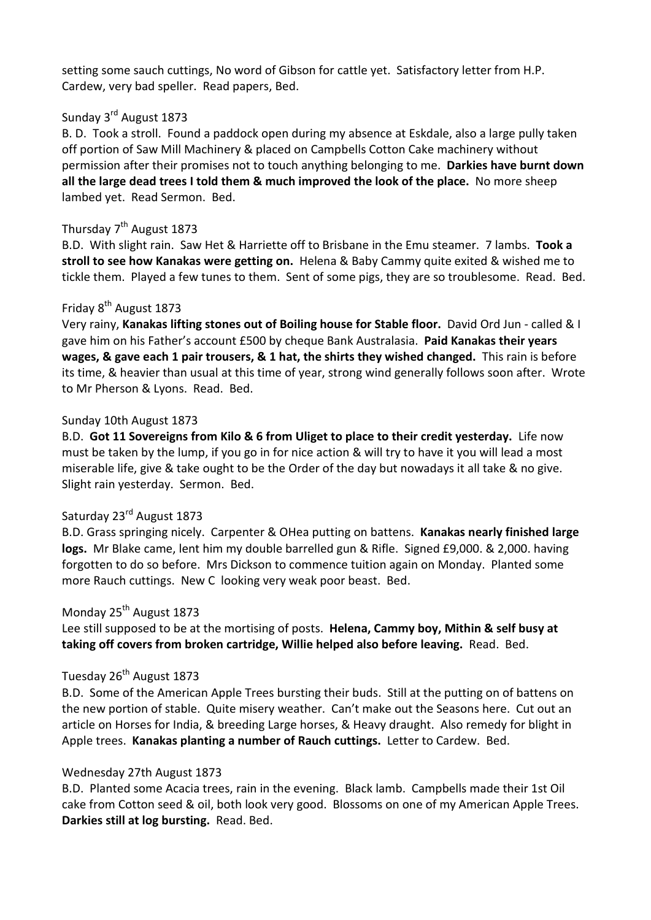setting some sauch cuttings, No word of Gibson for cattle yet. Satisfactory letter from H.P. Cardew, very bad speller. Read papers, Bed.

# Sunday 3rd August 1873

B. D. Took a stroll. Found a paddock open during my absence at Eskdale, also a large pully taken off portion of Saw Mill Machinery & placed on Campbells Cotton Cake machinery without permission after their promises not to touch anything belonging to me. **Darkies have burnt down all the large dead trees I told them & much improved the look of the place.** No more sheep lambed yet. Read Sermon. Bed.

### Thursday  $7<sup>th</sup>$  August 1873

B.D. With slight rain. Saw Het & Harriette off to Brisbane in the Emu steamer. 7 lambs. **Took a stroll to see how Kanakas were getting on.** Helena & Baby Cammy quite exited & wished me to tickle them. Played a few tunes to them. Sent of some pigs, they are so troublesome. Read. Bed.

# Friday 8<sup>th</sup> August 1873

Very rainy, **Kanakas lifting stones out of Boiling house for Stable floor.** David Ord Jun - called & I gave him on his Father's account £500 by cheque Bank Australasia. **Paid Kanakas their years wages, & gave each 1 pair trousers, & 1 hat, the shirts they wished changed.** This rain is before its time, & heavier than usual at this time of year, strong wind generally follows soon after. Wrote to Mr Pherson & Lyons. Read. Bed.

#### Sunday 10th August 1873

B.D. **Got 11 Sovereigns from Kilo & 6 from Uliget to place to their credit yesterday.** Life now must be taken by the lump, if you go in for nice action & will try to have it you will lead a most miserable life, give & take ought to be the Order of the day but nowadays it all take & no give. Slight rain yesterday. Sermon. Bed.

### Saturday 23<sup>rd</sup> August 1873

B.D. Grass springing nicely. Carpenter & OHea putting on battens. **Kanakas nearly finished large logs.** Mr Blake came, lent him my double barrelled gun & Rifle. Signed £9,000. & 2,000. having forgotten to do so before. Mrs Dickson to commence tuition again on Monday. Planted some more Rauch cuttings. New C looking very weak poor beast. Bed.

#### Monday 25<sup>th</sup> August 1873

Lee still supposed to be at the mortising of posts. **Helena, Cammy boy, Mithin & self busy at taking off covers from broken cartridge, Willie helped also before leaving.** Read. Bed.

# Tuesday 26<sup>th</sup> August 1873

B.D. Some of the American Apple Trees bursting their buds. Still at the putting on of battens on the new portion of stable. Quite misery weather. Can't make out the Seasons here. Cut out an article on Horses for India, & breeding Large horses, & Heavy draught. Also remedy for blight in Apple trees. **Kanakas planting a number of Rauch cuttings.** Letter to Cardew. Bed.

#### Wednesday 27th August 1873

B.D. Planted some Acacia trees, rain in the evening. Black lamb. Campbells made their 1st Oil cake from Cotton seed & oil, both look very good. Blossoms on one of my American Apple Trees. **Darkies still at log bursting.** Read. Bed.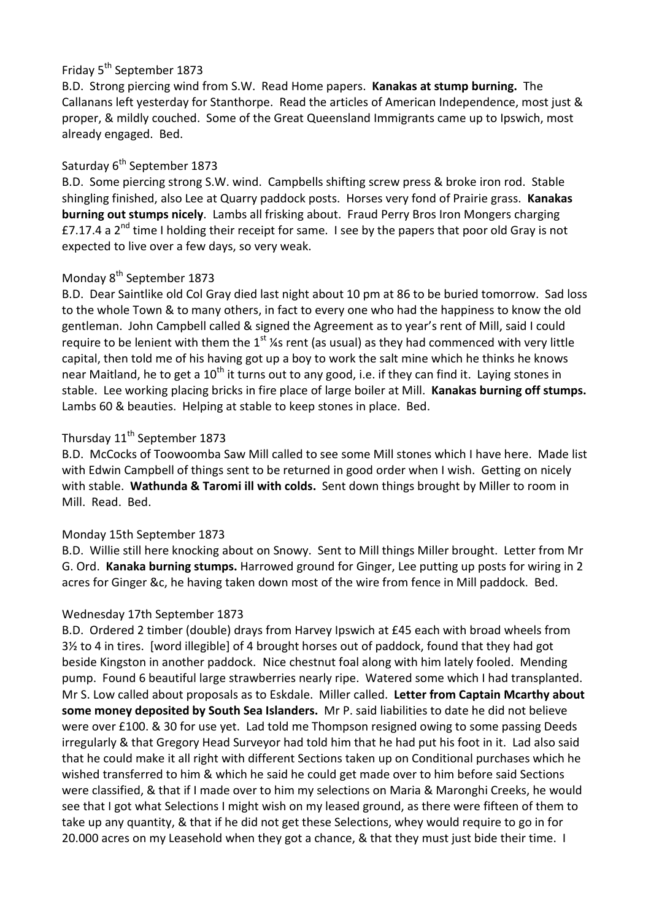# Friday 5<sup>th</sup> September 1873

B.D. Strong piercing wind from S.W. Read Home papers. **Kanakas at stump burning.** The Callanans left yesterday for Stanthorpe. Read the articles of American Independence, most just & proper, & mildly couched. Some of the Great Queensland Immigrants came up to Ipswich, most already engaged. Bed.

# Saturday 6<sup>th</sup> September 1873

B.D. Some piercing strong S.W. wind. Campbells shifting screw press & broke iron rod. Stable shingling finished, also Lee at Quarry paddock posts. Horses very fond of Prairie grass. **Kanakas burning out stumps nicely**. Lambs all frisking about. Fraud Perry Bros Iron Mongers charging £7.17.4 a 2<sup>nd</sup> time I holding their receipt for same. I see by the papers that poor old Gray is not expected to live over a few days, so very weak.

# Monday 8<sup>th</sup> September 1873

B.D. Dear Saintlike old Col Gray died last night about 10 pm at 86 to be buried tomorrow. Sad loss to the whole Town & to many others, in fact to every one who had the happiness to know the old gentleman. John Campbell called & signed the Agreement as to year's rent of Mill, said I could require to be lenient with them the  $1^{st}$  ¼s rent (as usual) as they had commenced with very little capital, then told me of his having got up a boy to work the salt mine which he thinks he knows near Maitland, he to get a  $10^{th}$  it turns out to any good, i.e. if they can find it. Laying stones in stable. Lee working placing bricks in fire place of large boiler at Mill. **Kanakas burning off stumps.** Lambs 60 & beauties. Helping at stable to keep stones in place. Bed.

# Thursday 11<sup>th</sup> September 1873

B.D. McCocks of Toowoomba Saw Mill called to see some Mill stones which I have here. Made list with Edwin Campbell of things sent to be returned in good order when I wish. Getting on nicely with stable. **Wathunda & Taromi ill with colds.** Sent down things brought by Miller to room in Mill. Read. Bed.

# Monday 15th September 1873

B.D. Willie still here knocking about on Snowy. Sent to Mill things Miller brought. Letter from Mr G. Ord. **Kanaka burning stumps.** Harrowed ground for Ginger, Lee putting up posts for wiring in 2 acres for Ginger &c, he having taken down most of the wire from fence in Mill paddock. Bed.

# Wednesday 17th September 1873

B.D. Ordered 2 timber (double) drays from Harvey Ipswich at £45 each with broad wheels from 3½ to 4 in tires. [word illegible] of 4 brought horses out of paddock, found that they had got beside Kingston in another paddock. Nice chestnut foal along with him lately fooled. Mending pump. Found 6 beautiful large strawberries nearly ripe. Watered some which I had transplanted. Mr S. Low called about proposals as to Eskdale. Miller called. **Letter from Captain Mcarthy about some money deposited by South Sea Islanders.** Mr P. said liabilities to date he did not believe were over £100. & 30 for use yet. Lad told me Thompson resigned owing to some passing Deeds irregularly & that Gregory Head Surveyor had told him that he had put his foot in it. Lad also said that he could make it all right with different Sections taken up on Conditional purchases which he wished transferred to him & which he said he could get made over to him before said Sections were classified, & that if I made over to him my selections on Maria & Maronghi Creeks, he would see that I got what Selections I might wish on my leased ground, as there were fifteen of them to take up any quantity, & that if he did not get these Selections, whey would require to go in for 20.000 acres on my Leasehold when they got a chance, & that they must just bide their time. I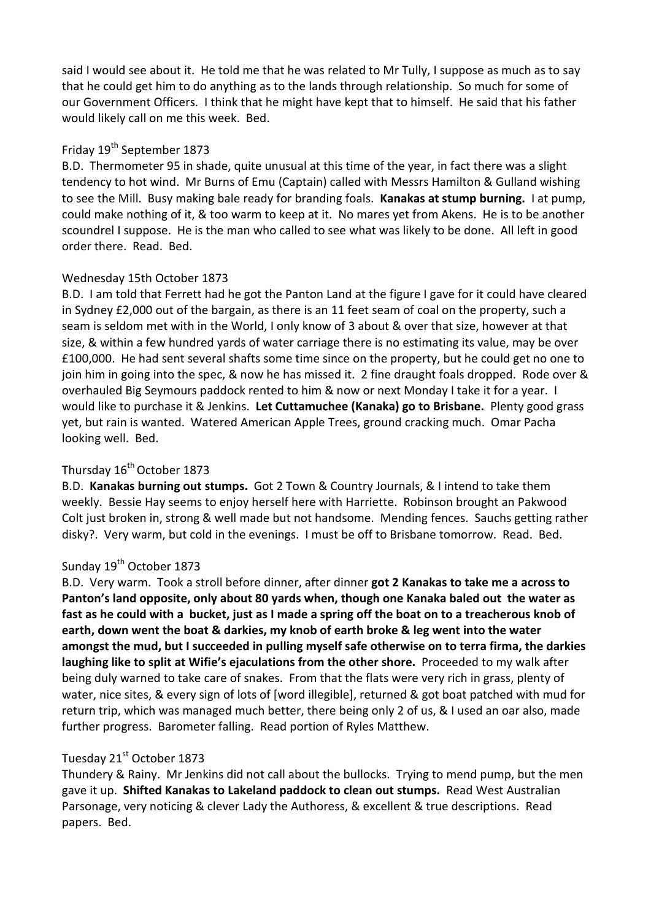said I would see about it. He told me that he was related to Mr Tully, I suppose as much as to say that he could get him to do anything as to the lands through relationship. So much for some of our Government Officers. I think that he might have kept that to himself. He said that his father would likely call on me this week. Bed.

# Friday 19<sup>th</sup> September 1873

B.D. Thermometer 95 in shade, quite unusual at this time of the year, in fact there was a slight tendency to hot wind. Mr Burns of Emu (Captain) called with Messrs Hamilton & Gulland wishing to see the Mill. Busy making bale ready for branding foals. **Kanakas at stump burning.** I at pump, could make nothing of it, & too warm to keep at it. No mares yet from Akens. He is to be another scoundrel I suppose. He is the man who called to see what was likely to be done. All left in good order there. Read. Bed.

# Wednesday 15th October 1873

B.D. I am told that Ferrett had he got the Panton Land at the figure I gave for it could have cleared in Sydney £2,000 out of the bargain, as there is an 11 feet seam of coal on the property, such a seam is seldom met with in the World, I only know of 3 about & over that size, however at that size, & within a few hundred yards of water carriage there is no estimating its value, may be over £100,000. He had sent several shafts some time since on the property, but he could get no one to join him in going into the spec, & now he has missed it. 2 fine draught foals dropped. Rode over & overhauled Big Seymours paddock rented to him & now or next Monday I take it for a year. I would like to purchase it & Jenkins. **Let Cuttamuchee (Kanaka) go to Brisbane.** Plenty good grass yet, but rain is wanted. Watered American Apple Trees, ground cracking much. Omar Pacha looking well. Bed.

# Thursday 16<sup>th</sup> October 1873

B.D. **Kanakas burning out stumps.** Got 2 Town & Country Journals, & I intend to take them weekly. Bessie Hay seems to enjoy herself here with Harriette. Robinson brought an Pakwood Colt just broken in, strong & well made but not handsome. Mending fences. Sauchs getting rather disky?. Very warm, but cold in the evenings. I must be off to Brisbane tomorrow. Read. Bed.

# Sunday 19<sup>th</sup> October 1873

B.D. Very warm. Took a stroll before dinner, after dinner **got 2 Kanakas to take me a across to Panton's land opposite, only about 80 yards when, though one Kanaka baled out the water as fast as he could with a bucket, just as I made a spring off the boat on to a treacherous knob of earth, down went the boat & darkies, my knob of earth broke & leg went into the water amongst the mud, but I succeeded in pulling myself safe otherwise on to terra firma, the darkies laughing like to split at Wifie's ejaculations from the other shore.** Proceeded to my walk after being duly warned to take care of snakes. From that the flats were very rich in grass, plenty of water, nice sites, & every sign of lots of [word illegible], returned & got boat patched with mud for return trip, which was managed much better, there being only 2 of us, & I used an oar also, made further progress. Barometer falling. Read portion of Ryles Matthew.

# Tuesday 21<sup>st</sup> October 1873

Thundery & Rainy. Mr Jenkins did not call about the bullocks. Trying to mend pump, but the men gave it up. **Shifted Kanakas to Lakeland paddock to clean out stumps.** Read West Australian Parsonage, very noticing & clever Lady the Authoress, & excellent & true descriptions. Read papers. Bed.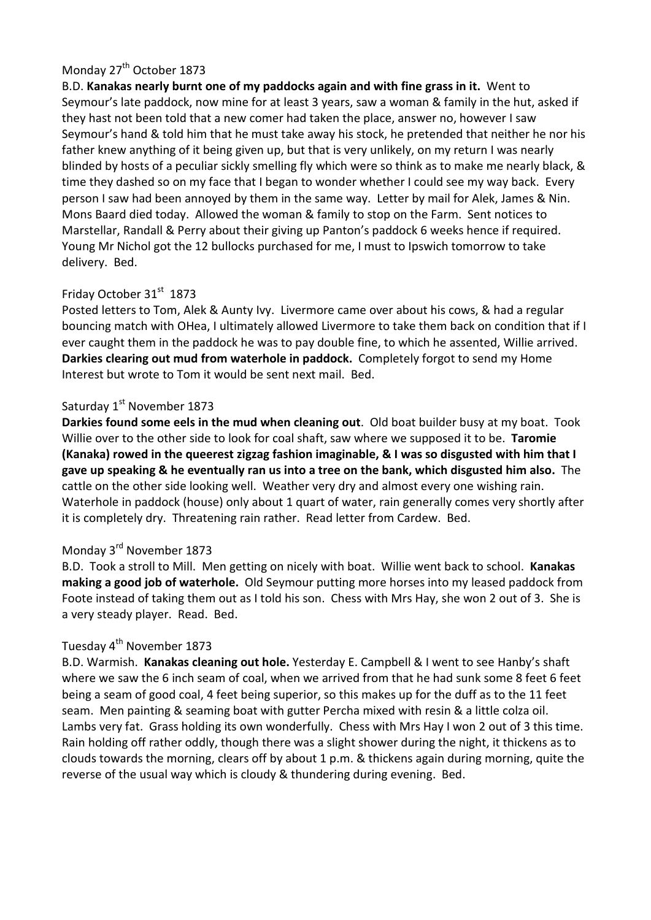# Monday 27<sup>th</sup> October 1873

B.D. **Kanakas nearly burnt one of my paddocks again and with fine grass in it.** Went to Seymour's late paddock, now mine for at least 3 years, saw a woman & family in the hut, asked if they hast not been told that a new comer had taken the place, answer no, however I saw Seymour's hand & told him that he must take away his stock, he pretended that neither he nor his father knew anything of it being given up, but that is very unlikely, on my return I was nearly blinded by hosts of a peculiar sickly smelling fly which were so think as to make me nearly black, & time they dashed so on my face that I began to wonder whether I could see my way back. Every person I saw had been annoyed by them in the same way. Letter by mail for Alek, James & Nin. Mons Baard died today. Allowed the woman & family to stop on the Farm. Sent notices to Marstellar, Randall & Perry about their giving up Panton's paddock 6 weeks hence if required. Young Mr Nichol got the 12 bullocks purchased for me, I must to Ipswich tomorrow to take delivery. Bed.

# Friday October 31<sup>st</sup> 1873

Posted letters to Tom, Alek & Aunty Ivy. Livermore came over about his cows, & had a regular bouncing match with OHea, I ultimately allowed Livermore to take them back on condition that if I ever caught them in the paddock he was to pay double fine, to which he assented, Willie arrived. **Darkies clearing out mud from waterhole in paddock.** Completely forgot to send my Home Interest but wrote to Tom it would be sent next mail. Bed.

#### Saturday 1<sup>st</sup> November 1873

**Darkies found some eels in the mud when cleaning out**. Old boat builder busy at my boat. Took Willie over to the other side to look for coal shaft, saw where we supposed it to be. **Taromie (Kanaka) rowed in the queerest zigzag fashion imaginable, & I was so disgusted with him that I gave up speaking & he eventually ran us into a tree on the bank, which disgusted him also.** The cattle on the other side looking well. Weather very dry and almost every one wishing rain. Waterhole in paddock (house) only about 1 quart of water, rain generally comes very shortly after it is completely dry. Threatening rain rather. Read letter from Cardew. Bed.

# Monday 3rd November 1873

B.D. Took a stroll to Mill. Men getting on nicely with boat. Willie went back to school. **Kanakas making a good job of waterhole.** Old Seymour putting more horses into my leased paddock from Foote instead of taking them out as I told his son. Chess with Mrs Hay, she won 2 out of 3. She is a very steady player. Read. Bed.

### Tuesday 4<sup>th</sup> November 1873

B.D. Warmish. **Kanakas cleaning out hole.** Yesterday E. Campbell & I went to see Hanby's shaft where we saw the 6 inch seam of coal, when we arrived from that he had sunk some 8 feet 6 feet being a seam of good coal, 4 feet being superior, so this makes up for the duff as to the 11 feet seam. Men painting & seaming boat with gutter Percha mixed with resin & a little colza oil. Lambs very fat. Grass holding its own wonderfully. Chess with Mrs Hay I won 2 out of 3 this time. Rain holding off rather oddly, though there was a slight shower during the night, it thickens as to clouds towards the morning, clears off by about 1 p.m. & thickens again during morning, quite the reverse of the usual way which is cloudy & thundering during evening. Bed.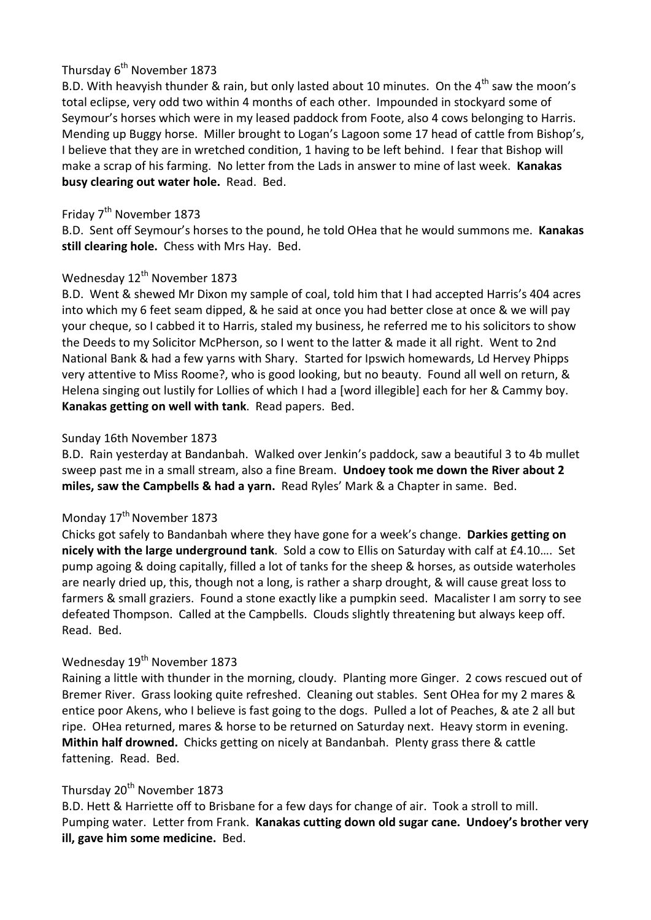# Thursday 6<sup>th</sup> November 1873

B.D. With heavyish thunder & rain, but only lasted about 10 minutes. On the  $4^{th}$  saw the moon's total eclipse, very odd two within 4 months of each other. Impounded in stockyard some of Seymour's horses which were in my leased paddock from Foote, also 4 cows belonging to Harris. Mending up Buggy horse. Miller brought to Logan's Lagoon some 17 head of cattle from Bishop's, I believe that they are in wretched condition, 1 having to be left behind. I fear that Bishop will make a scrap of his farming. No letter from the Lads in answer to mine of last week. **Kanakas busy clearing out water hole.** Read. Bed.

# Friday 7<sup>th</sup> November 1873

B.D. Sent off Seymour's horses to the pound, he told OHea that he would summons me. **Kanakas still clearing hole.** Chess with Mrs Hay. Bed.

# Wednesday 12<sup>th</sup> November 1873

B.D. Went & shewed Mr Dixon my sample of coal, told him that I had accepted Harris's 404 acres into which my 6 feet seam dipped, & he said at once you had better close at once & we will pay your cheque, so I cabbed it to Harris, staled my business, he referred me to his solicitors to show the Deeds to my Solicitor McPherson, so I went to the latter & made it all right. Went to 2nd National Bank & had a few yarns with Shary. Started for Ipswich homewards, Ld Hervey Phipps very attentive to Miss Roome?, who is good looking, but no beauty. Found all well on return, & Helena singing out lustily for Lollies of which I had a [word illegible] each for her & Cammy boy. **Kanakas getting on well with tank**. Read papers. Bed.

# Sunday 16th November 1873

B.D. Rain yesterday at Bandanbah. Walked over Jenkin's paddock, saw a beautiful 3 to 4b mullet sweep past me in a small stream, also a fine Bream. **Undoey took me down the River about 2 miles, saw the Campbells & had a yarn.** Read Ryles' Mark & a Chapter in same. Bed.

# Monday 17<sup>th</sup> November 1873

Chicks got safely to Bandanbah where they have gone for a week's change. **Darkies getting on nicely with the large underground tank**. Sold a cow to Ellis on Saturday with calf at £4.10…. Set pump agoing & doing capitally, filled a lot of tanks for the sheep & horses, as outside waterholes are nearly dried up, this, though not a long, is rather a sharp drought, & will cause great loss to farmers & small graziers. Found a stone exactly like a pumpkin seed. Macalister I am sorry to see defeated Thompson. Called at the Campbells. Clouds slightly threatening but always keep off. Read. Bed.

# Wednesday 19<sup>th</sup> November 1873

Raining a little with thunder in the morning, cloudy. Planting more Ginger. 2 cows rescued out of Bremer River. Grass looking quite refreshed. Cleaning out stables. Sent OHea for my 2 mares & entice poor Akens, who I believe is fast going to the dogs. Pulled a lot of Peaches, & ate 2 all but ripe. OHea returned, mares & horse to be returned on Saturday next. Heavy storm in evening. **Mithin half drowned.** Chicks getting on nicely at Bandanbah. Plenty grass there & cattle fattening. Read. Bed.

# Thursday 20<sup>th</sup> November 1873

B.D. Hett & Harriette off to Brisbane for a few days for change of air. Took a stroll to mill. Pumping water. Letter from Frank. **Kanakas cutting down old sugar cane. Undoey's brother very ill, gave him some medicine.** Bed.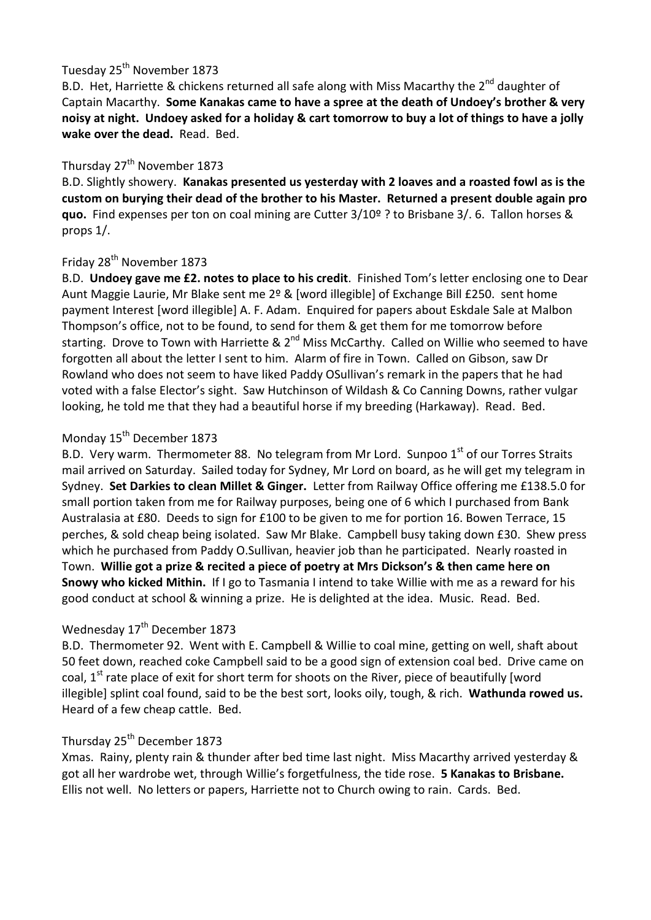# Tuesday 25<sup>th</sup> November 1873

B.D. Het, Harriette & chickens returned all safe along with Miss Macarthy the  $2^{nd}$  daughter of Captain Macarthy. **Some Kanakas came to have a spree at the death of Undoey's brother & very noisy at night. Undoey asked for a holiday & cart tomorrow to buy a lot of things to have a jolly wake over the dead.** Read. Bed.

# Thursday 27<sup>th</sup> November 1873

B.D. Slightly showery. **Kanakas presented us yesterday with 2 loaves and a roasted fowl as is the custom on burying their dead of the brother to his Master. Returned a present double again pro quo.** Find expenses per ton on coal mining are Cutter 3/10º ? to Brisbane 3/. 6. Tallon horses & props 1/.

# Friday 28<sup>th</sup> November 1873

B.D. **Undoey gave me £2. notes to place to his credit**. Finished Tom's letter enclosing one to Dear Aunt Maggie Laurie, Mr Blake sent me 2º & [word illegible] of Exchange Bill £250. sent home payment Interest [word illegible] A. F. Adam. Enquired for papers about Eskdale Sale at Malbon Thompson's office, not to be found, to send for them & get them for me tomorrow before starting. Drove to Town with Harriette & 2<sup>nd</sup> Miss McCarthy. Called on Willie who seemed to have forgotten all about the letter I sent to him. Alarm of fire in Town. Called on Gibson, saw Dr Rowland who does not seem to have liked Paddy OSullivan's remark in the papers that he had voted with a false Elector's sight. Saw Hutchinson of Wildash & Co Canning Downs, rather vulgar looking, he told me that they had a beautiful horse if my breeding (Harkaway). Read. Bed.

# Monday 15<sup>th</sup> December 1873

B.D. Very warm. Thermometer 88. No telegram from Mr Lord. Sunpoo  $1<sup>st</sup>$  of our Torres Straits mail arrived on Saturday. Sailed today for Sydney, Mr Lord on board, as he will get my telegram in Sydney. **Set Darkies to clean Millet & Ginger.** Letter from Railway Office offering me £138.5.0 for small portion taken from me for Railway purposes, being one of 6 which I purchased from Bank Australasia at £80. Deeds to sign for £100 to be given to me for portion 16. Bowen Terrace, 15 perches, & sold cheap being isolated. Saw Mr Blake. Campbell busy taking down £30. Shew press which he purchased from Paddy O.Sullivan, heavier job than he participated. Nearly roasted in Town. **Willie got a prize & recited a piece of poetry at Mrs Dickson's & then came here on Snowy who kicked Mithin.** If I go to Tasmania I intend to take Willie with me as a reward for his good conduct at school & winning a prize. He is delighted at the idea. Music. Read. Bed.

# Wednesday 17<sup>th</sup> December 1873

B.D. Thermometer 92. Went with E. Campbell & Willie to coal mine, getting on well, shaft about 50 feet down, reached coke Campbell said to be a good sign of extension coal bed. Drive came on coal, 1<sup>st</sup> rate place of exit for short term for shoots on the River, piece of beautifully [word illegible] splint coal found, said to be the best sort, looks oily, tough, & rich. **Wathunda rowed us.** Heard of a few cheap cattle. Bed.

# Thursday 25<sup>th</sup> December 1873

Xmas. Rainy, plenty rain & thunder after bed time last night. Miss Macarthy arrived yesterday & got all her wardrobe wet, through Willie's forgetfulness, the tide rose. **5 Kanakas to Brisbane.** Ellis not well. No letters or papers, Harriette not to Church owing to rain. Cards. Bed.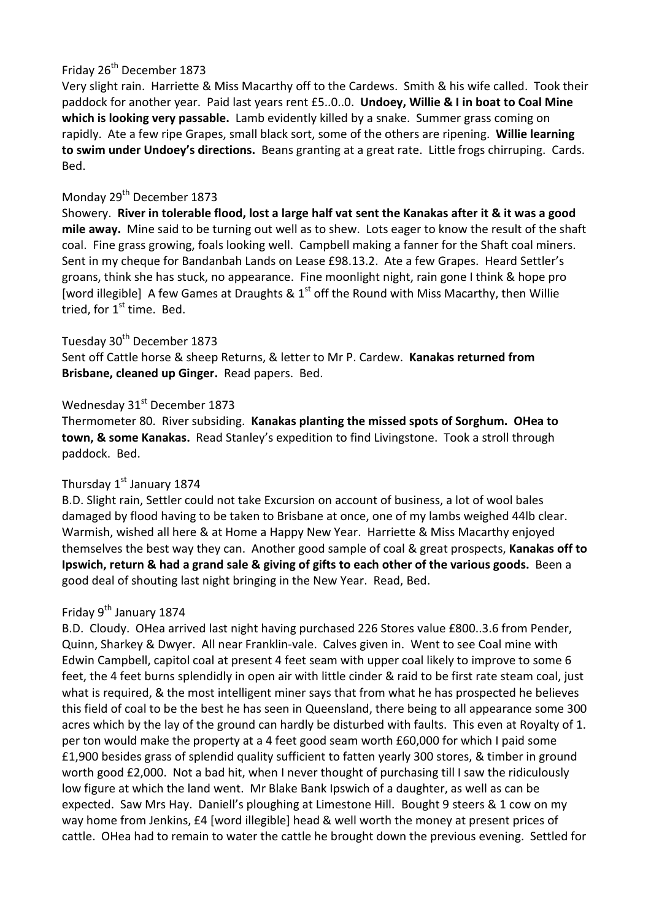# Friday 26<sup>th</sup> December 1873

Very slight rain. Harriette & Miss Macarthy off to the Cardews. Smith & his wife called. Took their paddock for another year. Paid last years rent £5..0..0. **Undoey, Willie & I in boat to Coal Mine which is looking very passable.** Lamb evidently killed by a snake. Summer grass coming on rapidly. Ate a few ripe Grapes, small black sort, some of the others are ripening. **Willie learning to swim under Undoey's directions.** Beans granting at a great rate. Little frogs chirruping. Cards. Bed.

### Monday 29<sup>th</sup> December 1873

Showery. **River in tolerable flood, lost a large half vat sent the Kanakas after it & it was a good mile away.** Mine said to be turning out well as to shew. Lots eager to know the result of the shaft coal. Fine grass growing, foals looking well. Campbell making a fanner for the Shaft coal miners. Sent in my cheque for Bandanbah Lands on Lease £98.13.2. Ate a few Grapes. Heard Settler's groans, think she has stuck, no appearance. Fine moonlight night, rain gone I think & hope pro [word illegible] A few Games at Draughts &  $1<sup>st</sup>$  off the Round with Miss Macarthy, then Willie tried, for  $1<sup>st</sup>$  time. Bed.

# Tuesday 30<sup>th</sup> December 1873

Sent off Cattle horse & sheep Returns, & letter to Mr P. Cardew. **Kanakas returned from Brisbane, cleaned up Ginger.** Read papers. Bed.

# Wednesday 31<sup>st</sup> December 1873

Thermometer 80. River subsiding. **Kanakas planting the missed spots of Sorghum. OHea to town, & some Kanakas.** Read Stanley's expedition to find Livingstone. Took a stroll through paddock. Bed.

# Thursday 1<sup>st</sup> January 1874

B.D. Slight rain, Settler could not take Excursion on account of business, a lot of wool bales damaged by flood having to be taken to Brisbane at once, one of my lambs weighed 44lb clear. Warmish, wished all here & at Home a Happy New Year. Harriette & Miss Macarthy enjoyed themselves the best way they can. Another good sample of coal & great prospects, **Kanakas off to Ipswich, return & had a grand sale & giving of gifts to each other of the various goods.** Been a good deal of shouting last night bringing in the New Year. Read, Bed.

# Friday 9<sup>th</sup> January 1874

B.D. Cloudy. OHea arrived last night having purchased 226 Stores value £800..3.6 from Pender, Quinn, Sharkey & Dwyer. All near Franklin-vale. Calves given in. Went to see Coal mine with Edwin Campbell, capitol coal at present 4 feet seam with upper coal likely to improve to some 6 feet, the 4 feet burns splendidly in open air with little cinder & raid to be first rate steam coal, just what is required, & the most intelligent miner says that from what he has prospected he believes this field of coal to be the best he has seen in Queensland, there being to all appearance some 300 acres which by the lay of the ground can hardly be disturbed with faults. This even at Royalty of 1. per ton would make the property at a 4 feet good seam worth £60,000 for which I paid some £1,900 besides grass of splendid quality sufficient to fatten yearly 300 stores, & timber in ground worth good £2,000. Not a bad hit, when I never thought of purchasing till I saw the ridiculously low figure at which the land went. Mr Blake Bank Ipswich of a daughter, as well as can be expected. Saw Mrs Hay. Daniell's ploughing at Limestone Hill. Bought 9 steers & 1 cow on my way home from Jenkins, £4 [word illegible] head & well worth the money at present prices of cattle. OHea had to remain to water the cattle he brought down the previous evening. Settled for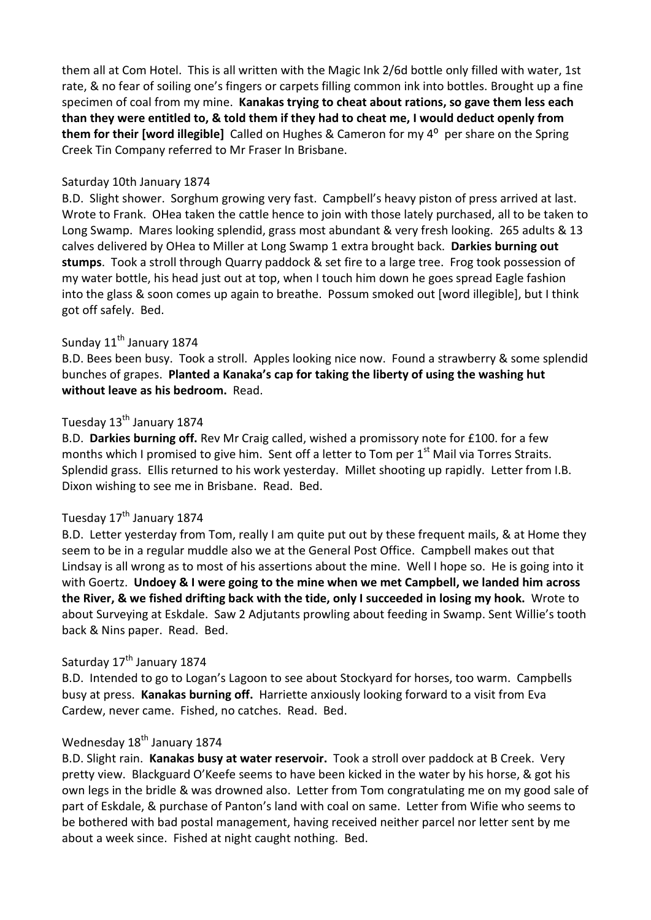them all at Com Hotel. This is all written with the Magic Ink 2/6d bottle only filled with water, 1st rate, & no fear of soiling one's fingers or carpets filling common ink into bottles. Brought up a fine specimen of coal from my mine. **Kanakas trying to cheat about rations, so gave them less each than they were entitled to, & told them if they had to cheat me, I would deduct openly from them for their [word illegible]** Called on Hughes & Cameron for my 4<sup>o</sup> per share on the Spring Creek Tin Company referred to Mr Fraser In Brisbane.

#### Saturday 10th January 1874

B.D. Slight shower. Sorghum growing very fast. Campbell's heavy piston of press arrived at last. Wrote to Frank. OHea taken the cattle hence to join with those lately purchased, all to be taken to Long Swamp. Mares looking splendid, grass most abundant & very fresh looking. 265 adults & 13 calves delivered by OHea to Miller at Long Swamp 1 extra brought back. **Darkies burning out stumps**. Took a stroll through Quarry paddock & set fire to a large tree. Frog took possession of my water bottle, his head just out at top, when I touch him down he goes spread Eagle fashion into the glass & soon comes up again to breathe. Possum smoked out [word illegible], but I think got off safely. Bed.

### Sunday 11<sup>th</sup> January 1874

B.D. Bees been busy. Took a stroll. Apples looking nice now. Found a strawberry & some splendid bunches of grapes. **Planted a Kanaka's cap for taking the liberty of using the washing hut without leave as his bedroom.** Read.

#### Tuesday 13<sup>th</sup> January 1874

B.D. **Darkies burning off.** Rev Mr Craig called, wished a promissory note for £100. for a few months which I promised to give him. Sent off a letter to Tom per  $1<sup>st</sup>$  Mail via Torres Straits. Splendid grass. Ellis returned to his work yesterday. Millet shooting up rapidly. Letter from I.B. Dixon wishing to see me in Brisbane. Read. Bed.

#### Tuesday 17<sup>th</sup> January 1874

B.D. Letter yesterday from Tom, really I am quite put out by these frequent mails, & at Home they seem to be in a regular muddle also we at the General Post Office. Campbell makes out that Lindsay is all wrong as to most of his assertions about the mine. Well I hope so. He is going into it with Goertz. **Undoey & I were going to the mine when we met Campbell, we landed him across the River, & we fished drifting back with the tide, only I succeeded in losing my hook.** Wrote to about Surveying at Eskdale. Saw 2 Adjutants prowling about feeding in Swamp. Sent Willie's tooth back & Nins paper. Read. Bed.

#### Saturday 17<sup>th</sup> January 1874

B.D. Intended to go to Logan's Lagoon to see about Stockyard for horses, too warm. Campbells busy at press. **Kanakas burning off.** Harriette anxiously looking forward to a visit from Eva Cardew, never came. Fished, no catches. Read. Bed.

# Wednesday 18<sup>th</sup> January 1874

B.D. Slight rain. **Kanakas busy at water reservoir.** Took a stroll over paddock at B Creek. Very pretty view. Blackguard O'Keefe seems to have been kicked in the water by his horse, & got his own legs in the bridle & was drowned also. Letter from Tom congratulating me on my good sale of part of Eskdale, & purchase of Panton's land with coal on same. Letter from Wifie who seems to be bothered with bad postal management, having received neither parcel nor letter sent by me about a week since. Fished at night caught nothing. Bed.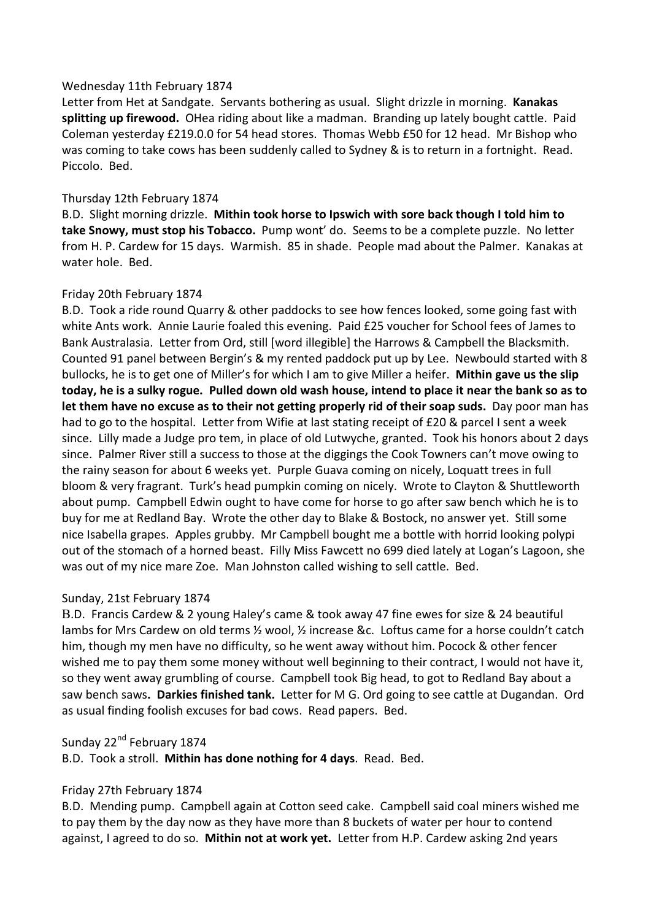#### Wednesday 11th February 1874

Letter from Het at Sandgate. Servants bothering as usual. Slight drizzle in morning. **Kanakas splitting up firewood.** OHea riding about like a madman. Branding up lately bought cattle. Paid Coleman yesterday £219.0.0 for 54 head stores. Thomas Webb £50 for 12 head. Mr Bishop who was coming to take cows has been suddenly called to Sydney & is to return in a fortnight. Read. Piccolo. Bed.

#### Thursday 12th February 1874

B.D. Slight morning drizzle. **Mithin took horse to Ipswich with sore back though I told him to take Snowy, must stop his Tobacco.** Pump wont' do. Seems to be a complete puzzle. No letter from H. P. Cardew for 15 days. Warmish. 85 in shade. People mad about the Palmer. Kanakas at water hole. Bed.

#### Friday 20th February 1874

B.D. Took a ride round Quarry & other paddocks to see how fences looked, some going fast with white Ants work. Annie Laurie foaled this evening. Paid £25 voucher for School fees of James to Bank Australasia. Letter from Ord, still [word illegible] the Harrows & Campbell the Blacksmith. Counted 91 panel between Bergin's & my rented paddock put up by Lee. Newbould started with 8 bullocks, he is to get one of Miller's for which I am to give Miller a heifer. **Mithin gave us the slip today, he is a sulky rogue. Pulled down old wash house, intend to place it near the bank so as to let them have no excuse as to their not getting properly rid of their soap suds.** Day poor man has had to go to the hospital. Letter from Wifie at last stating receipt of £20 & parcel I sent a week since. Lilly made a Judge pro tem, in place of old Lutwyche, granted. Took his honors about 2 days since. Palmer River still a success to those at the diggings the Cook Towners can't move owing to the rainy season for about 6 weeks yet. Purple Guava coming on nicely, Loquatt trees in full bloom & very fragrant. Turk's head pumpkin coming on nicely. Wrote to Clayton & Shuttleworth about pump. Campbell Edwin ought to have come for horse to go after saw bench which he is to buy for me at Redland Bay. Wrote the other day to Blake & Bostock, no answer yet. Still some nice Isabella grapes. Apples grubby. Mr Campbell bought me a bottle with horrid looking polypi out of the stomach of a horned beast. Filly Miss Fawcett no 699 died lately at Logan's Lagoon, she was out of my nice mare Zoe. Man Johnston called wishing to sell cattle. Bed.

#### Sunday, 21st February 1874

B.D. Francis Cardew & 2 young Haley's came & took away 47 fine ewes for size & 24 beautiful lambs for Mrs Cardew on old terms ½ wool, ½ increase &c. Loftus came for a horse couldn't catch him, though my men have no difficulty, so he went away without him. Pocock & other fencer wished me to pay them some money without well beginning to their contract, I would not have it, so they went away grumbling of course. Campbell took Big head, to got to Redland Bay about a saw bench saws**. Darkies finished tank.** Letter for M G. Ord going to see cattle at Dugandan. Ord as usual finding foolish excuses for bad cows. Read papers. Bed.

### Sunday 22<sup>nd</sup> February 1874

B.D. Took a stroll. **Mithin has done nothing for 4 days**. Read. Bed.

#### Friday 27th February 1874

B.D. Mending pump. Campbell again at Cotton seed cake. Campbell said coal miners wished me to pay them by the day now as they have more than 8 buckets of water per hour to contend against, I agreed to do so. **Mithin not at work yet.** Letter from H.P. Cardew asking 2nd years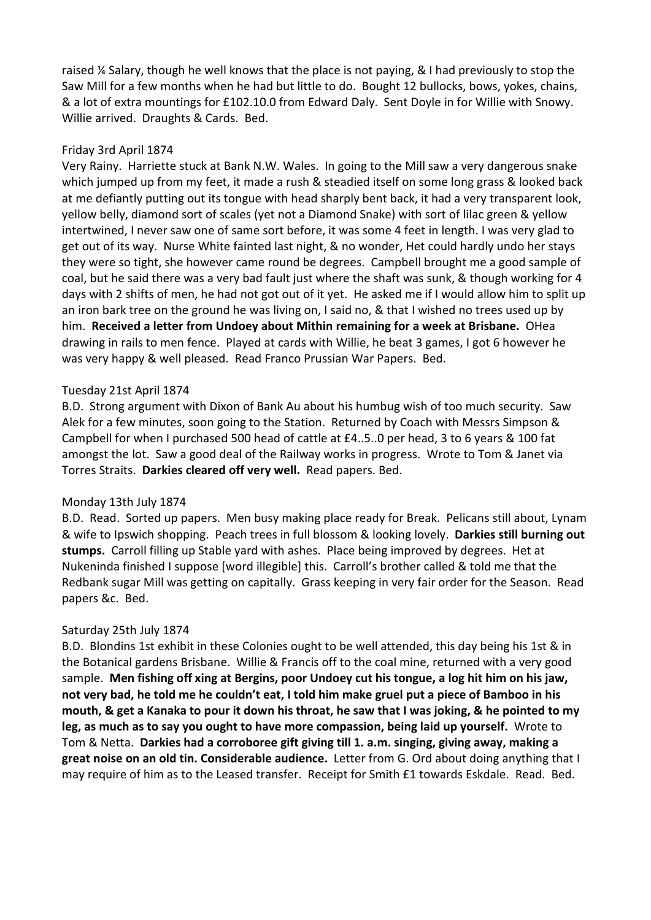raised ¼ Salary, though he well knows that the place is not paying, & I had previously to stop the Saw Mill for a few months when he had but little to do. Bought 12 bullocks, bows, yokes, chains, & a lot of extra mountings for £102.10.0 from Edward Daly. Sent Doyle in for Willie with Snowy. Willie arrived. Draughts & Cards. Bed.

#### Friday 3rd April 1874

Very Rainy. Harriette stuck at Bank N.W. Wales. In going to the Mill saw a very dangerous snake which jumped up from my feet, it made a rush & steadied itself on some long grass & looked back at me defiantly putting out its tongue with head sharply bent back, it had a very transparent look, yellow belly, diamond sort of scales (yet not a Diamond Snake) with sort of lilac green & yellow intertwined, I never saw one of same sort before, it was some 4 feet in length. I was very glad to get out of its way. Nurse White fainted last night, & no wonder, Het could hardly undo her stays they were so tight, she however came round be degrees. Campbell brought me a good sample of coal, but he said there was a very bad fault just where the shaft was sunk, & though working for 4 days with 2 shifts of men, he had not got out of it yet. He asked me if I would allow him to split up an iron bark tree on the ground he was living on, I said no, & that I wished no trees used up by him. **Received a letter from Undoey about Mithin remaining for a week at Brisbane.** OHea drawing in rails to men fence. Played at cards with Willie, he beat 3 games, I got 6 however he was very happy & well pleased. Read Franco Prussian War Papers. Bed.

#### Tuesday 21st April 1874

B.D. Strong argument with Dixon of Bank Au about his humbug wish of too much security. Saw Alek for a few minutes, soon going to the Station. Returned by Coach with Messrs Simpson & Campbell for when I purchased 500 head of cattle at £4..5..0 per head, 3 to 6 years & 100 fat amongst the lot. Saw a good deal of the Railway works in progress. Wrote to Tom & Janet via Torres Straits. **Darkies cleared off very well.** Read papers. Bed.

#### Monday 13th July 1874

B.D. Read. Sorted up papers. Men busy making place ready for Break. Pelicans still about, Lynam & wife to Ipswich shopping. Peach trees in full blossom & looking lovely. **Darkies still burning out stumps.** Carroll filling up Stable yard with ashes. Place being improved by degrees. Het at Nukeninda finished I suppose [word illegible] this. Carroll's brother called & told me that the Redbank sugar Mill was getting on capitally. Grass keeping in very fair order for the Season. Read papers &c. Bed.

#### Saturday 25th July 1874

B.D. Blondins 1st exhibit in these Colonies ought to be well attended, this day being his 1st & in the Botanical gardens Brisbane. Willie & Francis off to the coal mine, returned with a very good sample. **Men fishing off xing at Bergins, poor Undoey cut his tongue, a log hit him on his jaw, not very bad, he told me he couldn't eat, I told him make gruel put a piece of Bamboo in his mouth, & get a Kanaka to pour it down his throat, he saw that I was joking, & he pointed to my leg, as much as to say you ought to have more compassion, being laid up yourself.** Wrote to Tom & Netta. **Darkies had a corroboree gift giving till 1. a.m. singing, giving away, making a great noise on an old tin. Considerable audience.** Letter from G. Ord about doing anything that I may require of him as to the Leased transfer. Receipt for Smith £1 towards Eskdale. Read. Bed.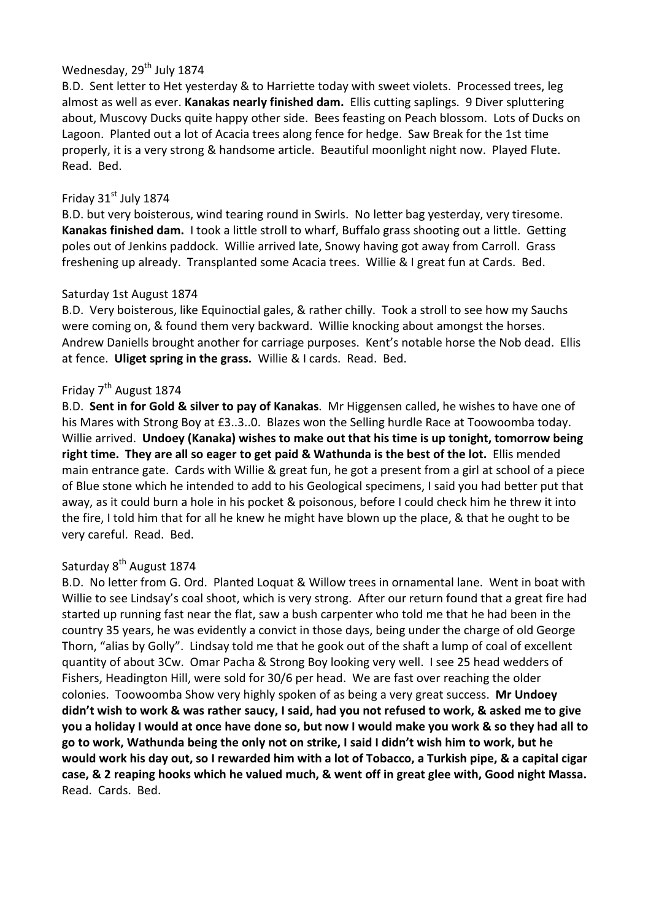# Wednesday, 29<sup>th</sup> July 1874

B.D. Sent letter to Het yesterday & to Harriette today with sweet violets. Processed trees, leg almost as well as ever. **Kanakas nearly finished dam.** Ellis cutting saplings. 9 Diver spluttering about, Muscovy Ducks quite happy other side. Bees feasting on Peach blossom. Lots of Ducks on Lagoon. Planted out a lot of Acacia trees along fence for hedge. Saw Break for the 1st time properly, it is a very strong & handsome article. Beautiful moonlight night now. Played Flute. Read. Bed.

# Friday  $31<sup>st</sup>$  July 1874

B.D. but very boisterous, wind tearing round in Swirls. No letter bag yesterday, very tiresome. **Kanakas finished dam.** I took a little stroll to wharf, Buffalo grass shooting out a little. Getting poles out of Jenkins paddock. Willie arrived late, Snowy having got away from Carroll. Grass freshening up already. Transplanted some Acacia trees. Willie & I great fun at Cards. Bed.

# Saturday 1st August 1874

B.D. Very boisterous, like Equinoctial gales, & rather chilly. Took a stroll to see how my Sauchs were coming on, & found them very backward. Willie knocking about amongst the horses. Andrew Daniells brought another for carriage purposes. Kent's notable horse the Nob dead. Ellis at fence. **Uliget spring in the grass.** Willie & I cards. Read. Bed.

# Friday 7<sup>th</sup> August 1874

B.D. **Sent in for Gold & silver to pay of Kanakas**. Mr Higgensen called, he wishes to have one of his Mares with Strong Boy at £3..3..0. Blazes won the Selling hurdle Race at Toowoomba today. Willie arrived. **Undoey (Kanaka) wishes to make out that his time is up tonight, tomorrow being right time. They are all so eager to get paid & Wathunda is the best of the lot.** Ellis mended main entrance gate. Cards with Willie & great fun, he got a present from a girl at school of a piece of Blue stone which he intended to add to his Geological specimens, I said you had better put that away, as it could burn a hole in his pocket & poisonous, before I could check him he threw it into the fire, I told him that for all he knew he might have blown up the place, & that he ought to be very careful. Read. Bed.

# Saturday 8<sup>th</sup> August 1874

B.D. No letter from G. Ord. Planted Loquat & Willow trees in ornamental lane. Went in boat with Willie to see Lindsay's coal shoot, which is very strong. After our return found that a great fire had started up running fast near the flat, saw a bush carpenter who told me that he had been in the country 35 years, he was evidently a convict in those days, being under the charge of old George Thorn, "alias by Golly". Lindsay told me that he gook out of the shaft a lump of coal of excellent quantity of about 3Cw. Omar Pacha & Strong Boy looking very well. I see 25 head wedders of Fishers, Headington Hill, were sold for 30/6 per head. We are fast over reaching the older colonies. Toowoomba Show very highly spoken of as being a very great success. **Mr Undoey didn't wish to work & was rather saucy, I said, had you not refused to work, & asked me to give you a holiday I would at once have done so, but now I would make you work & so they had all to go to work, Wathunda being the only not on strike, I said I didn't wish him to work, but he would work his day out, so I rewarded him with a lot of Tobacco, a Turkish pipe, & a capital cigar case, & 2 reaping hooks which he valued much, & went off in great glee with, Good night Massa.**  Read. Cards. Bed.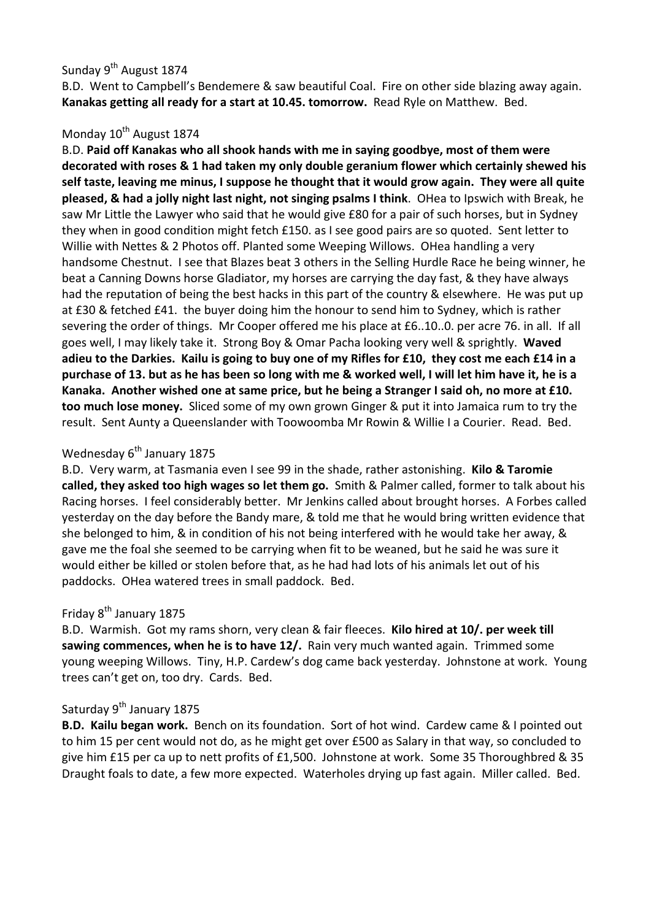# Sunday 9<sup>th</sup> August 1874

B.D. Went to Campbell's Bendemere & saw beautiful Coal. Fire on other side blazing away again. **Kanakas getting all ready for a start at 10.45. tomorrow.** Read Ryle on Matthew. Bed.

# Monday 10<sup>th</sup> August 1874

B.D. **Paid off Kanakas who all shook hands with me in saying goodbye, most of them were decorated with roses & 1 had taken my only double geranium flower which certainly shewed his self taste, leaving me minus, I suppose he thought that it would grow again. They were all quite pleased, & had a jolly night last night, not singing psalms I think**. OHea to Ipswich with Break, he saw Mr Little the Lawyer who said that he would give £80 for a pair of such horses, but in Sydney they when in good condition might fetch £150. as I see good pairs are so quoted. Sent letter to Willie with Nettes & 2 Photos off. Planted some Weeping Willows. OHea handling a very handsome Chestnut. I see that Blazes beat 3 others in the Selling Hurdle Race he being winner, he beat a Canning Downs horse Gladiator, my horses are carrying the day fast, & they have always had the reputation of being the best hacks in this part of the country & elsewhere. He was put up at £30 & fetched £41. the buyer doing him the honour to send him to Sydney, which is rather severing the order of things. Mr Cooper offered me his place at £6..10..0. per acre 76. in all. If all goes well, I may likely take it. Strong Boy & Omar Pacha looking very well & sprightly. **Waved adieu to the Darkies. Kailu is going to buy one of my Rifles for £10, they cost me each £14 in a purchase of 13. but as he has been so long with me & worked well, I will let him have it, he is a Kanaka. Another wished one at same price, but he being a Stranger I said oh, no more at £10. too much lose money.** Sliced some of my own grown Ginger & put it into Jamaica rum to try the result. Sent Aunty a Queenslander with Toowoomba Mr Rowin & Willie I a Courier. Read. Bed.

# Wednesday  $6<sup>th</sup>$  January 1875

B.D. Very warm, at Tasmania even I see 99 in the shade, rather astonishing. **Kilo & Taromie called, they asked too high wages so let them go.** Smith & Palmer called, former to talk about his Racing horses. I feel considerably better. Mr Jenkins called about brought horses. A Forbes called yesterday on the day before the Bandy mare, & told me that he would bring written evidence that she belonged to him, & in condition of his not being interfered with he would take her away, & gave me the foal she seemed to be carrying when fit to be weaned, but he said he was sure it would either be killed or stolen before that, as he had had lots of his animals let out of his paddocks. OHea watered trees in small paddock. Bed.

# Friday 8<sup>th</sup> January 1875

B.D. Warmish. Got my rams shorn, very clean & fair fleeces. **Kilo hired at 10/. per week till sawing commences, when he is to have 12/.** Rain very much wanted again. Trimmed some young weeping Willows. Tiny, H.P. Cardew's dog came back yesterday. Johnstone at work. Young trees can't get on, too dry. Cards. Bed.

#### Saturday 9<sup>th</sup> January 1875

**B.D. Kailu began work.** Bench on its foundation. Sort of hot wind. Cardew came & I pointed out to him 15 per cent would not do, as he might get over £500 as Salary in that way, so concluded to give him £15 per ca up to nett profits of £1,500. Johnstone at work. Some 35 Thoroughbred & 35 Draught foals to date, a few more expected. Waterholes drying up fast again. Miller called. Bed.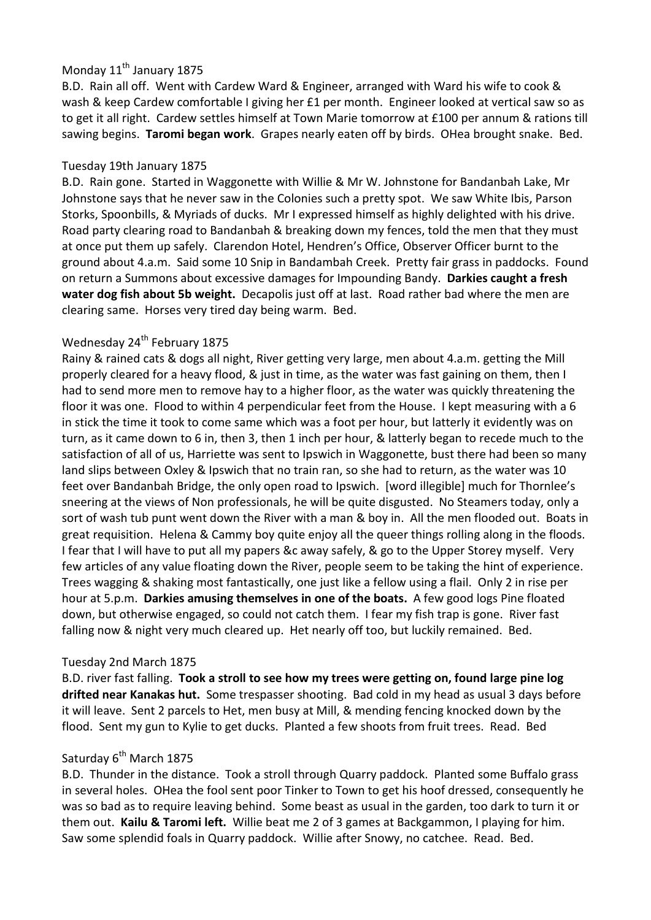# Monday 11<sup>th</sup> January 1875

B.D. Rain all off. Went with Cardew Ward & Engineer, arranged with Ward his wife to cook & wash & keep Cardew comfortable I giving her £1 per month. Engineer looked at vertical saw so as to get it all right. Cardew settles himself at Town Marie tomorrow at £100 per annum & rations till sawing begins. **Taromi began work**. Grapes nearly eaten off by birds. OHea brought snake. Bed.

### Tuesday 19th January 1875

B.D. Rain gone. Started in Waggonette with Willie & Mr W. Johnstone for Bandanbah Lake, Mr Johnstone says that he never saw in the Colonies such a pretty spot. We saw White Ibis, Parson Storks, Spoonbills, & Myriads of ducks. Mr I expressed himself as highly delighted with his drive. Road party clearing road to Bandanbah & breaking down my fences, told the men that they must at once put them up safely. Clarendon Hotel, Hendren's Office, Observer Officer burnt to the ground about 4.a.m. Said some 10 Snip in Bandambah Creek. Pretty fair grass in paddocks. Found on return a Summons about excessive damages for Impounding Bandy. **Darkies caught a fresh water dog fish about 5b weight.** Decapolis just off at last. Road rather bad where the men are clearing same. Horses very tired day being warm. Bed.

# Wednesday 24<sup>th</sup> February 1875

Rainy & rained cats & dogs all night, River getting very large, men about 4.a.m. getting the Mill properly cleared for a heavy flood, & just in time, as the water was fast gaining on them, then I had to send more men to remove hay to a higher floor, as the water was quickly threatening the floor it was one. Flood to within 4 perpendicular feet from the House. I kept measuring with a 6 in stick the time it took to come same which was a foot per hour, but latterly it evidently was on turn, as it came down to 6 in, then 3, then 1 inch per hour, & latterly began to recede much to the satisfaction of all of us, Harriette was sent to Ipswich in Waggonette, bust there had been so many land slips between Oxley & Ipswich that no train ran, so she had to return, as the water was 10 feet over Bandanbah Bridge, the only open road to Ipswich. [word illegible] much for Thornlee's sneering at the views of Non professionals, he will be quite disgusted. No Steamers today, only a sort of wash tub punt went down the River with a man & boy in. All the men flooded out. Boats in great requisition. Helena & Cammy boy quite enjoy all the queer things rolling along in the floods. I fear that I will have to put all my papers &c away safely, & go to the Upper Storey myself. Very few articles of any value floating down the River, people seem to be taking the hint of experience. Trees wagging & shaking most fantastically, one just like a fellow using a flail. Only 2 in rise per hour at 5.p.m. **Darkies amusing themselves in one of the boats.** A few good logs Pine floated down, but otherwise engaged, so could not catch them. I fear my fish trap is gone. River fast falling now & night very much cleared up. Het nearly off too, but luckily remained. Bed.

#### Tuesday 2nd March 1875

B.D. river fast falling. **Took a stroll to see how my trees were getting on, found large pine log drifted near Kanakas hut.** Some trespasser shooting. Bad cold in my head as usual 3 days before it will leave. Sent 2 parcels to Het, men busy at Mill, & mending fencing knocked down by the flood. Sent my gun to Kylie to get ducks. Planted a few shoots from fruit trees. Read. Bed

#### Saturday  $6^{th}$  March 1875

B.D. Thunder in the distance. Took a stroll through Quarry paddock. Planted some Buffalo grass in several holes. OHea the fool sent poor Tinker to Town to get his hoof dressed, consequently he was so bad as to require leaving behind. Some beast as usual in the garden, too dark to turn it or them out. **Kailu & Taromi left.** Willie beat me 2 of 3 games at Backgammon, I playing for him. Saw some splendid foals in Quarry paddock. Willie after Snowy, no catchee. Read. Bed.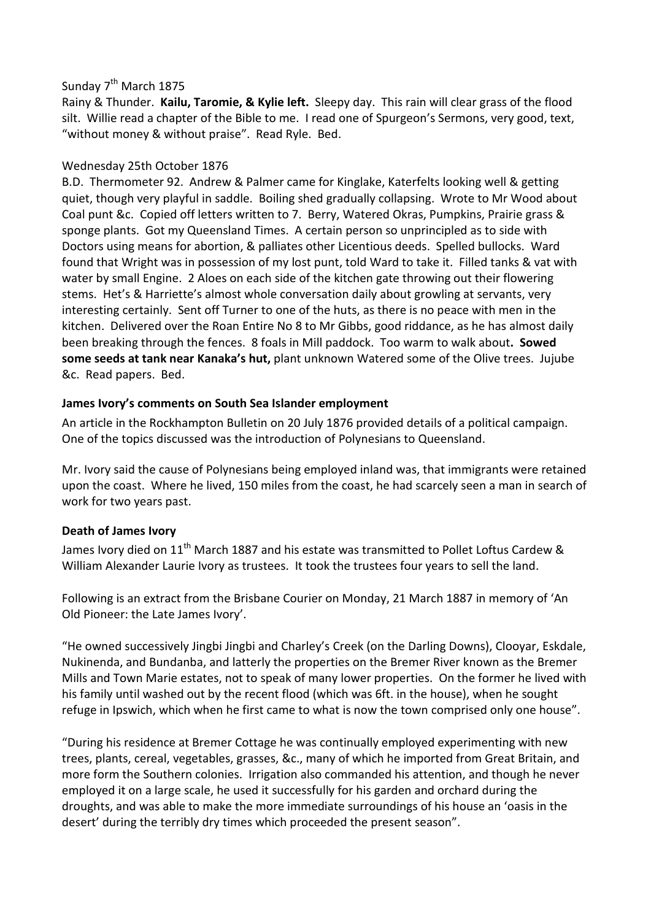### Sunday 7<sup>th</sup> March 1875

Rainy & Thunder. **Kailu, Taromie, & Kylie left.** Sleepy day. This rain will clear grass of the flood silt. Willie read a chapter of the Bible to me. I read one of Spurgeon's Sermons, very good, text, "without money & without praise". Read Ryle. Bed.

# Wednesday 25th October 1876

B.D. Thermometer 92. Andrew & Palmer came for Kinglake, Katerfelts looking well & getting quiet, though very playful in saddle. Boiling shed gradually collapsing. Wrote to Mr Wood about Coal punt &c. Copied off letters written to 7. Berry, Watered Okras, Pumpkins, Prairie grass & sponge plants. Got my Queensland Times. A certain person so unprincipled as to side with Doctors using means for abortion, & palliates other Licentious deeds. Spelled bullocks. Ward found that Wright was in possession of my lost punt, told Ward to take it. Filled tanks & vat with water by small Engine. 2 Aloes on each side of the kitchen gate throwing out their flowering stems. Het's & Harriette's almost whole conversation daily about growling at servants, very interesting certainly. Sent off Turner to one of the huts, as there is no peace with men in the kitchen. Delivered over the Roan Entire No 8 to Mr Gibbs, good riddance, as he has almost daily been breaking through the fences. 8 foals in Mill paddock. Too warm to walk about**. Sowed some seeds at tank near Kanaka's hut,** plant unknown Watered some of the Olive trees. Jujube &c. Read papers. Bed.

### **James Ivory's comments on South Sea Islander employment**

An article in the Rockhampton Bulletin on 20 July 1876 provided details of a political campaign. One of the topics discussed was the introduction of Polynesians to Queensland.

Mr. Ivory said the cause of Polynesians being employed inland was, that immigrants were retained upon the coast. Where he lived, 150 miles from the coast, he had scarcely seen a man in search of work for two years past.

# **Death of James Ivory**

James Ivory died on 11<sup>th</sup> March 1887 and his estate was transmitted to Pollet Loftus Cardew & William Alexander Laurie Ivory as trustees. It took the trustees four years to sell the land.

Following is an extract from the Brisbane Courier on Monday, 21 March 1887 in memory of 'An Old Pioneer: the Late James Ivory'.

"He owned successively Jingbi Jingbi and Charley's Creek (on the Darling Downs), Clooyar, Eskdale, Nukinenda, and Bundanba, and latterly the properties on the Bremer River known as the Bremer Mills and Town Marie estates, not to speak of many lower properties. On the former he lived with his family until washed out by the recent flood (which was 6ft. in the house), when he sought refuge in Ipswich, which when he first came to what is now the town comprised only one house".

"During his residence at Bremer Cottage he was continually employed experimenting with new trees, plants, cereal, vegetables, grasses, &c., many of which he imported from Great Britain, and more form the Southern colonies. Irrigation also commanded his attention, and though he never employed it on a large scale, he used it successfully for his garden and orchard during the droughts, and was able to make the more immediate surroundings of his house an 'oasis in the desert' during the terribly dry times which proceeded the present season".